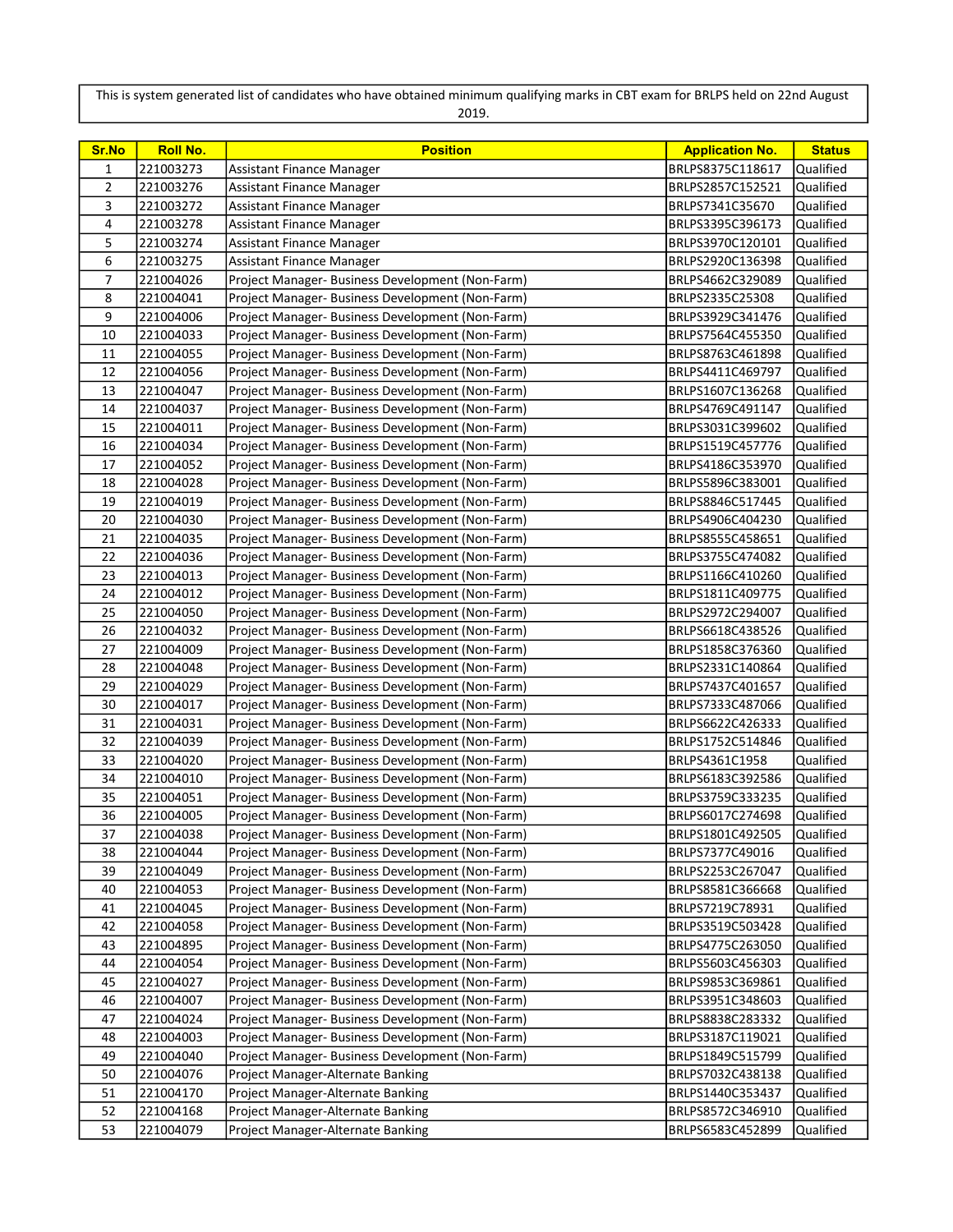This is system generated list of candidates who have obtained minimum qualifying marks in CBT exam for BRLPS held on 22nd August 2019.

| <b>Sr.No</b>   | Roll No.               | <b>Position</b>                                                                                      | <b>Application No.</b>               | <b>Status</b>          |
|----------------|------------------------|------------------------------------------------------------------------------------------------------|--------------------------------------|------------------------|
| 1              | 221003273              | <b>Assistant Finance Manager</b>                                                                     | BRLPS8375C118617                     | Qualified              |
| $\overline{2}$ | 221003276              | <b>Assistant Finance Manager</b>                                                                     | BRLPS2857C152521                     | Qualified              |
| 3              | 221003272              | <b>Assistant Finance Manager</b>                                                                     | BRLPS7341C35670                      | Qualified              |
| 4              | 221003278              | <b>Assistant Finance Manager</b>                                                                     | BRLPS3395C396173                     | Qualified              |
| 5              | 221003274              | <b>Assistant Finance Manager</b>                                                                     | BRLPS3970C120101                     | Qualified              |
| 6              | 221003275              | Assistant Finance Manager                                                                            | BRLPS2920C136398                     | Qualified              |
| $\overline{7}$ | 221004026              | Project Manager- Business Development (Non-Farm)                                                     | BRLPS4662C329089                     | Qualified              |
| 8              | 221004041              | Project Manager- Business Development (Non-Farm)                                                     | BRLPS2335C25308                      | Qualified              |
| 9              | 221004006              | Project Manager- Business Development (Non-Farm)                                                     | BRLPS3929C341476                     | Qualified              |
| 10             | 221004033              | Project Manager- Business Development (Non-Farm)                                                     | BRLPS7564C455350                     | Qualified              |
| 11             | 221004055              | Project Manager- Business Development (Non-Farm)                                                     | BRLPS8763C461898                     | Qualified              |
| 12             | 221004056              | Project Manager- Business Development (Non-Farm)                                                     | BRLPS4411C469797                     | Qualified              |
| 13             | 221004047              | Project Manager- Business Development (Non-Farm)                                                     | BRLPS1607C136268                     | Qualified              |
| 14             | 221004037              | Project Manager- Business Development (Non-Farm)                                                     | BRLPS4769C491147                     | Qualified              |
| 15             | 221004011              | Project Manager- Business Development (Non-Farm)                                                     | BRLPS3031C399602                     | Qualified              |
| 16             | 221004034              | Project Manager- Business Development (Non-Farm)                                                     | BRLPS1519C457776                     | Qualified              |
| 17             | 221004052              | Project Manager- Business Development (Non-Farm)                                                     | BRLPS4186C353970                     | Qualified              |
| 18             | 221004028              | Project Manager- Business Development (Non-Farm)                                                     | BRLPS5896C383001                     | Qualified              |
| 19             | 221004019              | Project Manager- Business Development (Non-Farm)                                                     | BRLPS8846C517445                     | Qualified              |
| 20<br>21       | 221004030<br>221004035 | Project Manager- Business Development (Non-Farm)<br>Project Manager- Business Development (Non-Farm) | BRLPS4906C404230<br>BRLPS8555C458651 | Qualified<br>Qualified |
| 22             | 221004036              | Project Manager- Business Development (Non-Farm)                                                     | BRLPS3755C474082                     | Qualified              |
| 23             | 221004013              | Project Manager- Business Development (Non-Farm)                                                     | BRLPS1166C410260                     | Qualified              |
| 24             | 221004012              | Project Manager- Business Development (Non-Farm)                                                     | BRLPS1811C409775                     | Qualified              |
| 25             | 221004050              | Project Manager- Business Development (Non-Farm)                                                     | BRLPS2972C294007                     | Qualified              |
| 26             | 221004032              | Project Manager- Business Development (Non-Farm)                                                     | BRLPS6618C438526                     | Qualified              |
| 27             | 221004009              | Project Manager- Business Development (Non-Farm)                                                     | BRLPS1858C376360                     | Qualified              |
| 28             | 221004048              | Project Manager- Business Development (Non-Farm)                                                     | BRLPS2331C140864                     | Qualified              |
| 29             | 221004029              | Project Manager- Business Development (Non-Farm)                                                     | BRLPS7437C401657                     | Qualified              |
| 30             | 221004017              | Project Manager- Business Development (Non-Farm)                                                     | BRLPS7333C487066                     | Qualified              |
| 31             | 221004031              | Project Manager- Business Development (Non-Farm)                                                     | BRLPS6622C426333                     | Qualified              |
| 32             | 221004039              | Project Manager- Business Development (Non-Farm)                                                     | BRLPS1752C514846                     | Qualified              |
| 33             | 221004020              | Project Manager- Business Development (Non-Farm)                                                     | BRLPS4361C1958                       | Qualified              |
| 34             | 221004010              | Project Manager- Business Development (Non-Farm)                                                     | BRLPS6183C392586                     | Qualified              |
| 35             | 221004051              | Project Manager- Business Development (Non-Farm)                                                     | BRLPS3759C333235                     | Qualified              |
| 36             | 221004005              | Project Manager- Business Development (Non-Farm)                                                     | BRLPS6017C274698                     | Qualified              |
| 37             | 221004038              | Project Manager- Business Development (Non-Farm)                                                     | BRLPS1801C492505                     | lQualified             |
| 38             | 221004044              | Project Manager- Business Development (Non-Farm)                                                     | BRLPS7377C49016                      | Qualified              |
| 39             | 221004049              | Project Manager- Business Development (Non-Farm)                                                     | BRLPS2253C267047                     | Qualified              |
| 40             | 221004053              | Project Manager- Business Development (Non-Farm)                                                     | BRLPS8581C366668                     | Qualified              |
| 41             | 221004045              | Project Manager- Business Development (Non-Farm)                                                     | BRLPS7219C78931                      | Qualified              |
| 42             | 221004058              | Project Manager- Business Development (Non-Farm)                                                     | BRLPS3519C503428                     | Qualified              |
| 43             | 221004895              | Project Manager- Business Development (Non-Farm)                                                     | BRLPS4775C263050                     | Qualified              |
| 44             | 221004054              | Project Manager- Business Development (Non-Farm)                                                     | BRLPS5603C456303                     | Qualified              |
| 45             | 221004027              | Project Manager- Business Development (Non-Farm)                                                     | BRLPS9853C369861                     | Qualified              |
| 46             | 221004007              | Project Manager- Business Development (Non-Farm)                                                     | BRLPS3951C348603                     | Qualified              |
| 47             | 221004024              | Project Manager- Business Development (Non-Farm)                                                     | BRLPS8838C283332                     | Qualified              |
| 48             | 221004003              | Project Manager- Business Development (Non-Farm)                                                     | BRLPS3187C119021                     | Qualified              |
| 49             | 221004040              | Project Manager- Business Development (Non-Farm)                                                     | BRLPS1849C515799                     | Qualified              |
| 50             | 221004076              | Project Manager-Alternate Banking                                                                    | BRLPS7032C438138                     | Qualified              |
| 51             | 221004170              | Project Manager-Alternate Banking                                                                    | BRLPS1440C353437                     | Qualified              |
| 52             | 221004168              | Project Manager-Alternate Banking                                                                    | BRLPS8572C346910                     | Qualified              |
| 53             | 221004079              | Project Manager-Alternate Banking                                                                    | BRLPS6583C452899                     | Qualified              |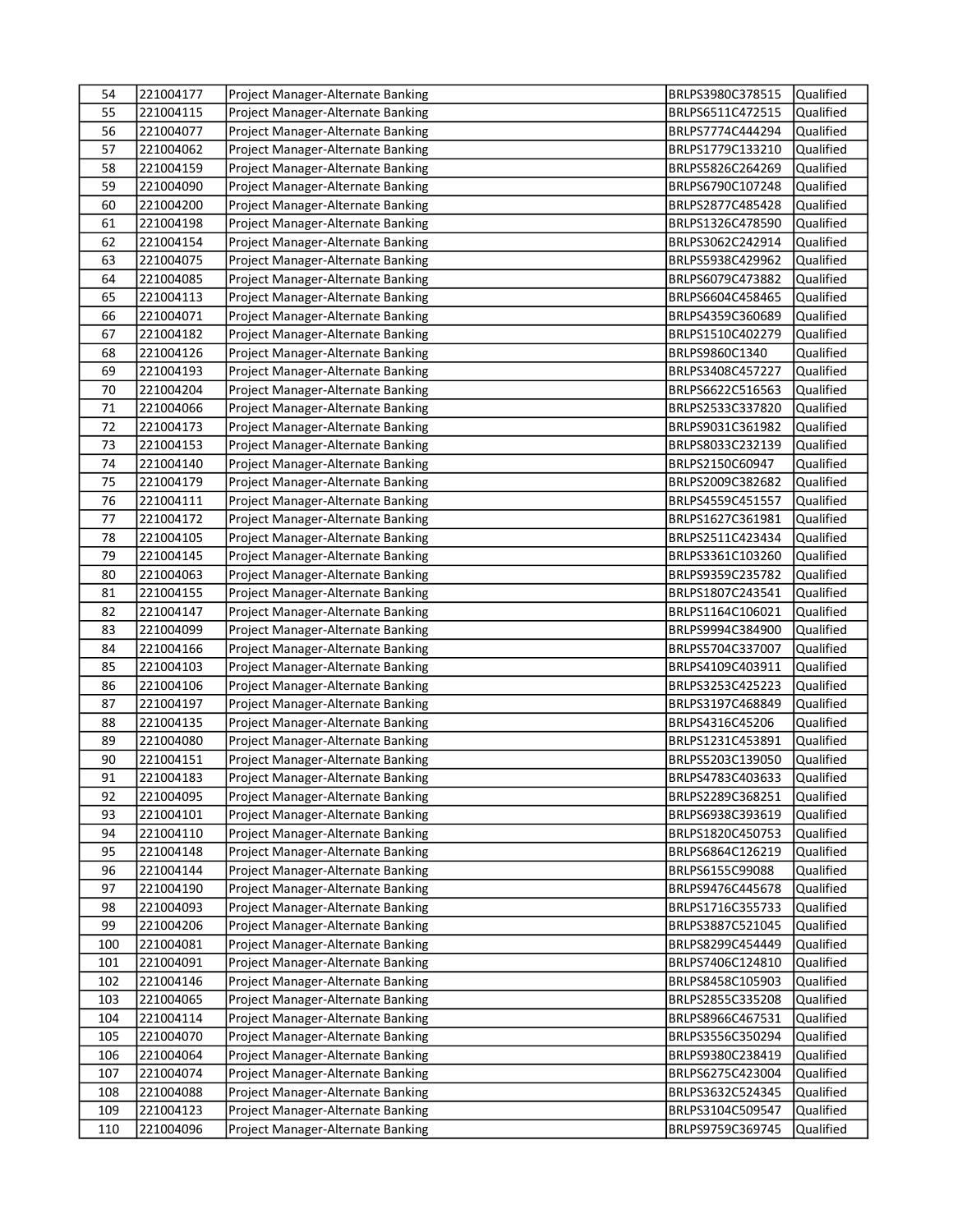| 54         | 221004177              | Project Manager-Alternate Banking                                      | BRLPS3980C378515                     | Qualified              |
|------------|------------------------|------------------------------------------------------------------------|--------------------------------------|------------------------|
| 55         | 221004115              | Project Manager-Alternate Banking                                      | BRLPS6511C472515                     | Qualified              |
| 56         | 221004077              | Project Manager-Alternate Banking                                      | BRLPS7774C444294                     | Qualified              |
| 57         | 221004062              | Project Manager-Alternate Banking                                      | BRLPS1779C133210                     | Qualified              |
| 58         | 221004159              | Project Manager-Alternate Banking                                      | BRLPS5826C264269                     | Qualified              |
| 59         | 221004090              | Project Manager-Alternate Banking                                      | BRLPS6790C107248                     | Qualified              |
| 60         | 221004200              | Project Manager-Alternate Banking                                      | BRLPS2877C485428                     | Qualified              |
| 61         | 221004198              | Project Manager-Alternate Banking                                      | BRLPS1326C478590                     | Qualified              |
| 62         | 221004154              | Project Manager-Alternate Banking                                      | BRLPS3062C242914                     | Qualified              |
| 63         | 221004075              | Project Manager-Alternate Banking                                      | BRLPS5938C429962                     | Qualified              |
| 64         | 221004085              | Project Manager-Alternate Banking                                      | BRLPS6079C473882                     | Qualified              |
| 65         | 221004113              | Project Manager-Alternate Banking                                      | BRLPS6604C458465                     | Qualified              |
| 66         | 221004071              | Project Manager-Alternate Banking                                      | BRLPS4359C360689                     | Qualified              |
| 67         | 221004182              | Project Manager-Alternate Banking                                      | BRLPS1510C402279                     | Qualified              |
| 68         | 221004126              | Project Manager-Alternate Banking                                      | BRLPS9860C1340                       | Qualified              |
| 69         | 221004193              | Project Manager-Alternate Banking                                      | BRLPS3408C457227                     | Qualified              |
| 70         | 221004204              | Project Manager-Alternate Banking                                      | BRLPS6622C516563                     | Qualified              |
| 71         | 221004066              | Project Manager-Alternate Banking                                      | BRLPS2533C337820                     | Qualified              |
| 72         | 221004173              | Project Manager-Alternate Banking                                      | BRLPS9031C361982                     | Qualified              |
| 73         | 221004153              | Project Manager-Alternate Banking                                      | BRLPS8033C232139                     | Qualified              |
| 74         | 221004140              | Project Manager-Alternate Banking                                      | BRLPS2150C60947                      | Qualified              |
| 75         | 221004179              | Project Manager-Alternate Banking                                      | BRLPS2009C382682                     | Qualified              |
| 76         | 221004111              | Project Manager-Alternate Banking                                      | BRLPS4559C451557                     | Qualified              |
| 77         | 221004172              | Project Manager-Alternate Banking                                      | BRLPS1627C361981                     | Qualified              |
| 78         | 221004105              | Project Manager-Alternate Banking                                      | BRLPS2511C423434                     | Qualified              |
| 79         | 221004145              | Project Manager-Alternate Banking                                      | BRLPS3361C103260                     | Qualified              |
| 80         | 221004063              | Project Manager-Alternate Banking                                      | BRLPS9359C235782                     | Qualified              |
| 81         | 221004155              | Project Manager-Alternate Banking                                      | BRLPS1807C243541                     | Qualified              |
| 82         | 221004147              | Project Manager-Alternate Banking                                      | BRLPS1164C106021                     | Qualified              |
| 83         | 221004099              | Project Manager-Alternate Banking                                      | BRLPS9994C384900                     | Qualified              |
| 84         | 221004166              | Project Manager-Alternate Banking                                      | BRLPS5704C337007                     | Qualified              |
| 85         | 221004103              | Project Manager-Alternate Banking                                      | BRLPS4109C403911                     | Qualified              |
| 86         | 221004106              | Project Manager-Alternate Banking                                      | BRLPS3253C425223                     | Qualified              |
| 87         | 221004197              | Project Manager-Alternate Banking                                      | BRLPS3197C468849                     | Qualified              |
| 88         | 221004135              | Project Manager-Alternate Banking                                      | BRLPS4316C45206                      | Qualified              |
| 89         | 221004080              | Project Manager-Alternate Banking                                      | BRLPS1231C453891                     | Qualified              |
| 90         | 221004151              | Project Manager-Alternate Banking                                      | BRLPS5203C139050                     | Qualified              |
| 91         | 221004183              | Project Manager-Alternate Banking                                      | BRLPS4783C403633                     | Qualified              |
| 92         | 221004095              | Project Manager-Alternate Banking                                      | BRLPS2289C368251                     | Qualified              |
| 93         | 221004101              | Project Manager-Alternate Banking                                      | BRLPS6938C393619                     | Qualified              |
| 94         | 221004110              | Project Manager-Alternate Banking                                      | BRLPS1820C450753                     | Qualified              |
| 95         | 221004148              | Project Manager-Alternate Banking                                      | BRLPS6864C126219                     | Qualified              |
| 96         | 221004144              | Project Manager-Alternate Banking                                      | BRLPS6155C99088                      | Qualified              |
| 97         | 221004190              | Project Manager-Alternate Banking                                      | BRLPS9476C445678                     | Qualified              |
| 98         | 221004093              | Project Manager-Alternate Banking                                      | BRLPS1716C355733                     | Qualified              |
| 99         | 221004206              | Project Manager-Alternate Banking                                      | BRLPS3887C521045                     | Qualified              |
| 100<br>101 | 221004081<br>221004091 | Project Manager-Alternate Banking<br>Project Manager-Alternate Banking | BRLPS8299C454449<br>BRLPS7406C124810 | Qualified<br>Qualified |
| 102        | 221004146              | Project Manager-Alternate Banking                                      | BRLPS8458C105903                     | Qualified              |
| 103        | 221004065              | Project Manager-Alternate Banking                                      | BRLPS2855C335208                     | Qualified              |
| 104        | 221004114              | Project Manager-Alternate Banking                                      | BRLPS8966C467531                     | Qualified              |
| 105        | 221004070              | Project Manager-Alternate Banking                                      | BRLPS3556C350294                     | Qualified              |
| 106        | 221004064              | Project Manager-Alternate Banking                                      | BRLPS9380C238419                     | Qualified              |
| 107        | 221004074              | Project Manager-Alternate Banking                                      | BRLPS6275C423004                     | Qualified              |
| 108        | 221004088              | Project Manager-Alternate Banking                                      | BRLPS3632C524345                     | Qualified              |
| 109        | 221004123              | Project Manager-Alternate Banking                                      | BRLPS3104C509547                     | Qualified              |
| 110        | 221004096              | Project Manager-Alternate Banking                                      | BRLPS9759C369745                     | Qualified              |
|            |                        |                                                                        |                                      |                        |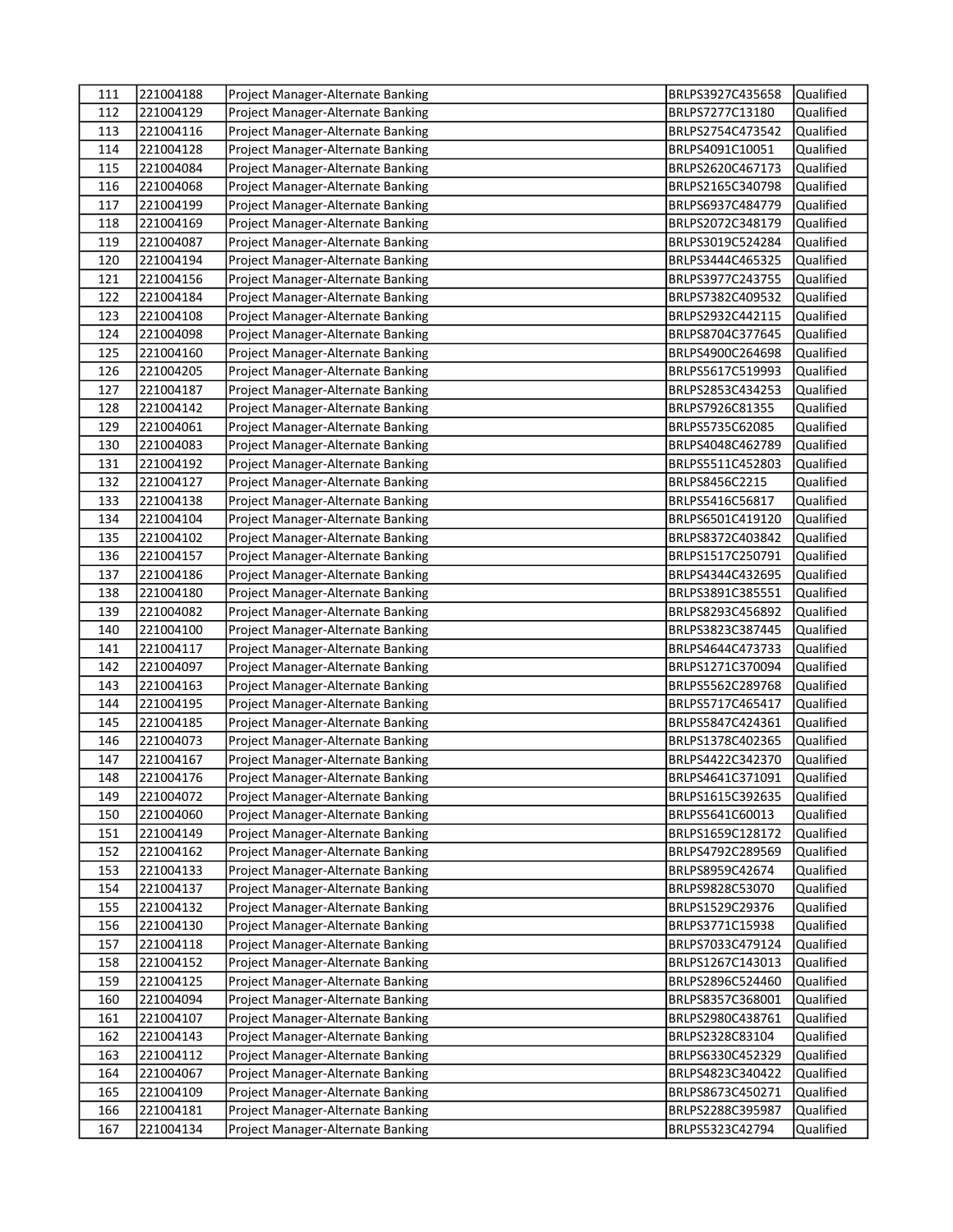| 111 | 221004188 | Project Manager-Alternate Banking | BRLPS3927C435658 | Qualified |
|-----|-----------|-----------------------------------|------------------|-----------|
| 112 | 221004129 | Project Manager-Alternate Banking | BRLPS7277C13180  | Qualified |
| 113 | 221004116 | Project Manager-Alternate Banking | BRLPS2754C473542 | Qualified |
| 114 | 221004128 | Project Manager-Alternate Banking | BRLPS4091C10051  | Qualified |
| 115 | 221004084 | Project Manager-Alternate Banking | BRLPS2620C467173 | Qualified |
| 116 | 221004068 | Project Manager-Alternate Banking | BRLPS2165C340798 | Qualified |
| 117 | 221004199 | Project Manager-Alternate Banking | BRLPS6937C484779 | Qualified |
| 118 | 221004169 | Project Manager-Alternate Banking | BRLPS2072C348179 | Qualified |
| 119 | 221004087 | Project Manager-Alternate Banking | BRLPS3019C524284 | Qualified |
| 120 | 221004194 | Project Manager-Alternate Banking | BRLPS3444C465325 | Qualified |
| 121 | 221004156 | Project Manager-Alternate Banking | BRLPS3977C243755 | Qualified |
| 122 | 221004184 | Project Manager-Alternate Banking | BRLPS7382C409532 | Qualified |
| 123 | 221004108 | Project Manager-Alternate Banking | BRLPS2932C442115 | Qualified |
| 124 | 221004098 | Project Manager-Alternate Banking | BRLPS8704C377645 | Qualified |
| 125 | 221004160 | Project Manager-Alternate Banking | BRLPS4900C264698 | Qualified |
| 126 | 221004205 | Project Manager-Alternate Banking | BRLPS5617C519993 | Qualified |
| 127 | 221004187 | Project Manager-Alternate Banking | BRLPS2853C434253 | Qualified |
| 128 | 221004142 | Project Manager-Alternate Banking | BRLPS7926C81355  | Qualified |
| 129 | 221004061 | Project Manager-Alternate Banking | BRLPS5735C62085  | Qualified |
| 130 | 221004083 | Project Manager-Alternate Banking | BRLPS4048C462789 | Qualified |
| 131 | 221004192 | Project Manager-Alternate Banking | BRLPS5511C452803 | Qualified |
| 132 | 221004127 | Project Manager-Alternate Banking | BRLPS8456C2215   | Qualified |
| 133 | 221004138 | Project Manager-Alternate Banking | BRLPS5416C56817  | Qualified |
| 134 | 221004104 | Project Manager-Alternate Banking | BRLPS6501C419120 | Qualified |
| 135 | 221004102 | Project Manager-Alternate Banking | BRLPS8372C403842 | Qualified |
| 136 | 221004157 | Project Manager-Alternate Banking | BRLPS1517C250791 | Qualified |
| 137 | 221004186 | Project Manager-Alternate Banking | BRLPS4344C432695 | Qualified |
| 138 | 221004180 | Project Manager-Alternate Banking | BRLPS3891C385551 | Qualified |
| 139 | 221004082 | Project Manager-Alternate Banking | BRLPS8293C456892 | Qualified |
| 140 | 221004100 | Project Manager-Alternate Banking | BRLPS3823C387445 | Qualified |
| 141 | 221004117 | Project Manager-Alternate Banking | BRLPS4644C473733 | Qualified |
| 142 | 221004097 | Project Manager-Alternate Banking | BRLPS1271C370094 | Qualified |
| 143 | 221004163 | Project Manager-Alternate Banking | BRLPS5562C289768 | Qualified |
| 144 | 221004195 | Project Manager-Alternate Banking | BRLPS5717C465417 | Qualified |
| 145 | 221004185 | Project Manager-Alternate Banking | BRLPS5847C424361 | Qualified |
| 146 | 221004073 | Project Manager-Alternate Banking | BRLPS1378C402365 | Qualified |
| 147 | 221004167 | Project Manager-Alternate Banking | BRLPS4422C342370 | Qualified |
| 148 | 221004176 | Project Manager-Alternate Banking | BRLPS4641C371091 | Qualified |
| 149 | 221004072 | Project Manager-Alternate Banking | BRLPS1615C392635 | Qualified |
| 150 | 221004060 | Project Manager-Alternate Banking | BRLPS5641C60013  | Qualified |
| 151 | 221004149 | Project Manager-Alternate Banking | BRLPS1659C128172 | Qualified |
| 152 | 221004162 | Project Manager-Alternate Banking | BRLPS4792C289569 | Qualified |
| 153 | 221004133 | Project Manager-Alternate Banking | BRLPS8959C42674  | Qualified |
| 154 | 221004137 | Project Manager-Alternate Banking | BRLPS9828C53070  | Qualified |
| 155 | 221004132 | Project Manager-Alternate Banking | BRLPS1529C29376  | Qualified |
| 156 | 221004130 | Project Manager-Alternate Banking | BRLPS3771C15938  | Qualified |
| 157 | 221004118 | Project Manager-Alternate Banking | BRLPS7033C479124 | Qualified |
| 158 | 221004152 | Project Manager-Alternate Banking | BRLPS1267C143013 | Qualified |
| 159 | 221004125 | Project Manager-Alternate Banking | BRLPS2896C524460 | Qualified |
| 160 | 221004094 | Project Manager-Alternate Banking | BRLPS8357C368001 | Qualified |
| 161 | 221004107 | Project Manager-Alternate Banking | BRLPS2980C438761 | Qualified |
| 162 | 221004143 | Project Manager-Alternate Banking | BRLPS2328C83104  | Qualified |
| 163 | 221004112 | Project Manager-Alternate Banking | BRLPS6330C452329 | Qualified |
| 164 | 221004067 | Project Manager-Alternate Banking | BRLPS4823C340422 | Qualified |
| 165 | 221004109 | Project Manager-Alternate Banking | BRLPS8673C450271 | Qualified |
| 166 | 221004181 | Project Manager-Alternate Banking | BRLPS2288C395987 | Qualified |
| 167 | 221004134 | Project Manager-Alternate Banking | BRLPS5323C42794  | Qualified |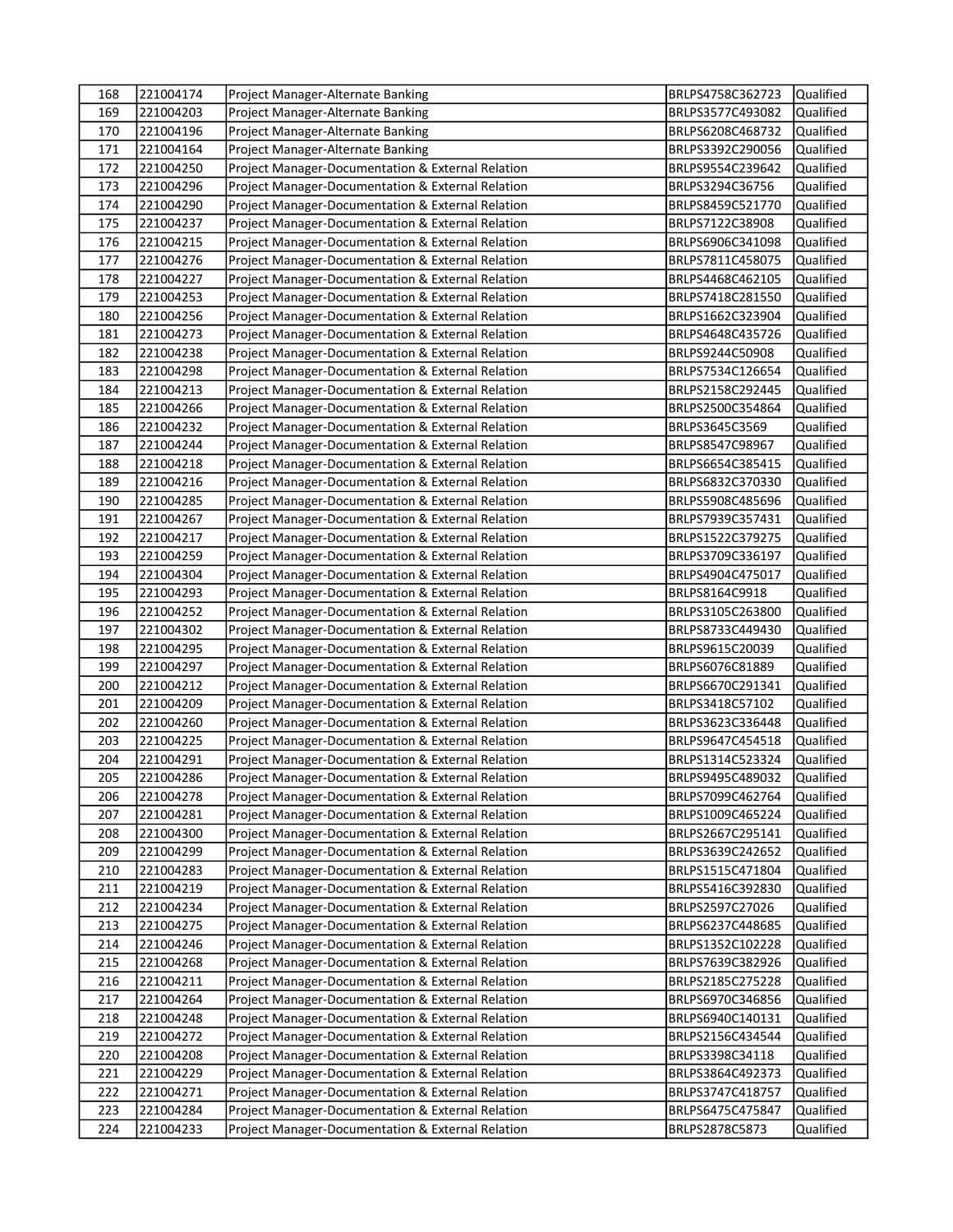| 168        | 221004174              | Project Manager-Alternate Banking                                                                      | BRLPS4758C362723                     | Qualified              |
|------------|------------------------|--------------------------------------------------------------------------------------------------------|--------------------------------------|------------------------|
| 169        | 221004203              | Project Manager-Alternate Banking                                                                      | BRLPS3577C493082                     | Qualified              |
| 170        | 221004196              | Project Manager-Alternate Banking                                                                      | BRLPS6208C468732                     | Qualified              |
| 171        | 221004164              | Project Manager-Alternate Banking                                                                      | BRLPS3392C290056                     | Qualified              |
| 172        | 221004250              | Project Manager-Documentation & External Relation                                                      | BRLPS9554C239642                     | Qualified              |
| 173        | 221004296              | Project Manager-Documentation & External Relation                                                      | BRLPS3294C36756                      | Qualified              |
| 174        | 221004290              | Project Manager-Documentation & External Relation                                                      | BRLPS8459C521770                     | Qualified              |
| 175        | 221004237              | Project Manager-Documentation & External Relation                                                      | BRLPS7122C38908                      | Qualified              |
| 176        | 221004215              | Project Manager-Documentation & External Relation                                                      | BRLPS6906C341098                     | Qualified              |
| 177        | 221004276              | Project Manager-Documentation & External Relation                                                      | BRLPS7811C458075                     | Qualified              |
| 178        | 221004227              | Project Manager-Documentation & External Relation                                                      | BRLPS4468C462105                     | Qualified              |
| 179        | 221004253              | Project Manager-Documentation & External Relation                                                      | BRLPS7418C281550                     | Qualified              |
| 180        | 221004256              | Project Manager-Documentation & External Relation                                                      | BRLPS1662C323904                     | Qualified              |
| 181        | 221004273              | Project Manager-Documentation & External Relation                                                      | BRLPS4648C435726                     | Qualified              |
| 182        | 221004238              | Project Manager-Documentation & External Relation                                                      | BRLPS9244C50908                      | Qualified              |
| 183        | 221004298              | Project Manager-Documentation & External Relation                                                      | BRLPS7534C126654                     | Qualified              |
| 184        | 221004213              | Project Manager-Documentation & External Relation                                                      | BRLPS2158C292445                     | Qualified              |
| 185        | 221004266              | Project Manager-Documentation & External Relation                                                      | BRLPS2500C354864                     | Qualified              |
| 186        | 221004232              | Project Manager-Documentation & External Relation                                                      | BRLPS3645C3569                       | Qualified              |
| 187        | 221004244              | Project Manager-Documentation & External Relation                                                      | BRLPS8547C98967                      | Qualified              |
| 188        | 221004218              | Project Manager-Documentation & External Relation                                                      | BRLPS6654C385415                     | Qualified              |
| 189        | 221004216              | Project Manager-Documentation & External Relation                                                      | BRLPS6832C370330                     | Qualified              |
| 190        | 221004285              | Project Manager-Documentation & External Relation                                                      | BRLPS5908C485696                     | Qualified              |
| 191        | 221004267              | Project Manager-Documentation & External Relation                                                      | BRLPS7939C357431                     | Qualified              |
| 192        | 221004217              | Project Manager-Documentation & External Relation                                                      | BRLPS1522C379275                     | Qualified              |
| 193        | 221004259              | Project Manager-Documentation & External Relation                                                      | BRLPS3709C336197                     | Qualified              |
| 194        | 221004304              | Project Manager-Documentation & External Relation                                                      | BRLPS4904C475017                     | Qualified              |
| 195        | 221004293              | Project Manager-Documentation & External Relation                                                      | BRLPS8164C9918                       | Qualified              |
| 196        | 221004252              | Project Manager-Documentation & External Relation                                                      | BRLPS3105C263800                     | Qualified              |
| 197        | 221004302              | Project Manager-Documentation & External Relation                                                      | BRLPS8733C449430                     | Qualified              |
| 198        | 221004295              | Project Manager-Documentation & External Relation                                                      | BRLPS9615C20039                      | Qualified              |
| 199        | 221004297              | Project Manager-Documentation & External Relation                                                      | BRLPS6076C81889                      | Qualified              |
| 200        | 221004212              | Project Manager-Documentation & External Relation                                                      | BRLPS6670C291341                     | Qualified              |
| 201        | 221004209              | Project Manager-Documentation & External Relation                                                      | BRLPS3418C57102                      | Qualified              |
| 202        | 221004260              | Project Manager-Documentation & External Relation                                                      | BRLPS3623C336448                     | Qualified              |
| 203        | 221004225              | Project Manager-Documentation & External Relation                                                      | BRLPS9647C454518                     | Qualified              |
| 204        | 221004291              | Project Manager-Documentation & External Relation                                                      | BRLPS1314C523324                     | Qualified              |
| 205        | 221004286              | Project Manager-Documentation & External Relation                                                      | BRLPS9495C489032                     | Qualified              |
| 206        | 221004278              | Project Manager-Documentation & External Relation                                                      | BRLPS7099C462764                     | Qualified              |
| 207        | 221004281              | Project Manager-Documentation & External Relation                                                      | BRLPS1009C465224                     | Qualified              |
| 208        | 221004300              | Project Manager-Documentation & External Relation                                                      | BRLPS2667C295141                     | Qualified              |
| 209        | 221004299              | Project Manager-Documentation & External Relation                                                      | BRLPS3639C242652                     | Qualified              |
| 210        | 221004283              | Project Manager-Documentation & External Relation                                                      | BRLPS1515C471804                     | Qualified              |
| 211        | 221004219              | Project Manager-Documentation & External Relation                                                      | BRLPS5416C392830                     | Qualified              |
| 212        | 221004234              | Project Manager-Documentation & External Relation                                                      | BRLPS2597C27026                      | Qualified              |
| 213        | 221004275              | Project Manager-Documentation & External Relation                                                      | BRLPS6237C448685                     | Qualified              |
| 214        | 221004246              | Project Manager-Documentation & External Relation                                                      | BRLPS1352C102228                     | Qualified              |
| 215        | 221004268              | Project Manager-Documentation & External Relation                                                      | BRLPS7639C382926                     | Qualified              |
| 216<br>217 | 221004211<br>221004264 | Project Manager-Documentation & External Relation<br>Project Manager-Documentation & External Relation | BRLPS2185C275228<br>BRLPS6970C346856 | Qualified<br>Qualified |
| 218        | 221004248              | Project Manager-Documentation & External Relation                                                      | BRLPS6940C140131                     | Qualified              |
| 219        | 221004272              | Project Manager-Documentation & External Relation                                                      | BRLPS2156C434544                     | Qualified              |
| 220        | 221004208              |                                                                                                        | BRLPS3398C34118                      | Qualified              |
| 221        | 221004229              | Project Manager-Documentation & External Relation<br>Project Manager-Documentation & External Relation | BRLPS3864C492373                     | Qualified              |
| 222        | 221004271              | Project Manager-Documentation & External Relation                                                      | BRLPS3747C418757                     | Qualified              |
| 223        | 221004284              | Project Manager-Documentation & External Relation                                                      | BRLPS6475C475847                     | Qualified              |
| 224        | 221004233              | Project Manager-Documentation & External Relation                                                      | BRLPS2878C5873                       | Qualified              |
|            |                        |                                                                                                        |                                      |                        |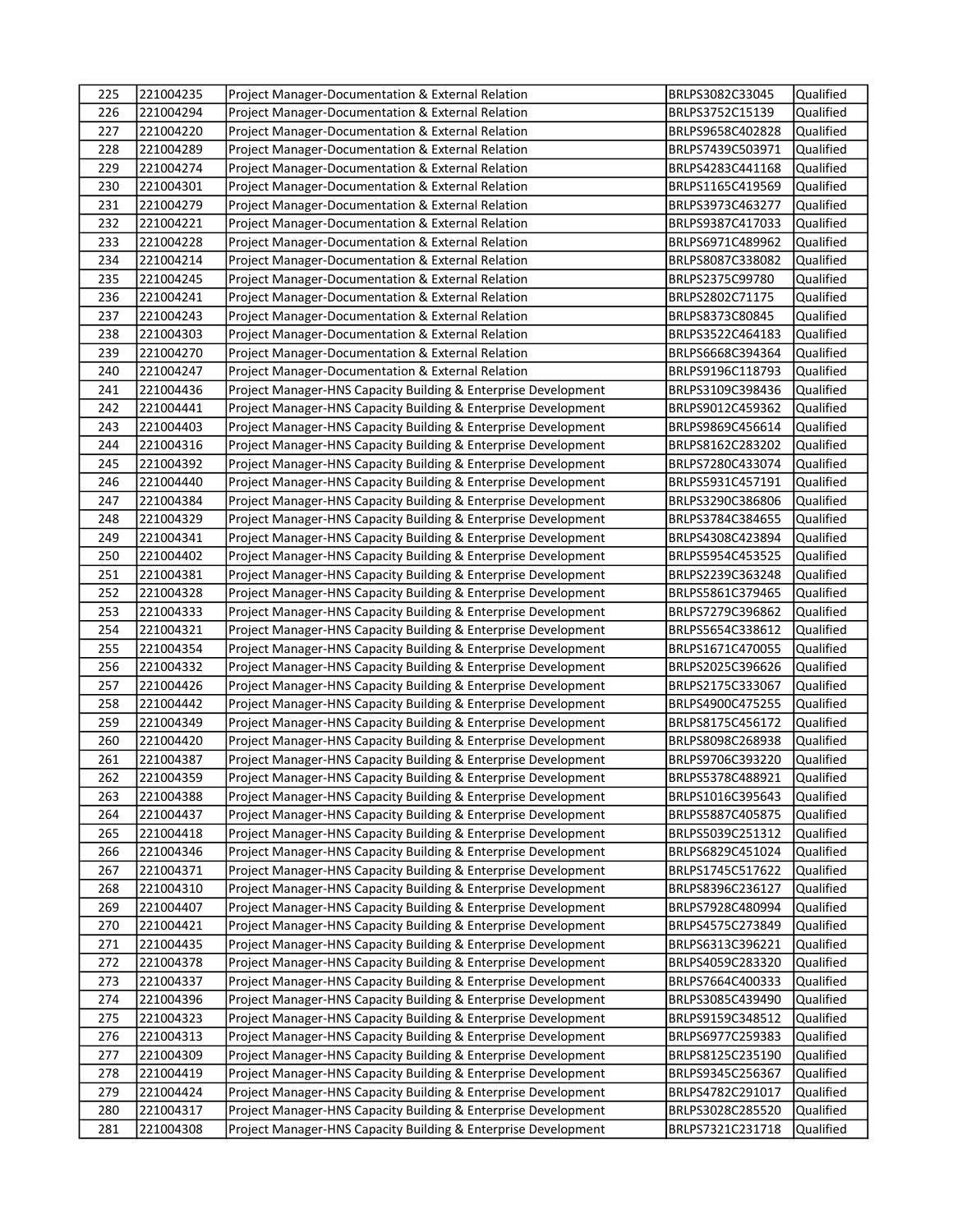| 225 | 221004235 | Project Manager-Documentation & External Relation              | BRLPS3082C33045  | Qualified        |
|-----|-----------|----------------------------------------------------------------|------------------|------------------|
| 226 | 221004294 | <b>Project Manager-Documentation &amp; External Relation</b>   | BRLPS3752C15139  | Qualified        |
| 227 | 221004220 | Project Manager-Documentation & External Relation              | BRLPS9658C402828 | Qualified        |
| 228 | 221004289 | Project Manager-Documentation & External Relation              | BRLPS7439C503971 | Qualified        |
| 229 | 221004274 | Project Manager-Documentation & External Relation              | BRLPS4283C441168 | Qualified        |
| 230 | 221004301 | Project Manager-Documentation & External Relation              | BRLPS1165C419569 | Qualified        |
| 231 | 221004279 | Project Manager-Documentation & External Relation              | BRLPS3973C463277 | Qualified        |
| 232 | 221004221 | Project Manager-Documentation & External Relation              | BRLPS9387C417033 | Qualified        |
| 233 | 221004228 | Project Manager-Documentation & External Relation              | BRLPS6971C489962 | Qualified        |
| 234 | 221004214 | Project Manager-Documentation & External Relation              | BRLPS8087C338082 | Qualified        |
| 235 | 221004245 | Project Manager-Documentation & External Relation              | BRLPS2375C99780  | Qualified        |
| 236 | 221004241 | Project Manager-Documentation & External Relation              | BRLPS2802C71175  | Qualified        |
| 237 | 221004243 | Project Manager-Documentation & External Relation              | BRLPS8373C80845  | Qualified        |
| 238 | 221004303 | Project Manager-Documentation & External Relation              | BRLPS3522C464183 | Qualified        |
| 239 | 221004270 | Project Manager-Documentation & External Relation              | BRLPS6668C394364 | Qualified        |
| 240 | 221004247 | Project Manager-Documentation & External Relation              | BRLPS9196C118793 | Qualified        |
| 241 | 221004436 | Project Manager-HNS Capacity Building & Enterprise Development | BRLPS3109C398436 | Qualified        |
| 242 | 221004441 | Project Manager-HNS Capacity Building & Enterprise Development | BRLPS9012C459362 | Qualified        |
| 243 | 221004403 | Project Manager-HNS Capacity Building & Enterprise Development | BRLPS9869C456614 | Qualified        |
| 244 | 221004316 | Project Manager-HNS Capacity Building & Enterprise Development | BRLPS8162C283202 | Qualified        |
| 245 | 221004392 | Project Manager-HNS Capacity Building & Enterprise Development | BRLPS7280C433074 | Qualified        |
| 246 | 221004440 | Project Manager-HNS Capacity Building & Enterprise Development | BRLPS5931C457191 | Qualified        |
| 247 | 221004384 | Project Manager-HNS Capacity Building & Enterprise Development | BRLPS3290C386806 | Qualified        |
| 248 | 221004329 | Project Manager-HNS Capacity Building & Enterprise Development | BRLPS3784C384655 | Qualified        |
| 249 | 221004341 | Project Manager-HNS Capacity Building & Enterprise Development | BRLPS4308C423894 | Qualified        |
| 250 | 221004402 | Project Manager-HNS Capacity Building & Enterprise Development | BRLPS5954C453525 | Qualified        |
| 251 | 221004381 | Project Manager-HNS Capacity Building & Enterprise Development | BRLPS2239C363248 | Qualified        |
| 252 | 221004328 | Project Manager-HNS Capacity Building & Enterprise Development | BRLPS5861C379465 | Qualified        |
| 253 | 221004333 | Project Manager-HNS Capacity Building & Enterprise Development | BRLPS7279C396862 | Qualified        |
| 254 | 221004321 | Project Manager-HNS Capacity Building & Enterprise Development | BRLPS5654C338612 | Qualified        |
| 255 | 221004354 | Project Manager-HNS Capacity Building & Enterprise Development | BRLPS1671C470055 | Qualified        |
| 256 | 221004332 | Project Manager-HNS Capacity Building & Enterprise Development | BRLPS2025C396626 | Qualified        |
| 257 | 221004426 | Project Manager-HNS Capacity Building & Enterprise Development | BRLPS2175C333067 | Qualified        |
| 258 | 221004442 | Project Manager-HNS Capacity Building & Enterprise Development | BRLPS4900C475255 | Qualified        |
| 259 | 221004349 | Project Manager-HNS Capacity Building & Enterprise Development | BRLPS8175C456172 | Qualified        |
| 260 | 221004420 | Project Manager-HNS Capacity Building & Enterprise Development | BRLPS8098C268938 | Qualified        |
| 261 | 221004387 | Project Manager-HNS Capacity Building & Enterprise Development | BRLPS9706C393220 | Qualified        |
| 262 | 221004359 | Project Manager-HNS Capacity Building & Enterprise Development | BRLPS5378C488921 | <b>Qualified</b> |
| 263 | 221004388 | Project Manager-HNS Capacity Building & Enterprise Development | BRLPS1016C395643 | Qualified        |
| 264 | 221004437 | Project Manager-HNS Capacity Building & Enterprise Development | BRLPS5887C405875 | Qualified        |
| 265 | 221004418 | Project Manager-HNS Capacity Building & Enterprise Development | BRLPS5039C251312 | Qualified        |
| 266 | 221004346 | Project Manager-HNS Capacity Building & Enterprise Development | BRLPS6829C451024 | Qualified        |
| 267 | 221004371 | Project Manager-HNS Capacity Building & Enterprise Development | BRLPS1745C517622 | Qualified        |
| 268 | 221004310 | Project Manager-HNS Capacity Building & Enterprise Development | BRLPS8396C236127 | Qualified        |
| 269 | 221004407 | Project Manager-HNS Capacity Building & Enterprise Development | BRLPS7928C480994 | Qualified        |
| 270 | 221004421 | Project Manager-HNS Capacity Building & Enterprise Development | BRLPS4575C273849 | Qualified        |
| 271 | 221004435 | Project Manager-HNS Capacity Building & Enterprise Development | BRLPS6313C396221 | Qualified        |
| 272 | 221004378 | Project Manager-HNS Capacity Building & Enterprise Development | BRLPS4059C283320 | Qualified        |
| 273 | 221004337 | Project Manager-HNS Capacity Building & Enterprise Development | BRLPS7664C400333 | Qualified        |
| 274 | 221004396 | Project Manager-HNS Capacity Building & Enterprise Development | BRLPS3085C439490 | Qualified        |
| 275 | 221004323 | Project Manager-HNS Capacity Building & Enterprise Development | BRLPS9159C348512 | Qualified        |
| 276 | 221004313 | Project Manager-HNS Capacity Building & Enterprise Development | BRLPS6977C259383 | Qualified        |
| 277 | 221004309 | Project Manager-HNS Capacity Building & Enterprise Development | BRLPS8125C235190 | Qualified        |
| 278 | 221004419 | Project Manager-HNS Capacity Building & Enterprise Development | BRLPS9345C256367 | Qualified        |
| 279 | 221004424 | Project Manager-HNS Capacity Building & Enterprise Development | BRLPS4782C291017 | Qualified        |
| 280 | 221004317 | Project Manager-HNS Capacity Building & Enterprise Development | BRLPS3028C285520 | Qualified        |
| 281 | 221004308 | Project Manager-HNS Capacity Building & Enterprise Development | BRLPS7321C231718 | Qualified        |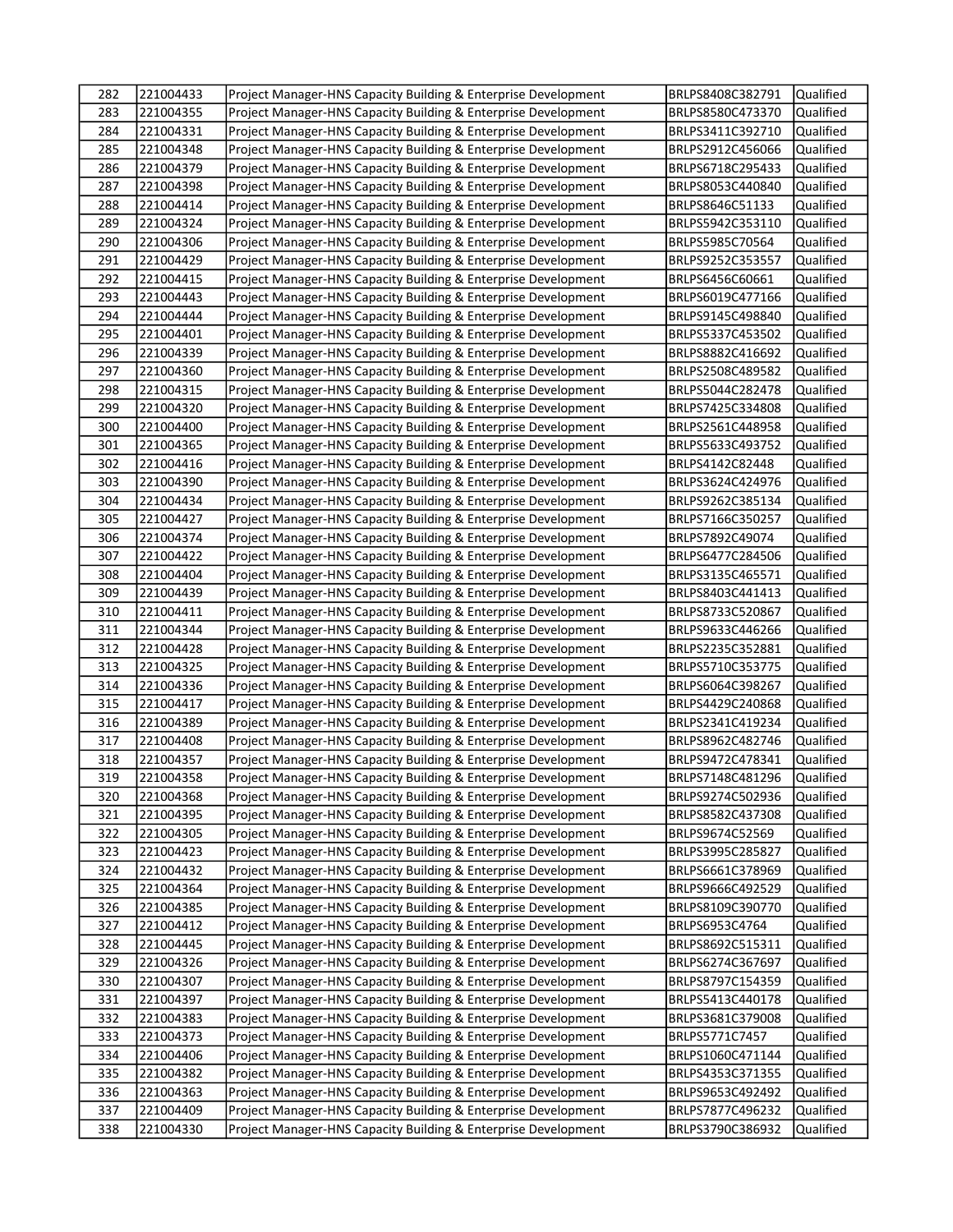| 282        | 221004433              | Project Manager-HNS Capacity Building & Enterprise Development                                                                   | BRLPS8408C382791                   | <b>Qualified</b>       |
|------------|------------------------|----------------------------------------------------------------------------------------------------------------------------------|------------------------------------|------------------------|
| 283        | 221004355              | Project Manager-HNS Capacity Building & Enterprise Development                                                                   | BRLPS8580C473370                   | Qualified              |
| 284        | 221004331              | Project Manager-HNS Capacity Building & Enterprise Development                                                                   | BRLPS3411C392710                   | Qualified              |
| 285        | 221004348              | Project Manager-HNS Capacity Building & Enterprise Development                                                                   | BRLPS2912C456066                   | Qualified              |
| 286        | 221004379              | Project Manager-HNS Capacity Building & Enterprise Development                                                                   | BRLPS6718C295433                   | Qualified              |
| 287        | 221004398              | Project Manager-HNS Capacity Building & Enterprise Development                                                                   | BRLPS8053C440840                   | Qualified              |
| 288        | 221004414              | Project Manager-HNS Capacity Building & Enterprise Development                                                                   | BRLPS8646C51133                    | Qualified              |
| 289        | 221004324              | Project Manager-HNS Capacity Building & Enterprise Development                                                                   | BRLPS5942C353110                   | Qualified              |
| 290        | 221004306              | Project Manager-HNS Capacity Building & Enterprise Development                                                                   | BRLPS5985C70564                    | Qualified              |
| 291        | 221004429              | Project Manager-HNS Capacity Building & Enterprise Development                                                                   | BRLPS9252C353557                   | Qualified              |
| 292        | 221004415              | Project Manager-HNS Capacity Building & Enterprise Development                                                                   | BRLPS6456C60661                    | Qualified              |
| 293        | 221004443              | Project Manager-HNS Capacity Building & Enterprise Development                                                                   | BRLPS6019C477166                   | Qualified              |
| 294        | 221004444              | Project Manager-HNS Capacity Building & Enterprise Development                                                                   | BRLPS9145C498840                   | Qualified              |
| 295        | 221004401              | Project Manager-HNS Capacity Building & Enterprise Development                                                                   | BRLPS5337C453502                   | Qualified              |
| 296        | 221004339              | Project Manager-HNS Capacity Building & Enterprise Development                                                                   | BRLPS8882C416692                   | Qualified              |
| 297        | 221004360              | Project Manager-HNS Capacity Building & Enterprise Development                                                                   | BRLPS2508C489582                   | Qualified              |
| 298        | 221004315              | Project Manager-HNS Capacity Building & Enterprise Development                                                                   | BRLPS5044C282478                   | Qualified              |
| 299        | 221004320              | Project Manager-HNS Capacity Building & Enterprise Development                                                                   | BRLPS7425C334808                   | Qualified              |
| 300        | 221004400              | Project Manager-HNS Capacity Building & Enterprise Development                                                                   | BRLPS2561C448958                   | Qualified              |
| 301        | 221004365              | Project Manager-HNS Capacity Building & Enterprise Development                                                                   | BRLPS5633C493752                   | Qualified              |
| 302        | 221004416              | Project Manager-HNS Capacity Building & Enterprise Development                                                                   | BRLPS4142C82448                    | Qualified              |
| 303        | 221004390              | Project Manager-HNS Capacity Building & Enterprise Development                                                                   | BRLPS3624C424976                   | Qualified              |
| 304        | 221004434              | Project Manager-HNS Capacity Building & Enterprise Development                                                                   | BRLPS9262C385134                   | Qualified              |
| 305        | 221004427              | Project Manager-HNS Capacity Building & Enterprise Development                                                                   | BRLPS7166C350257                   | Qualified              |
| 306        | 221004374              | Project Manager-HNS Capacity Building & Enterprise Development                                                                   | BRLPS7892C49074                    | Qualified              |
| 307        | 221004422              | Project Manager-HNS Capacity Building & Enterprise Development                                                                   | BRLPS6477C284506                   | Qualified              |
| 308        | 221004404              | Project Manager-HNS Capacity Building & Enterprise Development                                                                   | BRLPS3135C465571                   | Qualified              |
| 309        | 221004439              | Project Manager-HNS Capacity Building & Enterprise Development                                                                   | BRLPS8403C441413                   | Qualified              |
| 310        | 221004411              | Project Manager-HNS Capacity Building & Enterprise Development                                                                   | BRLPS8733C520867                   | Qualified              |
| 311        | 221004344              | Project Manager-HNS Capacity Building & Enterprise Development                                                                   | BRLPS9633C446266                   | Qualified              |
| 312        | 221004428              | Project Manager-HNS Capacity Building & Enterprise Development                                                                   | BRLPS2235C352881                   | Qualified              |
| 313        | 221004325              | Project Manager-HNS Capacity Building & Enterprise Development                                                                   | BRLPS5710C353775                   | Qualified              |
| 314        | 221004336              | Project Manager-HNS Capacity Building & Enterprise Development                                                                   | BRLPS6064C398267                   | Qualified              |
| 315        | 221004417              | Project Manager-HNS Capacity Building & Enterprise Development                                                                   | BRLPS4429C240868                   | Qualified              |
| 316        | 221004389              | Project Manager-HNS Capacity Building & Enterprise Development                                                                   | BRLPS2341C419234                   | Qualified              |
| 317        | 221004408              | Project Manager-HNS Capacity Building & Enterprise Development                                                                   | BRLPS8962C482746                   | Qualified              |
| 318        | 221004357              | Project Manager-HNS Capacity Building & Enterprise Development                                                                   | BRLPS9472C478341                   | Qualified              |
| 319        | 221004358              | Project Manager-HNS Capacity Building & Enterprise Development                                                                   | BRLPS7148C481296                   | Qualified              |
| 320        | 221004368              | Project Manager-HNS Capacity Building & Enterprise Development                                                                   | BRLPS9274C502936                   | Qualified              |
| 321        | 221004395              | Project Manager-HNS Capacity Building & Enterprise Development                                                                   | BRLPS8582C437308                   | Qualified              |
| 322        | 221004305              | Project Manager-HNS Capacity Building & Enterprise Development                                                                   | BRLPS9674C52569                    | Qualified              |
| 323        | 221004423              | Project Manager-HNS Capacity Building & Enterprise Development                                                                   | BRLPS3995C285827                   | Qualified              |
| 324        | 221004432              | Project Manager-HNS Capacity Building & Enterprise Development                                                                   | BRLPS6661C378969                   | Qualified              |
| 325        | 221004364              | Project Manager-HNS Capacity Building & Enterprise Development                                                                   | BRLPS9666C492529                   | Qualified              |
| 326        | 221004385              | Project Manager-HNS Capacity Building & Enterprise Development                                                                   | BRLPS8109C390770                   | Qualified              |
| 327        | 221004412              | Project Manager-HNS Capacity Building & Enterprise Development                                                                   | BRLPS6953C4764                     | Qualified              |
| 328        | 221004445              | Project Manager-HNS Capacity Building & Enterprise Development                                                                   | BRLPS8692C515311                   | Qualified              |
| 329        | 221004326              | Project Manager-HNS Capacity Building & Enterprise Development                                                                   | BRLPS6274C367697                   | Qualified              |
| 330        | 221004307              | Project Manager-HNS Capacity Building & Enterprise Development                                                                   | BRLPS8797C154359                   | Qualified              |
| 331<br>332 | 221004397              | Project Manager-HNS Capacity Building & Enterprise Development                                                                   | BRLPS5413C440178                   | Qualified              |
|            | 221004383<br>221004373 | Project Manager-HNS Capacity Building & Enterprise Development                                                                   | BRLPS3681C379008                   | Qualified              |
| 333<br>334 | 221004406              | Project Manager-HNS Capacity Building & Enterprise Development<br>Project Manager-HNS Capacity Building & Enterprise Development | BRLPS5771C7457<br>BRLPS1060C471144 | Qualified<br>Qualified |
| 335        | 221004382              | Project Manager-HNS Capacity Building & Enterprise Development                                                                   | BRLPS4353C371355                   | Qualified              |
| 336        | 221004363              | Project Manager-HNS Capacity Building & Enterprise Development                                                                   | BRLPS9653C492492                   | Qualified              |
| 337        | 221004409              | Project Manager-HNS Capacity Building & Enterprise Development                                                                   | BRLPS7877C496232                   | Qualified              |
| 338        | 221004330              | Project Manager-HNS Capacity Building & Enterprise Development                                                                   | BRLPS3790C386932                   | Qualified              |
|            |                        |                                                                                                                                  |                                    |                        |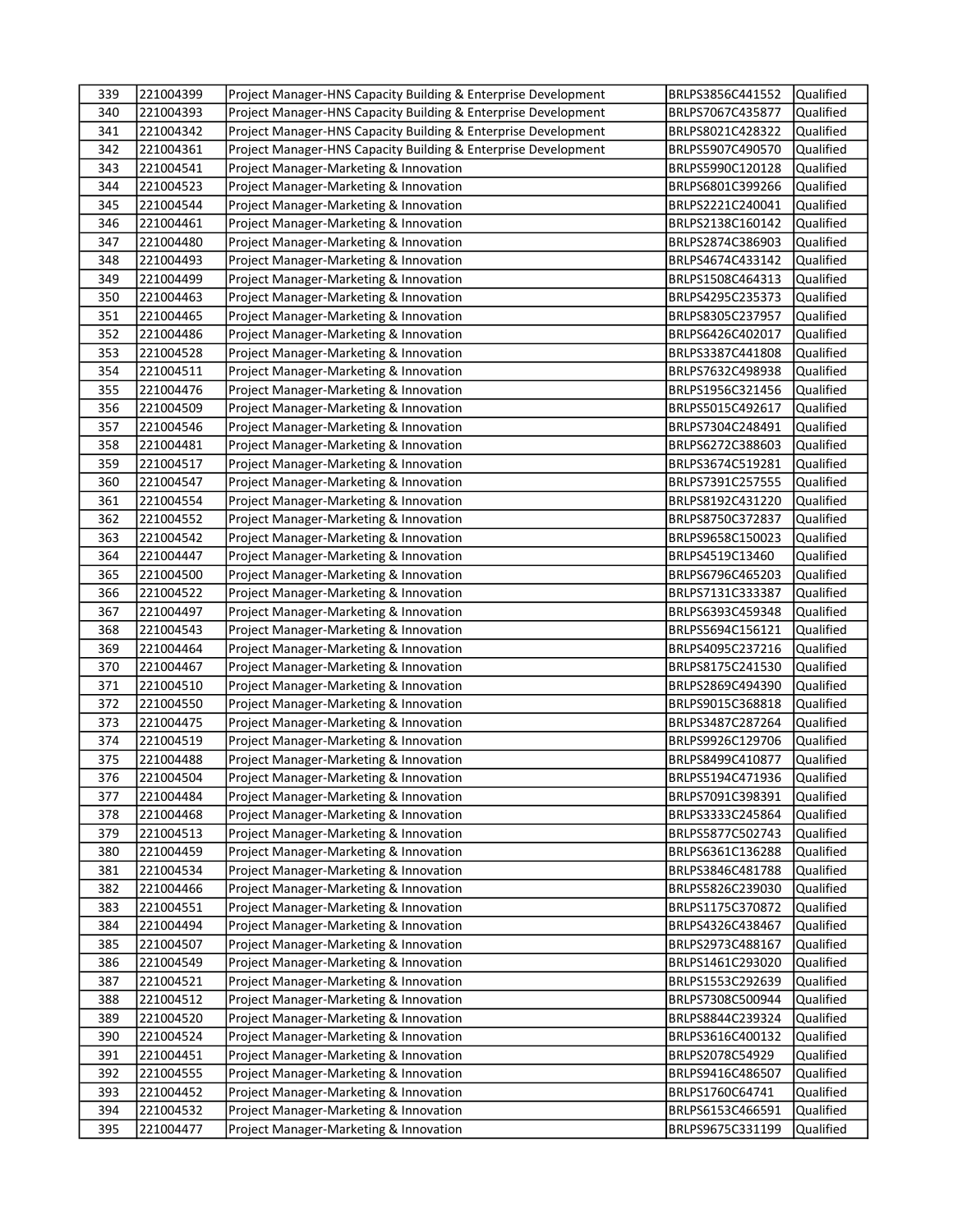| 339 | 221004399 | Project Manager-HNS Capacity Building & Enterprise Development | BRLPS3856C441552 | Qualified |
|-----|-----------|----------------------------------------------------------------|------------------|-----------|
| 340 | 221004393 | Project Manager-HNS Capacity Building & Enterprise Development | BRLPS7067C435877 | Qualified |
| 341 | 221004342 | Project Manager-HNS Capacity Building & Enterprise Development | BRLPS8021C428322 | Qualified |
| 342 | 221004361 | Project Manager-HNS Capacity Building & Enterprise Development | BRLPS5907C490570 | Qualified |
| 343 | 221004541 | Project Manager-Marketing & Innovation                         | BRLPS5990C120128 | Qualified |
| 344 | 221004523 | Project Manager-Marketing & Innovation                         | BRLPS6801C399266 | Qualified |
| 345 | 221004544 | Project Manager-Marketing & Innovation                         | BRLPS2221C240041 | Qualified |
| 346 | 221004461 | Project Manager-Marketing & Innovation                         | BRLPS2138C160142 | Qualified |
| 347 | 221004480 | Project Manager-Marketing & Innovation                         | BRLPS2874C386903 | Qualified |
| 348 | 221004493 | Project Manager-Marketing & Innovation                         | BRLPS4674C433142 | Qualified |
| 349 | 221004499 | Project Manager-Marketing & Innovation                         | BRLPS1508C464313 | Qualified |
| 350 | 221004463 | Project Manager-Marketing & Innovation                         | BRLPS4295C235373 | Qualified |
| 351 | 221004465 | Project Manager-Marketing & Innovation                         | BRLPS8305C237957 | Qualified |
| 352 | 221004486 | Project Manager-Marketing & Innovation                         | BRLPS6426C402017 | Qualified |
| 353 | 221004528 | Project Manager-Marketing & Innovation                         | BRLPS3387C441808 | Qualified |
| 354 | 221004511 | Project Manager-Marketing & Innovation                         | BRLPS7632C498938 | Qualified |
| 355 | 221004476 | Project Manager-Marketing & Innovation                         | BRLPS1956C321456 | Qualified |
| 356 | 221004509 | Project Manager-Marketing & Innovation                         | BRLPS5015C492617 | Qualified |
| 357 | 221004546 | Project Manager-Marketing & Innovation                         | BRLPS7304C248491 | Qualified |
| 358 | 221004481 | Project Manager-Marketing & Innovation                         | BRLPS6272C388603 | Qualified |
| 359 | 221004517 | Project Manager-Marketing & Innovation                         | BRLPS3674C519281 | Qualified |
| 360 | 221004547 | Project Manager-Marketing & Innovation                         | BRLPS7391C257555 | Qualified |
| 361 | 221004554 | Project Manager-Marketing & Innovation                         | BRLPS8192C431220 | Qualified |
| 362 | 221004552 | Project Manager-Marketing & Innovation                         | BRLPS8750C372837 | Qualified |
| 363 | 221004542 | Project Manager-Marketing & Innovation                         | BRLPS9658C150023 | Qualified |
| 364 | 221004447 | Project Manager-Marketing & Innovation                         | BRLPS4519C13460  | Qualified |
| 365 | 221004500 | Project Manager-Marketing & Innovation                         | BRLPS6796C465203 | Qualified |
| 366 | 221004522 | Project Manager-Marketing & Innovation                         | BRLPS7131C333387 | Qualified |
| 367 | 221004497 | Project Manager-Marketing & Innovation                         | BRLPS6393C459348 | Qualified |
| 368 | 221004543 | Project Manager-Marketing & Innovation                         | BRLPS5694C156121 | Qualified |
| 369 | 221004464 | Project Manager-Marketing & Innovation                         | BRLPS4095C237216 | Qualified |
| 370 | 221004467 | Project Manager-Marketing & Innovation                         | BRLPS8175C241530 | Qualified |
| 371 | 221004510 | Project Manager-Marketing & Innovation                         | BRLPS2869C494390 | Qualified |
| 372 | 221004550 | Project Manager-Marketing & Innovation                         | BRLPS9015C368818 | Qualified |
| 373 | 221004475 | Project Manager-Marketing & Innovation                         | BRLPS3487C287264 | Qualified |
| 374 | 221004519 | Project Manager-Marketing & Innovation                         | BRLPS9926C129706 | Qualified |
| 375 | 221004488 | Project Manager-Marketing & Innovation                         | BRLPS8499C410877 | Qualified |
| 376 | 221004504 | Project Manager-Marketing & Innovation                         | BRLPS5194C471936 | Qualified |
| 377 | 221004484 | Project Manager-Marketing & Innovation                         | BRLPS7091C398391 | Qualified |
| 378 | 221004468 | Project Manager-Marketing & Innovation                         | BRLPS3333C245864 | Qualified |
| 379 | 221004513 | Project Manager-Marketing & Innovation                         | BRLPS5877C502743 | Qualified |
| 380 | 221004459 | Project Manager-Marketing & Innovation                         | BRLPS6361C136288 | Qualified |
| 381 | 221004534 | Project Manager-Marketing & Innovation                         | BRLPS3846C481788 | Qualified |
| 382 | 221004466 | Project Manager-Marketing & Innovation                         | BRLPS5826C239030 | Qualified |
| 383 | 221004551 | Project Manager-Marketing & Innovation                         | BRLPS1175C370872 | Qualified |
| 384 | 221004494 | Project Manager-Marketing & Innovation                         | BRLPS4326C438467 | Qualified |
| 385 | 221004507 | Project Manager-Marketing & Innovation                         | BRLPS2973C488167 | Qualified |
| 386 | 221004549 | Project Manager-Marketing & Innovation                         | BRLPS1461C293020 | Qualified |
| 387 | 221004521 | Project Manager-Marketing & Innovation                         | BRLPS1553C292639 | Qualified |
| 388 | 221004512 | Project Manager-Marketing & Innovation                         | BRLPS7308C500944 | Qualified |
| 389 | 221004520 | Project Manager-Marketing & Innovation                         | BRLPS8844C239324 | Qualified |
| 390 | 221004524 | Project Manager-Marketing & Innovation                         | BRLPS3616C400132 | Qualified |
| 391 | 221004451 | Project Manager-Marketing & Innovation                         | BRLPS2078C54929  | Qualified |
| 392 | 221004555 | Project Manager-Marketing & Innovation                         | BRLPS9416C486507 | Qualified |
| 393 | 221004452 | Project Manager-Marketing & Innovation                         | BRLPS1760C64741  | Qualified |
| 394 | 221004532 | Project Manager-Marketing & Innovation                         | BRLPS6153C466591 | Qualified |
| 395 | 221004477 | Project Manager-Marketing & Innovation                         | BRLPS9675C331199 | Qualified |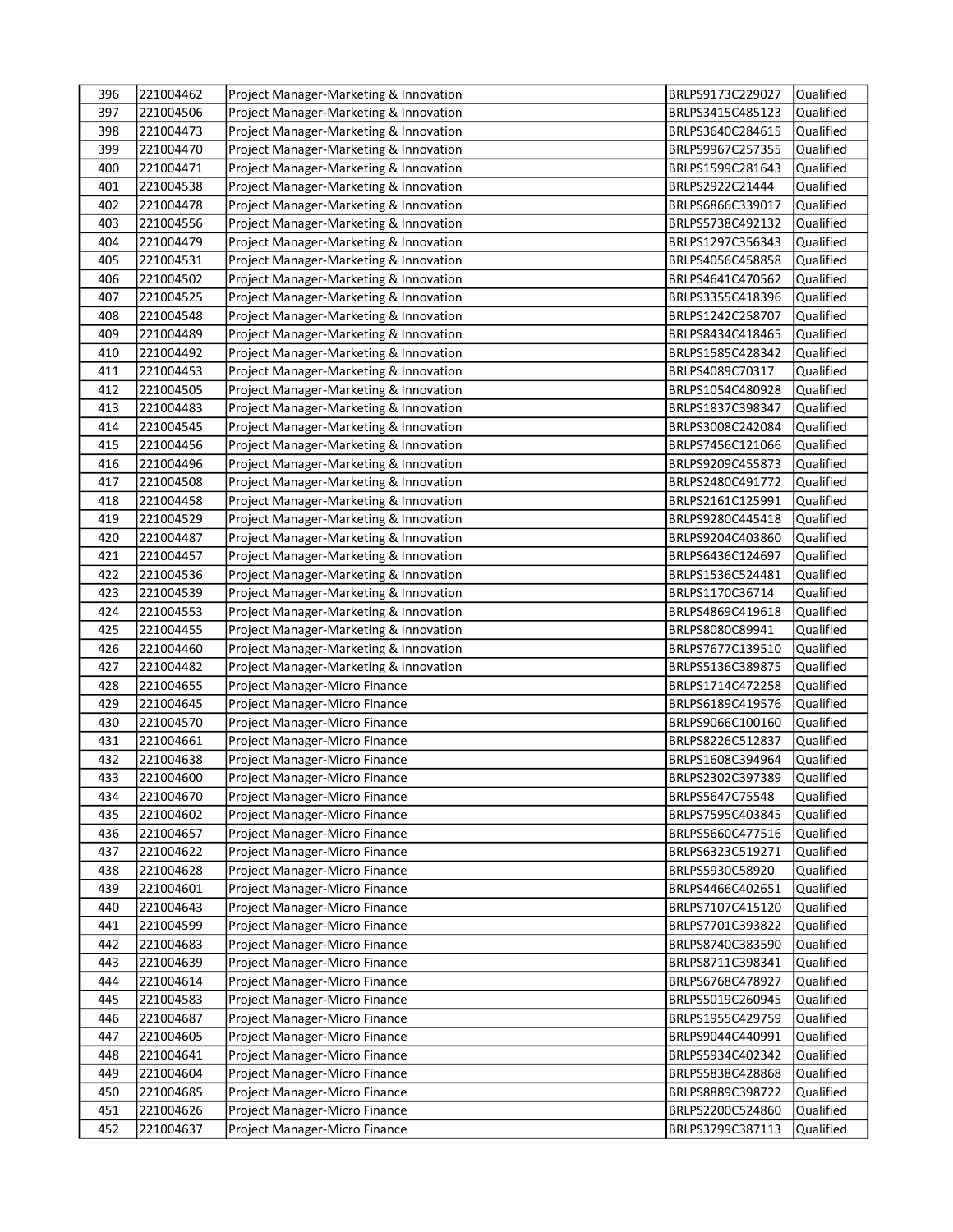| 396 | 221004462 | Project Manager-Marketing & Innovation | BRLPS9173C229027 | Qualified |
|-----|-----------|----------------------------------------|------------------|-----------|
| 397 | 221004506 | Project Manager-Marketing & Innovation | BRLPS3415C485123 | Qualified |
| 398 | 221004473 | Project Manager-Marketing & Innovation | BRLPS3640C284615 | Qualified |
| 399 | 221004470 | Project Manager-Marketing & Innovation | BRLPS9967C257355 | Qualified |
| 400 | 221004471 | Project Manager-Marketing & Innovation | BRLPS1599C281643 | Qualified |
| 401 | 221004538 | Project Manager-Marketing & Innovation | BRLPS2922C21444  | Qualified |
| 402 | 221004478 | Project Manager-Marketing & Innovation | BRLPS6866C339017 | Qualified |
| 403 | 221004556 | Project Manager-Marketing & Innovation | BRLPS5738C492132 | Qualified |
| 404 | 221004479 | Project Manager-Marketing & Innovation | BRLPS1297C356343 | Qualified |
| 405 | 221004531 | Project Manager-Marketing & Innovation | BRLPS4056C458858 | Qualified |
| 406 | 221004502 | Project Manager-Marketing & Innovation | BRLPS4641C470562 | Qualified |
| 407 | 221004525 | Project Manager-Marketing & Innovation | BRLPS3355C418396 | Qualified |
| 408 | 221004548 | Project Manager-Marketing & Innovation | BRLPS1242C258707 | Qualified |
| 409 | 221004489 | Project Manager-Marketing & Innovation | BRLPS8434C418465 | Qualified |
| 410 | 221004492 | Project Manager-Marketing & Innovation | BRLPS1585C428342 | Qualified |
| 411 | 221004453 | Project Manager-Marketing & Innovation | BRLPS4089C70317  | Qualified |
| 412 | 221004505 | Project Manager-Marketing & Innovation | BRLPS1054C480928 | Qualified |
| 413 | 221004483 | Project Manager-Marketing & Innovation | BRLPS1837C398347 | Qualified |
| 414 | 221004545 | Project Manager-Marketing & Innovation | BRLPS3008C242084 | Qualified |
| 415 | 221004456 | Project Manager-Marketing & Innovation | BRLPS7456C121066 | Qualified |
| 416 | 221004496 | Project Manager-Marketing & Innovation | BRLPS9209C455873 | Qualified |
| 417 | 221004508 | Project Manager-Marketing & Innovation | BRLPS2480C491772 | Qualified |
| 418 | 221004458 | Project Manager-Marketing & Innovation | BRLPS2161C125991 | Qualified |
| 419 | 221004529 | Project Manager-Marketing & Innovation | BRLPS9280C445418 | Qualified |
| 420 | 221004487 | Project Manager-Marketing & Innovation | BRLPS9204C403860 | Qualified |
| 421 | 221004457 | Project Manager-Marketing & Innovation | BRLPS6436C124697 | Qualified |
| 422 | 221004536 | Project Manager-Marketing & Innovation | BRLPS1536C524481 | Qualified |
| 423 | 221004539 | Project Manager-Marketing & Innovation | BRLPS1170C36714  | Qualified |
| 424 | 221004553 | Project Manager-Marketing & Innovation | BRLPS4869C419618 | Qualified |
| 425 | 221004455 | Project Manager-Marketing & Innovation | BRLPS8080C89941  | Qualified |
| 426 | 221004460 | Project Manager-Marketing & Innovation | BRLPS7677C139510 | Qualified |
| 427 | 221004482 | Project Manager-Marketing & Innovation | BRLPS5136C389875 | Qualified |
| 428 | 221004655 | Project Manager-Micro Finance          | BRLPS1714C472258 | Qualified |
| 429 | 221004645 | Project Manager-Micro Finance          | BRLPS6189C419576 | Qualified |
| 430 | 221004570 | Project Manager-Micro Finance          | BRLPS9066C100160 | Qualified |
| 431 | 221004661 | Project Manager-Micro Finance          | BRLPS8226C512837 | Qualified |
| 432 | 221004638 | Project Manager-Micro Finance          | BRLPS1608C394964 | Qualified |
| 433 | 221004600 | Project Manager-Micro Finance          | BRLPS2302C397389 | Qualified |
| 434 | 221004670 | Project Manager-Micro Finance          | BRLPS5647C75548  | Qualified |
| 435 | 221004602 | Project Manager-Micro Finance          | BRLPS7595C403845 | Qualified |
| 436 | 221004657 | Project Manager-Micro Finance          | BRLPS5660C477516 | Qualified |
| 437 | 221004622 | Project Manager-Micro Finance          | BRLPS6323C519271 | Qualified |
| 438 | 221004628 | Project Manager-Micro Finance          | BRLPS5930C58920  | Qualified |
| 439 | 221004601 | Project Manager-Micro Finance          | BRLPS4466C402651 | Qualified |
| 440 | 221004643 | Project Manager-Micro Finance          | BRLPS7107C415120 | Qualified |
| 441 | 221004599 | Project Manager-Micro Finance          | BRLPS7701C393822 | Qualified |
| 442 | 221004683 | Project Manager-Micro Finance          | BRLPS8740C383590 | Qualified |
| 443 | 221004639 | Project Manager-Micro Finance          | BRLPS8711C398341 | Qualified |
| 444 | 221004614 | Project Manager-Micro Finance          | BRLPS6768C478927 | Qualified |
| 445 | 221004583 | Project Manager-Micro Finance          | BRLPS5019C260945 | Qualified |
| 446 | 221004687 | Project Manager-Micro Finance          | BRLPS1955C429759 | Qualified |
| 447 | 221004605 | Project Manager-Micro Finance          | BRLPS9044C440991 | Qualified |
| 448 | 221004641 | Project Manager-Micro Finance          | BRLPS5934C402342 | Qualified |
| 449 | 221004604 | Project Manager-Micro Finance          | BRLPS5838C428868 | Qualified |
| 450 | 221004685 | Project Manager-Micro Finance          | BRLPS8889C398722 | Qualified |
| 451 | 221004626 | Project Manager-Micro Finance          | BRLPS2200C524860 | Qualified |
| 452 | 221004637 | Project Manager-Micro Finance          | BRLPS3799C387113 | Qualified |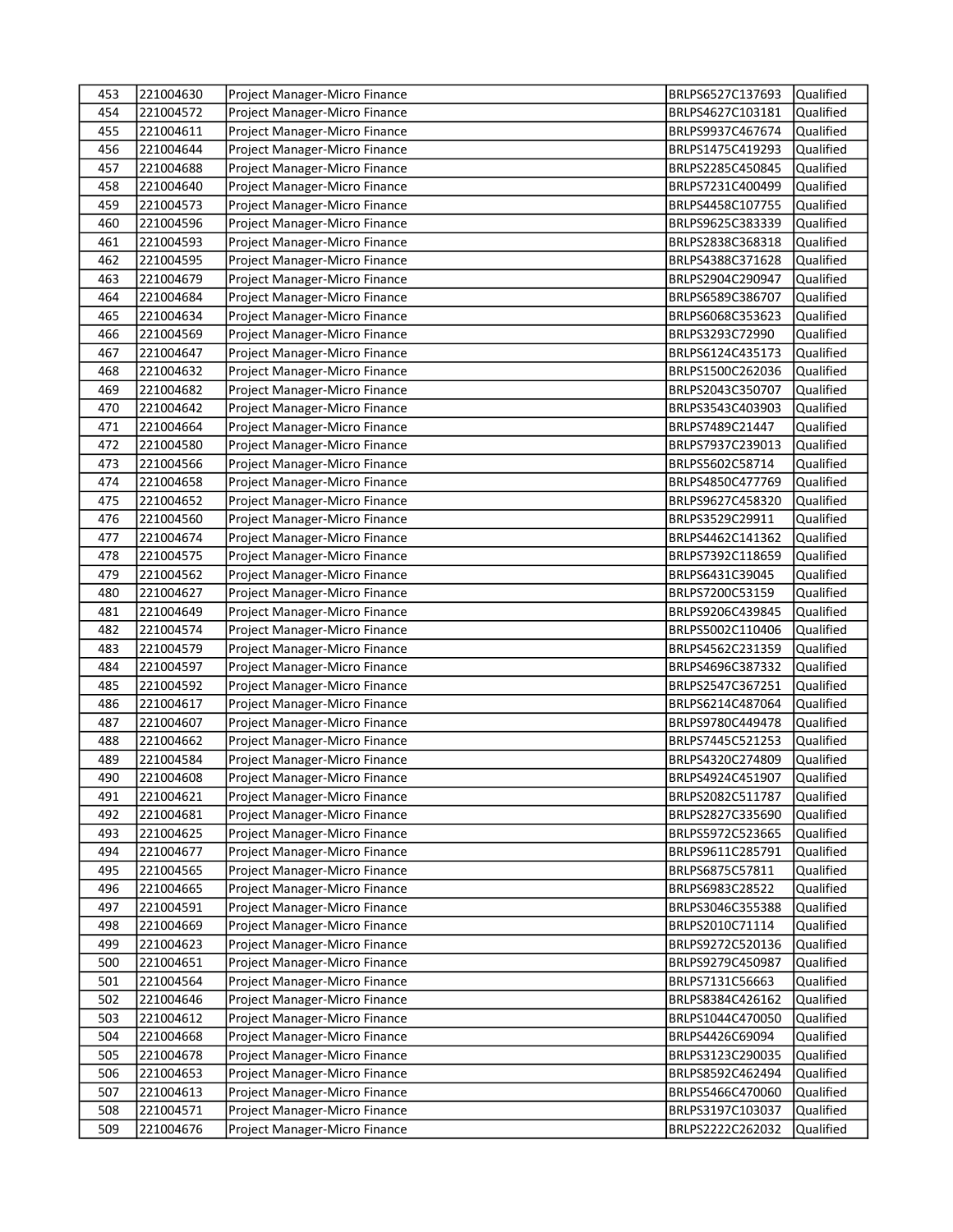| 453        | 221004630              | Project Manager-Micro Finance                                  | BRLPS6527C137693                     | Qualified              |
|------------|------------------------|----------------------------------------------------------------|--------------------------------------|------------------------|
| 454        | 221004572              | Project Manager-Micro Finance                                  | BRLPS4627C103181                     | Qualified              |
| 455        | 221004611              | Project Manager-Micro Finance                                  | BRLPS9937C467674                     | Qualified              |
| 456        | 221004644              | Project Manager-Micro Finance                                  | BRLPS1475C419293                     | Qualified              |
| 457        | 221004688              | Project Manager-Micro Finance                                  | BRLPS2285C450845                     | Qualified              |
| 458        | 221004640              | Project Manager-Micro Finance                                  | BRLPS7231C400499                     | Qualified              |
| 459        | 221004573              | Project Manager-Micro Finance                                  | BRLPS4458C107755                     | Qualified              |
| 460        | 221004596              | Project Manager-Micro Finance                                  | BRLPS9625C383339                     | Qualified              |
| 461        | 221004593              | Project Manager-Micro Finance                                  | BRLPS2838C368318                     | Qualified              |
| 462        | 221004595              | Project Manager-Micro Finance                                  | BRLPS4388C371628                     | Qualified              |
| 463        | 221004679              | Project Manager-Micro Finance                                  | BRLPS2904C290947                     | Qualified              |
| 464        | 221004684              | Project Manager-Micro Finance                                  | BRLPS6589C386707                     | Qualified              |
| 465        | 221004634              | Project Manager-Micro Finance                                  | BRLPS6068C353623                     | Qualified              |
| 466        | 221004569              | Project Manager-Micro Finance                                  | BRLPS3293C72990                      | Qualified              |
| 467        | 221004647              | Project Manager-Micro Finance                                  | BRLPS6124C435173                     | Qualified              |
| 468        | 221004632              | Project Manager-Micro Finance                                  | BRLPS1500C262036                     | Qualified              |
| 469        | 221004682              | Project Manager-Micro Finance                                  | BRLPS2043C350707                     | Qualified              |
| 470        | 221004642              | Project Manager-Micro Finance                                  | BRLPS3543C403903                     | Qualified              |
| 471        | 221004664              | Project Manager-Micro Finance                                  | BRLPS7489C21447                      | Qualified              |
| 472        | 221004580              | Project Manager-Micro Finance                                  | BRLPS7937C239013                     | Qualified              |
| 473        | 221004566              | Project Manager-Micro Finance                                  | BRLPS5602C58714                      | Qualified              |
| 474        | 221004658              | Project Manager-Micro Finance                                  | BRLPS4850C477769                     | Qualified              |
| 475        | 221004652              | Project Manager-Micro Finance                                  | BRLPS9627C458320                     | Qualified              |
| 476        | 221004560              | Project Manager-Micro Finance                                  | BRLPS3529C29911                      | Qualified              |
| 477        | 221004674              | Project Manager-Micro Finance                                  | BRLPS4462C141362                     | Qualified              |
| 478        | 221004575              | Project Manager-Micro Finance                                  | BRLPS7392C118659                     | Qualified              |
| 479        | 221004562              | Project Manager-Micro Finance                                  | BRLPS6431C39045                      | Qualified              |
| 480        | 221004627              | Project Manager-Micro Finance                                  | BRLPS7200C53159                      | Qualified              |
| 481        | 221004649              | Project Manager-Micro Finance                                  | BRLPS9206C439845                     | Qualified              |
| 482        | 221004574              | Project Manager-Micro Finance                                  | BRLPS5002C110406                     | Qualified              |
| 483        | 221004579              | Project Manager-Micro Finance                                  | BRLPS4562C231359                     | Qualified              |
| 484        | 221004597              | Project Manager-Micro Finance                                  | BRLPS4696C387332                     | Qualified              |
| 485        | 221004592              | Project Manager-Micro Finance                                  | BRLPS2547C367251                     | Qualified              |
| 486        | 221004617              | Project Manager-Micro Finance                                  | BRLPS6214C487064                     | Qualified              |
| 487        | 221004607              | Project Manager-Micro Finance                                  | BRLPS9780C449478<br>BRLPS7445C521253 | Qualified              |
| 488        | 221004662              | Project Manager-Micro Finance                                  |                                      | Qualified              |
| 489<br>490 | 221004584              | Project Manager-Micro Finance<br>Project Manager-Micro Finance | BRLPS4320C274809<br>BRLPS4924C451907 | Qualified              |
|            | 221004608<br>221004621 | Project Manager-Micro Finance                                  |                                      | Qualified<br>Qualified |
| 491<br>492 | 221004681              | Project Manager-Micro Finance                                  | BRLPS2082C511787<br>BRLPS2827C335690 | Qualified              |
| 493        | 221004625              | Project Manager-Micro Finance                                  | BRLPS5972C523665                     | Qualified              |
| 494        | 221004677              | Project Manager-Micro Finance                                  | BRLPS9611C285791                     | Qualified              |
| 495        | 221004565              | Project Manager-Micro Finance                                  | BRLPS6875C57811                      | Qualified              |
| 496        | 221004665              | Project Manager-Micro Finance                                  | BRLPS6983C28522                      | Qualified              |
| 497        | 221004591              | Project Manager-Micro Finance                                  | BRLPS3046C355388                     | Qualified              |
| 498        | 221004669              | Project Manager-Micro Finance                                  | BRLPS2010C71114                      | Qualified              |
| 499        | 221004623              | Project Manager-Micro Finance                                  | BRLPS9272C520136                     | Qualified              |
| 500        | 221004651              | Project Manager-Micro Finance                                  | BRLPS9279C450987                     | Qualified              |
| 501        | 221004564              | Project Manager-Micro Finance                                  | BRLPS7131C56663                      | Qualified              |
| 502        | 221004646              | Project Manager-Micro Finance                                  | BRLPS8384C426162                     | Qualified              |
| 503        | 221004612              | Project Manager-Micro Finance                                  | BRLPS1044C470050                     | Qualified              |
| 504        | 221004668              | Project Manager-Micro Finance                                  | BRLPS4426C69094                      | Qualified              |
| 505        | 221004678              | Project Manager-Micro Finance                                  | BRLPS3123C290035                     | Qualified              |
| 506        | 221004653              | Project Manager-Micro Finance                                  | BRLPS8592C462494                     | Qualified              |
| 507        | 221004613              | Project Manager-Micro Finance                                  | BRLPS5466C470060                     | Qualified              |
| 508        | 221004571              | Project Manager-Micro Finance                                  | BRLPS3197C103037                     | Qualified              |
| 509        | 221004676              | Project Manager-Micro Finance                                  | BRLPS2222C262032                     | Qualified              |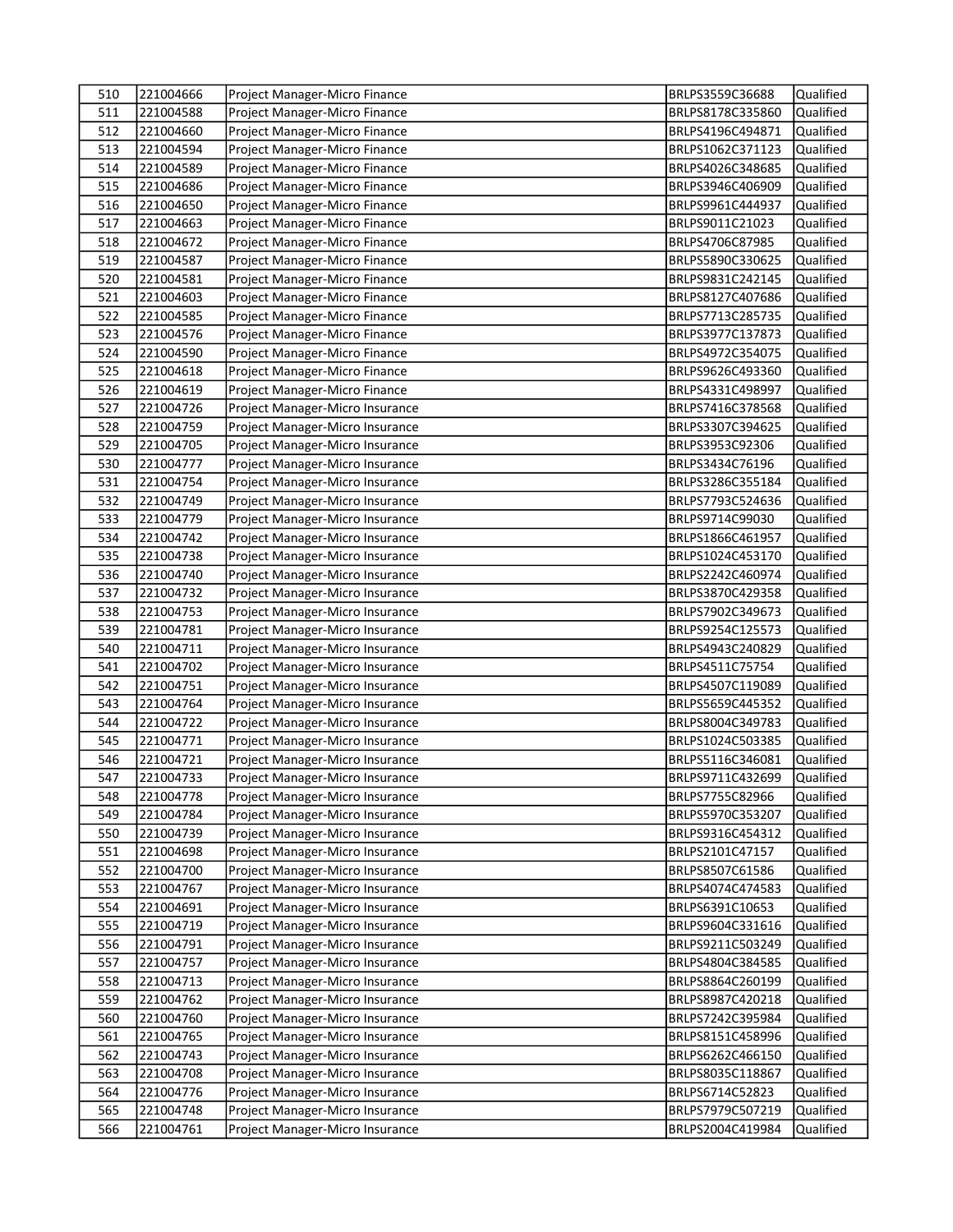| 510 | 221004666 | Project Manager-Micro Finance   | BRLPS3559C36688  | Qualified |
|-----|-----------|---------------------------------|------------------|-----------|
| 511 | 221004588 | Project Manager-Micro Finance   | BRLPS8178C335860 | Qualified |
| 512 | 221004660 | Project Manager-Micro Finance   | BRLPS4196C494871 | Qualified |
| 513 | 221004594 | Project Manager-Micro Finance   | BRLPS1062C371123 | Qualified |
| 514 | 221004589 | Project Manager-Micro Finance   | BRLPS4026C348685 | Qualified |
| 515 | 221004686 | Project Manager-Micro Finance   | BRLPS3946C406909 | Qualified |
| 516 | 221004650 | Project Manager-Micro Finance   | BRLPS9961C444937 | Qualified |
| 517 | 221004663 | Project Manager-Micro Finance   | BRLPS9011C21023  | Qualified |
| 518 | 221004672 | Project Manager-Micro Finance   | BRLPS4706C87985  | Qualified |
| 519 | 221004587 | Project Manager-Micro Finance   | BRLPS5890C330625 | Qualified |
| 520 | 221004581 | Project Manager-Micro Finance   | BRLPS9831C242145 | Qualified |
| 521 | 221004603 | Project Manager-Micro Finance   | BRLPS8127C407686 | Qualified |
| 522 | 221004585 | Project Manager-Micro Finance   | BRLPS7713C285735 | Qualified |
| 523 | 221004576 | Project Manager-Micro Finance   | BRLPS3977C137873 | Qualified |
| 524 | 221004590 | Project Manager-Micro Finance   | BRLPS4972C354075 | Qualified |
| 525 | 221004618 | Project Manager-Micro Finance   | BRLPS9626C493360 | Qualified |
| 526 | 221004619 | Project Manager-Micro Finance   | BRLPS4331C498997 | Qualified |
| 527 | 221004726 | Project Manager-Micro Insurance | BRLPS7416C378568 | Qualified |
| 528 | 221004759 | Project Manager-Micro Insurance | BRLPS3307C394625 | Qualified |
| 529 | 221004705 | Project Manager-Micro Insurance | BRLPS3953C92306  | Qualified |
| 530 | 221004777 | Project Manager-Micro Insurance | BRLPS3434C76196  | Qualified |
| 531 | 221004754 | Project Manager-Micro Insurance | BRLPS3286C355184 | Qualified |
| 532 | 221004749 | Project Manager-Micro Insurance | BRLPS7793C524636 | Qualified |
| 533 | 221004779 | Project Manager-Micro Insurance | BRLPS9714C99030  | Qualified |
| 534 | 221004742 | Project Manager-Micro Insurance | BRLPS1866C461957 | Qualified |
| 535 | 221004738 | Project Manager-Micro Insurance | BRLPS1024C453170 | Qualified |
| 536 | 221004740 | Project Manager-Micro Insurance | BRLPS2242C460974 | Qualified |
| 537 | 221004732 | Project Manager-Micro Insurance | BRLPS3870C429358 | Qualified |
| 538 | 221004753 | Project Manager-Micro Insurance | BRLPS7902C349673 | Qualified |
| 539 | 221004781 | Project Manager-Micro Insurance | BRLPS9254C125573 | Qualified |
| 540 | 221004711 | Project Manager-Micro Insurance | BRLPS4943C240829 | Qualified |
| 541 | 221004702 | Project Manager-Micro Insurance | BRLPS4511C75754  | Qualified |
| 542 | 221004751 | Project Manager-Micro Insurance | BRLPS4507C119089 | Qualified |
| 543 | 221004764 | Project Manager-Micro Insurance | BRLPS5659C445352 | Qualified |
| 544 | 221004722 | Project Manager-Micro Insurance | BRLPS8004C349783 | Qualified |
| 545 | 221004771 | Project Manager-Micro Insurance | BRLPS1024C503385 | Qualified |
| 546 | 221004721 | Project Manager-Micro Insurance | BRLPS5116C346081 | Qualified |
| 547 | 221004733 | Project Manager-Micro Insurance | BRLPS9711C432699 | Qualified |
| 548 | 221004778 | Project Manager-Micro Insurance | BRLPS7755C82966  | Qualified |
| 549 | 221004784 | Project Manager-Micro Insurance | BRLPS5970C353207 | Qualified |
| 550 | 221004739 | Project Manager-Micro Insurance | BRLPS9316C454312 | Qualified |
| 551 | 221004698 | Project Manager-Micro Insurance | BRLPS2101C47157  | Qualified |
| 552 | 221004700 | Project Manager-Micro Insurance | BRLPS8507C61586  | Qualified |
| 553 | 221004767 | Project Manager-Micro Insurance | BRLPS4074C474583 | Qualified |
| 554 | 221004691 | Project Manager-Micro Insurance | BRLPS6391C10653  | Qualified |
| 555 | 221004719 | Project Manager-Micro Insurance | BRLPS9604C331616 | Qualified |
| 556 | 221004791 | Project Manager-Micro Insurance | BRLPS9211C503249 | Qualified |
| 557 | 221004757 | Project Manager-Micro Insurance | BRLPS4804C384585 | Qualified |
| 558 | 221004713 | Project Manager-Micro Insurance | BRLPS8864C260199 | Qualified |
| 559 | 221004762 | Project Manager-Micro Insurance | BRLPS8987C420218 | Qualified |
| 560 | 221004760 | Project Manager-Micro Insurance | BRLPS7242C395984 | Qualified |
| 561 | 221004765 | Project Manager-Micro Insurance | BRLPS8151C458996 | Qualified |
| 562 | 221004743 | Project Manager-Micro Insurance | BRLPS6262C466150 | Qualified |
| 563 | 221004708 | Project Manager-Micro Insurance | BRLPS8035C118867 | Qualified |
| 564 | 221004776 | Project Manager-Micro Insurance | BRLPS6714C52823  | Qualified |
| 565 | 221004748 | Project Manager-Micro Insurance | BRLPS7979C507219 | Qualified |
| 566 | 221004761 | Project Manager-Micro Insurance | BRLPS2004C419984 | Qualified |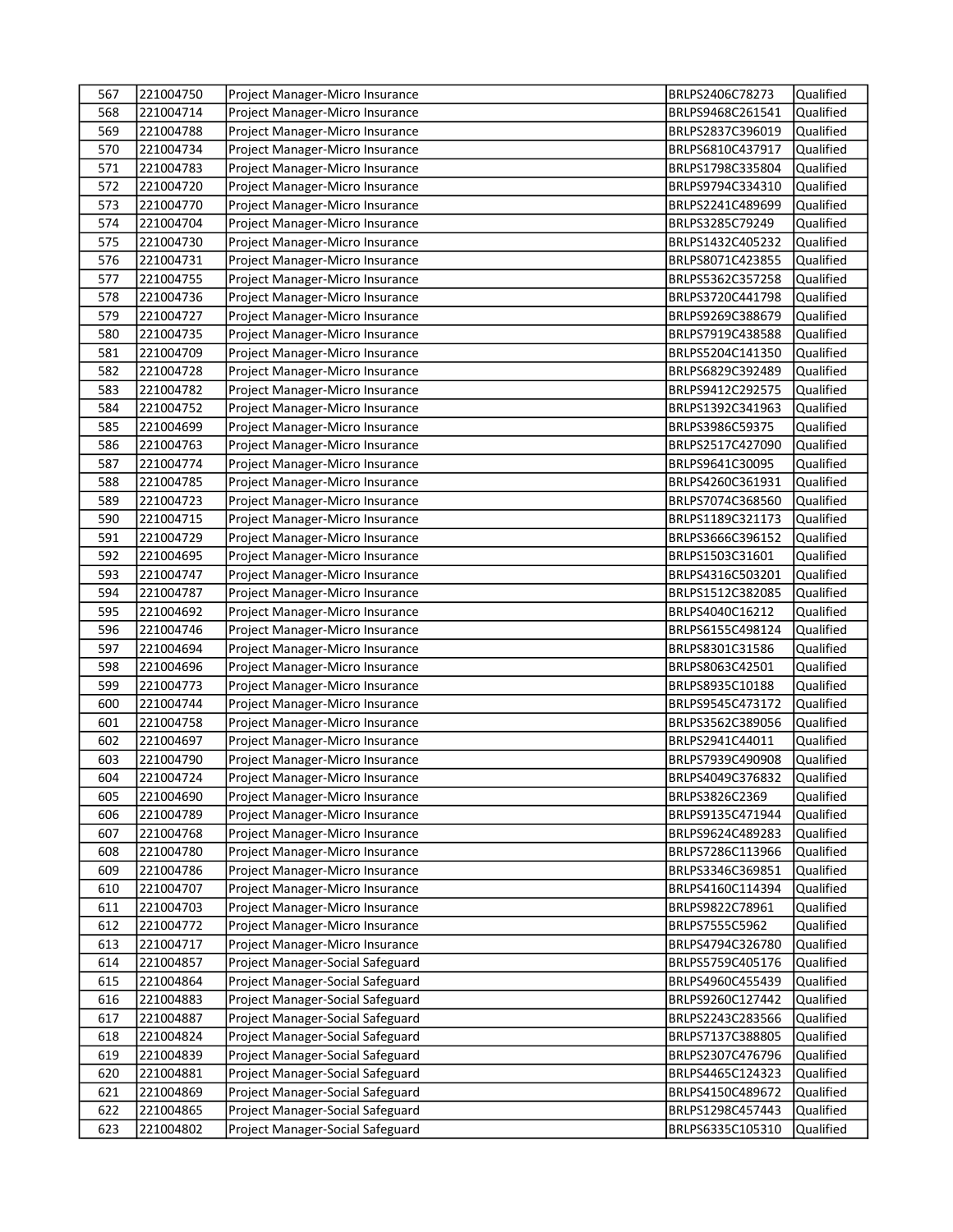| 567        | 221004750              | Project Manager-Micro Insurance                                    | BRLPS2406C78273                      | Qualified              |
|------------|------------------------|--------------------------------------------------------------------|--------------------------------------|------------------------|
| 568        | 221004714              | Project Manager-Micro Insurance                                    | BRLPS9468C261541                     | Qualified              |
| 569        | 221004788              | Project Manager-Micro Insurance                                    | BRLPS2837C396019                     | Qualified              |
| 570        | 221004734              | Project Manager-Micro Insurance                                    | BRLPS6810C437917                     | Qualified              |
| 571        | 221004783              | Project Manager-Micro Insurance                                    | BRLPS1798C335804                     | Qualified              |
| 572        | 221004720              | Project Manager-Micro Insurance                                    | BRLPS9794C334310                     | Qualified              |
| 573        | 221004770              | Project Manager-Micro Insurance                                    | BRLPS2241C489699                     | Qualified              |
| 574        | 221004704              | Project Manager-Micro Insurance                                    | BRLPS3285C79249                      | Qualified              |
| 575        | 221004730              | Project Manager-Micro Insurance                                    | BRLPS1432C405232                     | Qualified              |
| 576        | 221004731              | Project Manager-Micro Insurance                                    | BRLPS8071C423855                     | Qualified              |
| 577        | 221004755              | Project Manager-Micro Insurance                                    | BRLPS5362C357258                     | Qualified              |
| 578        | 221004736              | Project Manager-Micro Insurance                                    | BRLPS3720C441798                     | Qualified              |
| 579        | 221004727              | Project Manager-Micro Insurance                                    | BRLPS9269C388679                     | Qualified              |
| 580        | 221004735              | Project Manager-Micro Insurance                                    | BRLPS7919C438588                     | Qualified              |
| 581        | 221004709              | Project Manager-Micro Insurance                                    | BRLPS5204C141350                     | Qualified              |
| 582        | 221004728              | Project Manager-Micro Insurance                                    | BRLPS6829C392489                     | Qualified              |
| 583        | 221004782              | Project Manager-Micro Insurance                                    | BRLPS9412C292575                     | Qualified              |
| 584        | 221004752              | Project Manager-Micro Insurance                                    | BRLPS1392C341963                     | Qualified              |
| 585        | 221004699              | Project Manager-Micro Insurance                                    | BRLPS3986C59375                      | Qualified              |
| 586        | 221004763              | Project Manager-Micro Insurance                                    | BRLPS2517C427090                     | Qualified              |
| 587        | 221004774              | Project Manager-Micro Insurance                                    | BRLPS9641C30095                      | Qualified              |
| 588        | 221004785              | Project Manager-Micro Insurance                                    | BRLPS4260C361931                     | Qualified              |
| 589        | 221004723              | Project Manager-Micro Insurance                                    | BRLPS7074C368560                     | Qualified              |
| 590        | 221004715              | Project Manager-Micro Insurance                                    | BRLPS1189C321173                     | Qualified              |
| 591        | 221004729              | Project Manager-Micro Insurance                                    | BRLPS3666C396152                     | Qualified              |
| 592        | 221004695              | Project Manager-Micro Insurance                                    | BRLPS1503C31601                      | Qualified              |
| 593        | 221004747              | Project Manager-Micro Insurance                                    | BRLPS4316C503201                     | Qualified              |
| 594        | 221004787              | Project Manager-Micro Insurance                                    | BRLPS1512C382085                     | Qualified              |
| 595        | 221004692              | Project Manager-Micro Insurance                                    | BRLPS4040C16212                      | Qualified              |
| 596        | 221004746              | Project Manager-Micro Insurance                                    | BRLPS6155C498124                     | Qualified              |
| 597        | 221004694              | Project Manager-Micro Insurance                                    | BRLPS8301C31586                      | Qualified              |
| 598        | 221004696              | Project Manager-Micro Insurance                                    | BRLPS8063C42501                      | Qualified              |
| 599        | 221004773              | Project Manager-Micro Insurance                                    | BRLPS8935C10188                      | Qualified              |
| 600        | 221004744              | Project Manager-Micro Insurance                                    | BRLPS9545C473172                     | Qualified              |
| 601        | 221004758              | Project Manager-Micro Insurance                                    | BRLPS3562C389056                     | Qualified              |
| 602        | 221004697              | Project Manager-Micro Insurance                                    | BRLPS2941C44011                      | Qualified              |
| 603        | 221004790              | Project Manager-Micro Insurance                                    | BRLPS7939C490908                     | Qualified              |
| 604        | 221004724              | Project Manager-Micro Insurance                                    | BRLPS4049C376832                     | Qualified              |
| 605        | 221004690              | Project Manager-Micro Insurance                                    | BRLPS3826C2369                       | Qualified              |
| 606<br>607 | 221004789<br>221004768 | Project Manager-Micro Insurance<br>Project Manager-Micro Insurance | BRLPS9135C471944                     | Qualified              |
| 608        |                        | Project Manager-Micro Insurance                                    | BRLPS9624C489283<br>BRLPS7286C113966 | Qualified              |
| 609        | 221004780<br>221004786 | Project Manager-Micro Insurance                                    |                                      | Qualified<br>Qualified |
|            | 221004707              | Project Manager-Micro Insurance                                    | BRLPS3346C369851                     | Qualified              |
| 610<br>611 | 221004703              | Project Manager-Micro Insurance                                    | BRLPS4160C114394<br>BRLPS9822C78961  | Qualified              |
| 612        | 221004772              | Project Manager-Micro Insurance                                    | BRLPS7555C5962                       | Qualified              |
|            | 221004717              | Project Manager-Micro Insurance                                    | BRLPS4794C326780                     | Qualified              |
| 613<br>614 | 221004857              | Project Manager-Social Safeguard                                   |                                      | Qualified              |
| 615        | 221004864              | Project Manager-Social Safeguard                                   | BRLPS5759C405176<br>BRLPS4960C455439 | Qualified              |
| 616        | 221004883              | Project Manager-Social Safeguard                                   | BRLPS9260C127442                     | Qualified              |
| 617        | 221004887              | Project Manager-Social Safeguard                                   | BRLPS2243C283566                     | Qualified              |
| 618        | 221004824              | Project Manager-Social Safeguard                                   | BRLPS7137C388805                     | Qualified              |
| 619        | 221004839              | Project Manager-Social Safeguard                                   | BRLPS2307C476796                     | Qualified              |
| 620        | 221004881              | Project Manager-Social Safeguard                                   | BRLPS4465C124323                     | Qualified              |
| 621        | 221004869              | Project Manager-Social Safeguard                                   | BRLPS4150C489672                     | Qualified              |
| 622        | 221004865              | Project Manager-Social Safeguard                                   | BRLPS1298C457443                     | Qualified              |
| 623        | 221004802              | Project Manager-Social Safeguard                                   | BRLPS6335C105310                     | Qualified              |
|            |                        |                                                                    |                                      |                        |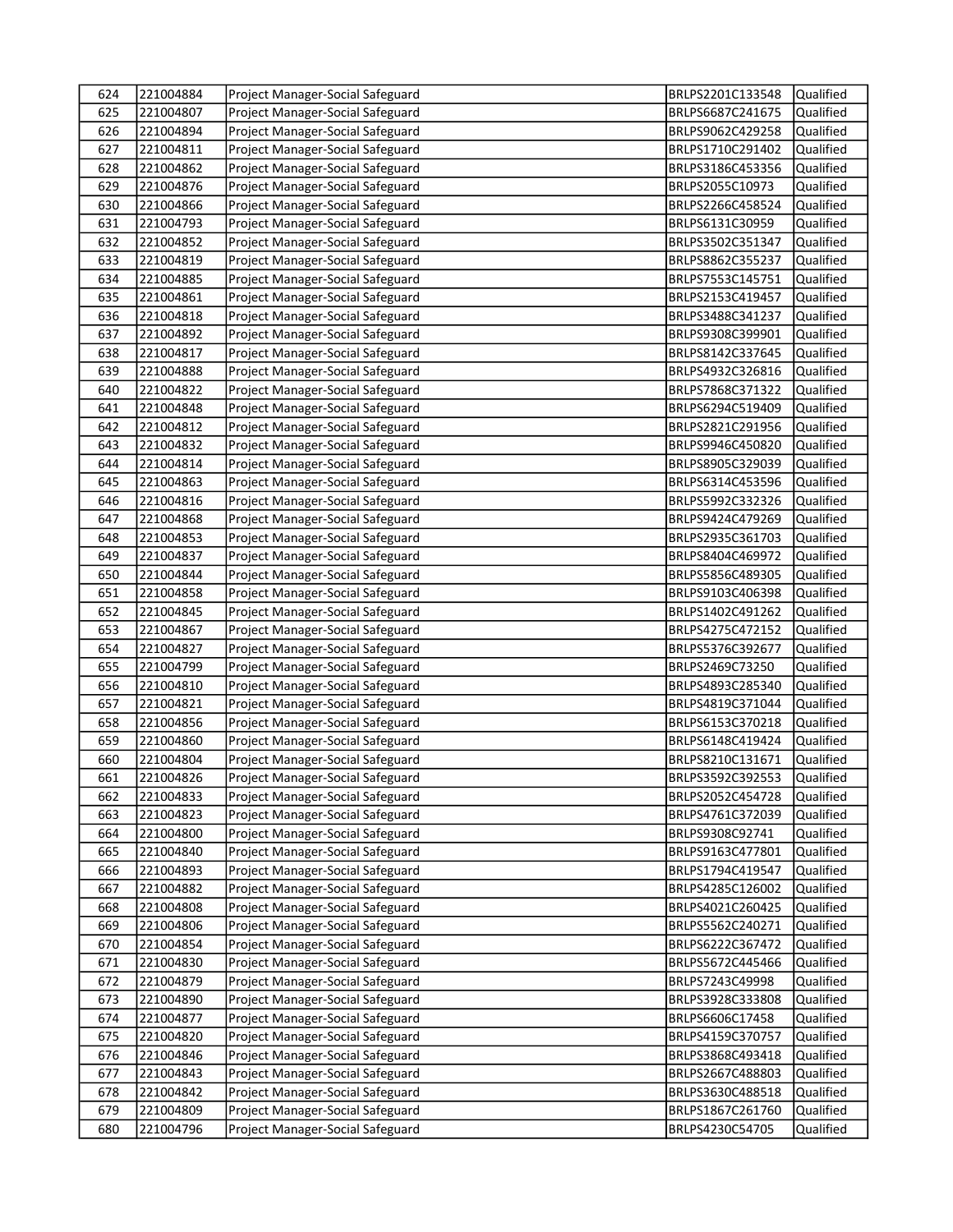| 624        | 221004884              | Project Manager-Social Safeguard                                     | BRLPS2201C133548                    | Qualified              |
|------------|------------------------|----------------------------------------------------------------------|-------------------------------------|------------------------|
| 625        | 221004807              | Project Manager-Social Safeguard                                     | BRLPS6687C241675                    | Qualified              |
| 626        | 221004894              | Project Manager-Social Safeguard                                     | BRLPS9062C429258                    | Qualified              |
| 627        | 221004811              | Project Manager-Social Safeguard                                     | BRLPS1710C291402                    | Qualified              |
| 628        | 221004862              | Project Manager-Social Safeguard                                     | BRLPS3186C453356                    | Qualified              |
| 629        | 221004876              | Project Manager-Social Safeguard                                     | BRLPS2055C10973                     | Qualified              |
| 630        | 221004866              | Project Manager-Social Safeguard                                     | BRLPS2266C458524                    | Qualified              |
| 631        | 221004793              | Project Manager-Social Safeguard                                     | BRLPS6131C30959                     | Qualified              |
| 632        | 221004852              | Project Manager-Social Safeguard                                     | BRLPS3502C351347                    | Qualified              |
| 633        | 221004819              | Project Manager-Social Safeguard                                     | BRLPS8862C355237                    | Qualified              |
| 634        | 221004885              | Project Manager-Social Safeguard                                     | BRLPS7553C145751                    | Qualified              |
| 635        | 221004861              | Project Manager-Social Safeguard                                     | BRLPS2153C419457                    | Qualified              |
| 636        | 221004818              | Project Manager-Social Safeguard                                     | BRLPS3488C341237                    | Qualified              |
| 637        | 221004892              | Project Manager-Social Safeguard                                     | BRLPS9308C399901                    | Qualified              |
| 638        | 221004817              | Project Manager-Social Safeguard                                     | BRLPS8142C337645                    | Qualified              |
| 639        | 221004888              | Project Manager-Social Safeguard                                     | BRLPS4932C326816                    | Qualified              |
| 640        | 221004822              | Project Manager-Social Safeguard                                     | BRLPS7868C371322                    | Qualified              |
| 641        | 221004848              | Project Manager-Social Safeguard                                     | BRLPS6294C519409                    | Qualified              |
| 642        | 221004812              | Project Manager-Social Safeguard                                     | BRLPS2821C291956                    | Qualified              |
| 643        | 221004832              | Project Manager-Social Safeguard                                     | BRLPS9946C450820                    | Qualified              |
| 644        | 221004814              | Project Manager-Social Safeguard                                     | BRLPS8905C329039                    | Qualified              |
| 645        | 221004863              | Project Manager-Social Safeguard                                     | BRLPS6314C453596                    | Qualified              |
| 646        | 221004816              | Project Manager-Social Safeguard                                     | BRLPS5992C332326                    | Qualified              |
| 647        | 221004868              | Project Manager-Social Safeguard                                     | BRLPS9424C479269                    | Qualified              |
| 648        | 221004853              | Project Manager-Social Safeguard                                     | BRLPS2935C361703                    | Qualified              |
| 649        | 221004837              | Project Manager-Social Safeguard                                     | BRLPS8404C469972                    | Qualified              |
| 650        | 221004844              | Project Manager-Social Safeguard                                     | BRLPS5856C489305                    | Qualified              |
| 651        | 221004858              | Project Manager-Social Safeguard                                     | BRLPS9103C406398                    | Qualified              |
| 652        | 221004845              | Project Manager-Social Safeguard                                     | BRLPS1402C491262                    | Qualified              |
| 653        | 221004867              | Project Manager-Social Safeguard                                     | BRLPS4275C472152                    | Qualified              |
| 654        | 221004827              | Project Manager-Social Safeguard                                     | BRLPS5376C392677                    | Qualified              |
| 655        | 221004799              | Project Manager-Social Safeguard                                     | BRLPS2469C73250                     | Qualified              |
| 656        | 221004810              | Project Manager-Social Safeguard                                     | BRLPS4893C285340                    | Qualified              |
| 657        | 221004821              | Project Manager-Social Safeguard                                     | BRLPS4819C371044                    | Qualified              |
| 658        | 221004856              | Project Manager-Social Safeguard                                     | BRLPS6153C370218                    | Qualified              |
| 659        | 221004860              | Project Manager-Social Safeguard                                     | BRLPS6148C419424                    | Qualified              |
| 660        | 221004804              | Project Manager-Social Safeguard                                     | BRLPS8210C131671                    | Qualified              |
| 661        | 221004826              | Project Manager-Social Safeguard                                     | BRLPS3592C392553                    | Qualified              |
| 662        | 221004833              | Project Manager-Social Safeguard                                     | BRLPS2052C454728                    | Qualified              |
| 663        | 221004823              | Project Manager-Social Safeguard                                     | BRLPS4761C372039                    | Qualified              |
| 664        | 221004800              | Project Manager-Social Safeguard                                     | BRLPS9308C92741                     | Qualified              |
| 665        | 221004840              | Project Manager-Social Safeguard                                     | BRLPS9163C477801                    | Qualified              |
| 666        | 221004893              | Project Manager-Social Safeguard                                     | BRLPS1794C419547                    | Qualified              |
| 667        | 221004882              | Project Manager-Social Safeguard                                     | BRLPS4285C126002                    | Qualified              |
| 668        | 221004808              | Project Manager-Social Safeguard                                     | BRLPS4021C260425                    | Qualified              |
| 669        | 221004806              | Project Manager-Social Safeguard                                     | BRLPS5562C240271                    | Qualified              |
| 670        | 221004854<br>221004830 | Project Manager-Social Safeguard<br>Project Manager-Social Safeguard | BRLPS6222C367472                    | Qualified              |
| 671        |                        |                                                                      | BRLPS5672C445466                    | Qualified              |
| 672        | 221004879              | Project Manager-Social Safeguard<br>Project Manager-Social Safeguard | BRLPS7243C49998                     | Qualified              |
| 673<br>674 | 221004890<br>221004877 | Project Manager-Social Safeguard                                     | BRLPS3928C333808<br>BRLPS6606C17458 | Qualified<br>Qualified |
| 675        | 221004820              | Project Manager-Social Safeguard                                     | BRLPS4159C370757                    | Qualified              |
| 676        | 221004846              | Project Manager-Social Safeguard                                     | BRLPS3868C493418                    | Qualified              |
| 677        | 221004843              | Project Manager-Social Safeguard                                     | BRLPS2667C488803                    | Qualified              |
| 678        | 221004842              | Project Manager-Social Safeguard                                     | BRLPS3630C488518                    | Qualified              |
| 679        | 221004809              | Project Manager-Social Safeguard                                     | BRLPS1867C261760                    | Qualified              |
| 680        | 221004796              | Project Manager-Social Safeguard                                     | BRLPS4230C54705                     | Qualified              |
|            |                        |                                                                      |                                     |                        |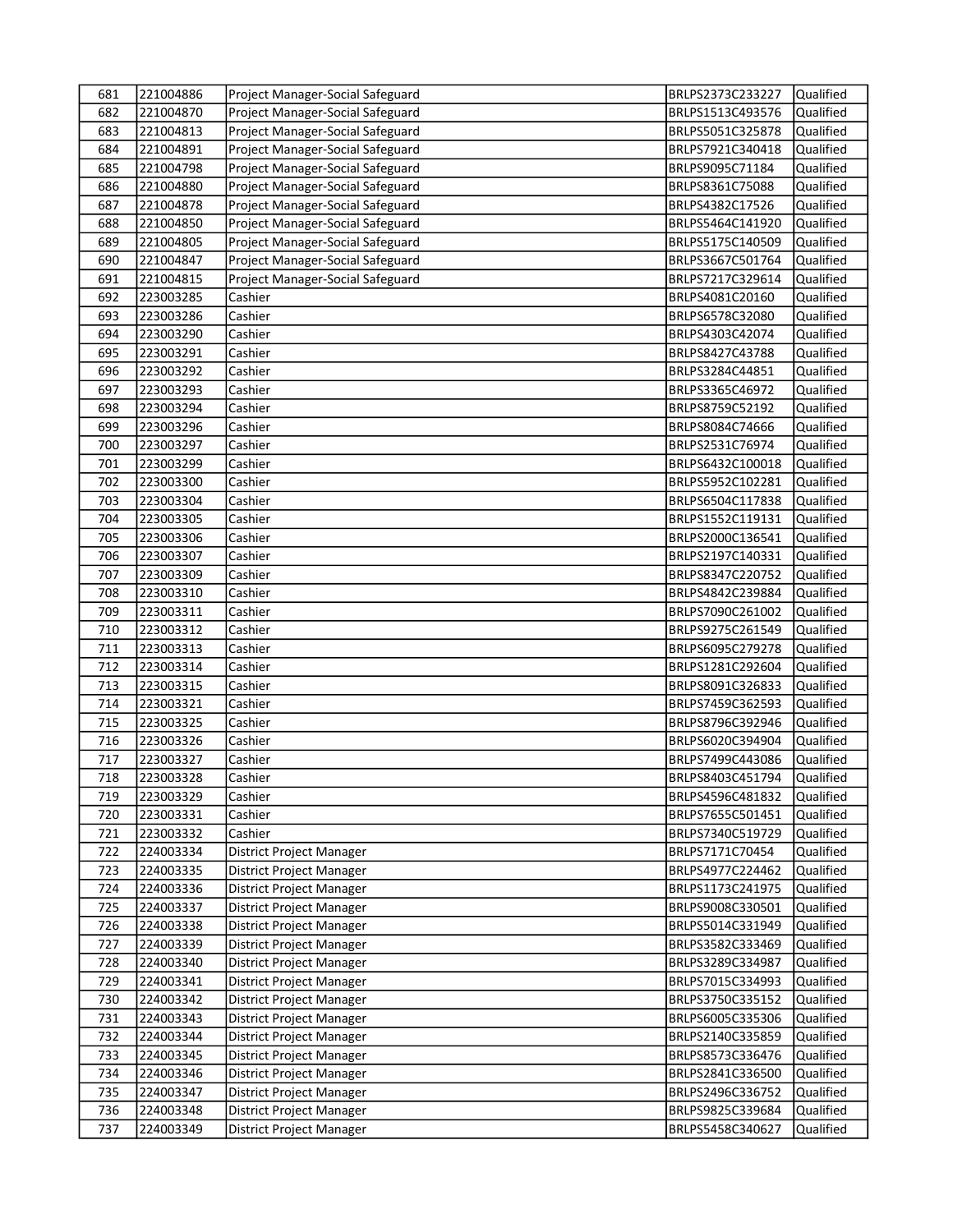| 681        | 221004886              | Project Manager-Social Safeguard                     | BRLPS2373C233227                    | Qualified              |
|------------|------------------------|------------------------------------------------------|-------------------------------------|------------------------|
| 682        | 221004870              | Project Manager-Social Safeguard                     | BRLPS1513C493576                    | Qualified              |
| 683        | 221004813              | Project Manager-Social Safeguard                     | BRLPS5051C325878                    | Qualified              |
| 684        | 221004891              | Project Manager-Social Safeguard                     | BRLPS7921C340418                    | Qualified              |
| 685        | 221004798              | Project Manager-Social Safeguard                     | BRLPS9095C71184                     | Qualified              |
| 686        | 221004880              | Project Manager-Social Safeguard                     | BRLPS8361C75088                     | Qualified              |
| 687        | 221004878              | Project Manager-Social Safeguard                     | BRLPS4382C17526                     | Qualified              |
| 688        | 221004850              | Project Manager-Social Safeguard                     | BRLPS5464C141920                    | Qualified              |
| 689        | 221004805              | Project Manager-Social Safeguard                     | BRLPS5175C140509                    | Qualified              |
| 690        | 221004847              | Project Manager-Social Safeguard                     | BRLPS3667C501764                    | Qualified              |
| 691        | 221004815              | Project Manager-Social Safeguard                     | BRLPS7217C329614                    | Qualified              |
| 692        | 223003285              | Cashier                                              | BRLPS4081C20160                     | Qualified              |
| 693        | 223003286              | Cashier                                              | BRLPS6578C32080                     | Qualified              |
| 694        | 223003290              | Cashier                                              | BRLPS4303C42074                     | Qualified              |
| 695        | 223003291              | Cashier                                              | BRLPS8427C43788                     | Qualified              |
| 696        | 223003292              | Cashier                                              | BRLPS3284C44851                     | Qualified              |
| 697        | 223003293              | Cashier                                              | BRLPS3365C46972                     | Qualified              |
| 698        | 223003294              | Cashier                                              | BRLPS8759C52192                     | Qualified              |
| 699        | 223003296              | Cashier                                              | BRLPS8084C74666                     | Qualified              |
| 700        | 223003297              | Cashier                                              | BRLPS2531C76974                     | Qualified              |
| 701        | 223003299              | Cashier                                              | BRLPS6432C100018                    | Qualified              |
| 702        | 223003300              | Cashier                                              | BRLPS5952C102281                    | Qualified              |
| 703        | 223003304              | Cashier                                              | BRLPS6504C117838                    | Qualified              |
| 704        | 223003305              | Cashier                                              | BRLPS1552C119131                    | Qualified              |
| 705        | 223003306              | Cashier                                              | BRLPS2000C136541                    | Qualified              |
| 706        | 223003307              | Cashier                                              | BRLPS2197C140331                    | Qualified              |
| 707        | 223003309              | Cashier                                              | BRLPS8347C220752                    | Qualified              |
| 708        | 223003310              | Cashier                                              | BRLPS4842C239884                    | Qualified              |
| 709        | 223003311              | Cashier                                              | BRLPS7090C261002                    | Qualified              |
| 710        | 223003312              | Cashier                                              | BRLPS9275C261549                    | Qualified              |
| 711        | 223003313              | Cashier                                              | BRLPS6095C279278                    | Qualified              |
| 712        | 223003314              | Cashier                                              | BRLPS1281C292604                    | Qualified              |
| 713        | 223003315              | Cashier                                              | BRLPS8091C326833                    | Qualified              |
| 714        | 223003321              | Cashier                                              | BRLPS7459C362593                    | Qualified              |
| 715        | 223003325              | Cashier                                              | BRLPS8796C392946                    | Qualified              |
| 716        | 223003326              | Cashier                                              | BRLPS6020C394904                    | Qualified              |
| 717        | 223003327              | Cashier                                              | BRLPS7499C443086                    | Qualified              |
| 718        | 223003328              | Cashier                                              | BRLPS8403C451794                    | lQualified             |
| 719        | 223003329              | Cashier                                              | BRLPS4596C481832                    | Qualified              |
| 720        | 223003331              | Cashier                                              | BRLPS7655C501451                    | Qualified              |
| 721        | 223003332              | Cashier                                              | BRLPS7340C519729                    | Qualified              |
| 722<br>723 | 224003334<br>224003335 | District Project Manager<br>District Project Manager | BRLPS7171C70454<br>BRLPS4977C224462 | Qualified<br>Qualified |
| 724        | 224003336              | District Project Manager                             | BRLPS1173C241975                    | Qualified              |
| 725        | 224003337              | District Project Manager                             | BRLPS9008C330501                    | Qualified              |
| 726        | 224003338              | District Project Manager                             | BRLPS5014C331949                    | Qualified              |
| 727        | 224003339              | District Project Manager                             | BRLPS3582C333469                    | Qualified              |
| 728        | 224003340              | District Project Manager                             | BRLPS3289C334987                    | Qualified              |
| 729        | 224003341              | District Project Manager                             | BRLPS7015C334993                    | Qualified              |
| 730        | 224003342              | District Project Manager                             | BRLPS3750C335152                    | Qualified              |
| 731        | 224003343              | District Project Manager                             | BRLPS6005C335306                    | Qualified              |
| 732        | 224003344              | District Project Manager                             | BRLPS2140C335859                    | Qualified              |
| 733        | 224003345              | District Project Manager                             | BRLPS8573C336476                    | Qualified              |
| 734        | 224003346              | District Project Manager                             | BRLPS2841C336500                    | Qualified              |
| 735        | 224003347              | District Project Manager                             | BRLPS2496C336752                    | Qualified              |
| 736        | 224003348              | District Project Manager                             | BRLPS9825C339684                    | Qualified              |
| 737        | 224003349              | District Project Manager                             | BRLPS5458C340627                    | Qualified              |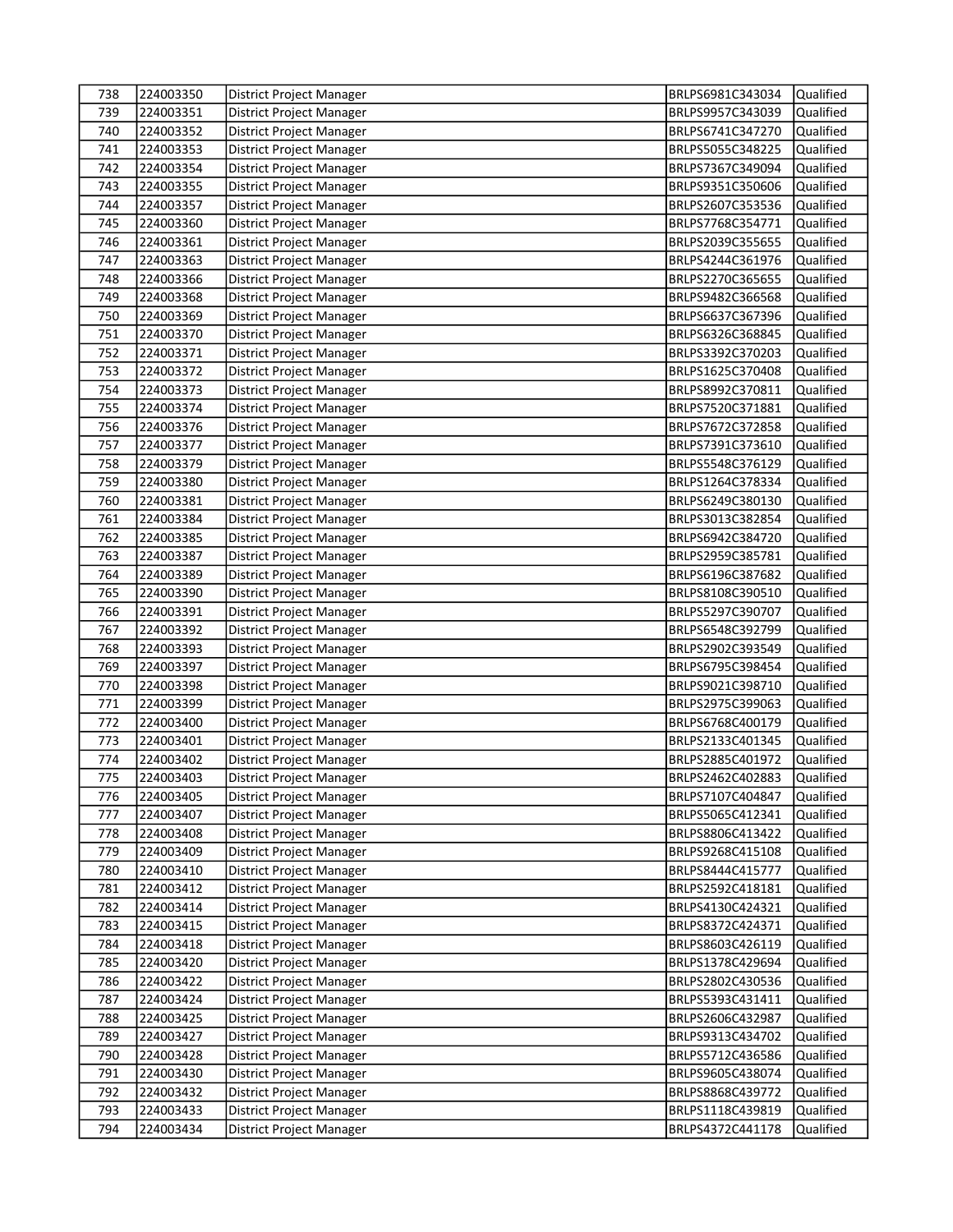| 738        | 224003350              | District Project Manager                             | BRLPS6981C343034                     | Qualified              |
|------------|------------------------|------------------------------------------------------|--------------------------------------|------------------------|
| 739        | 224003351              | <b>District Project Manager</b>                      | BRLPS9957C343039                     | Qualified              |
| 740        | 224003352              | District Project Manager                             | BRLPS6741C347270                     | Qualified              |
| 741        | 224003353              | District Project Manager                             | BRLPS5055C348225                     | Qualified              |
| 742        | 224003354              | District Project Manager                             | BRLPS7367C349094                     | Qualified              |
| 743        | 224003355              | District Project Manager                             | BRLPS9351C350606                     | Qualified              |
| 744        | 224003357              | District Project Manager                             | BRLPS2607C353536                     | Qualified              |
| 745        | 224003360              | District Project Manager                             | BRLPS7768C354771                     | Qualified              |
| 746        | 224003361              | District Project Manager                             | BRLPS2039C355655                     | Qualified              |
| 747        | 224003363              | District Project Manager                             | BRLPS4244C361976                     | Qualified              |
| 748        | 224003366              | District Project Manager                             | BRLPS2270C365655                     | Qualified              |
| 749        | 224003368              | District Project Manager                             | BRLPS9482C366568                     | Qualified              |
| 750        | 224003369              | District Project Manager                             | BRLPS6637C367396                     | Qualified              |
| 751        | 224003370              | District Project Manager                             | BRLPS6326C368845                     | Qualified              |
| 752        | 224003371              | District Project Manager                             | BRLPS3392C370203                     | Qualified              |
| 753        | 224003372              | District Project Manager                             | BRLPS1625C370408                     | Qualified              |
| 754        | 224003373              | District Project Manager                             | BRLPS8992C370811                     | Qualified              |
| 755        | 224003374              | District Project Manager                             | BRLPS7520C371881                     | Qualified              |
| 756        | 224003376              | District Project Manager                             | BRLPS7672C372858                     | Qualified              |
| 757        | 224003377              | District Project Manager                             | BRLPS7391C373610                     | Qualified              |
| 758        | 224003379              | District Project Manager                             | BRLPS5548C376129                     | Qualified              |
| 759        | 224003380              | District Project Manager                             | BRLPS1264C378334                     | Qualified              |
| 760        | 224003381              | District Project Manager                             | BRLPS6249C380130                     | Qualified              |
| 761        | 224003384              | District Project Manager                             | BRLPS3013C382854                     | Qualified              |
| 762        | 224003385              | District Project Manager                             | BRLPS6942C384720                     | Qualified              |
| 763        | 224003387              | District Project Manager                             | BRLPS2959C385781                     | Qualified              |
| 764        | 224003389              | District Project Manager                             | BRLPS6196C387682                     | Qualified              |
| 765        | 224003390              | District Project Manager                             | BRLPS8108C390510                     | Qualified              |
| 766        | 224003391              | District Project Manager                             | BRLPS5297C390707                     | Qualified              |
| 767        | 224003392              | District Project Manager                             | BRLPS6548C392799                     | Qualified              |
| 768        | 224003393              | District Project Manager                             | BRLPS2902C393549                     | Qualified              |
| 769        | 224003397              | District Project Manager                             | BRLPS6795C398454                     | Qualified              |
| 770        | 224003398              | District Project Manager                             | BRLPS9021C398710                     | Qualified              |
| 771        | 224003399              | District Project Manager                             | BRLPS2975C399063                     | Qualified              |
| 772        | 224003400              | District Project Manager                             | BRLPS6768C400179                     | Qualified              |
| 773        | 224003401              | District Project Manager                             | BRLPS2133C401345                     | Qualified              |
| 774        | 224003402              | District Project Manager                             | BRLPS2885C401972                     | Qualified              |
| 775        | 224003403              | District Project Manager                             | BRLPS2462C402883                     | Qualified              |
| 776        | 224003405              | District Project Manager                             | BRLPS7107C404847                     | Qualified              |
| 777        | 224003407              | District Project Manager                             | BRLPS5065C412341                     | Qualified              |
| 778        | 224003408              | District Project Manager                             | BRLPS8806C413422                     | Qualified              |
| 779        | 224003409              | District Project Manager                             | BRLPS9268C415108                     | Qualified              |
| 780        | 224003410              | District Project Manager                             | BRLPS8444C415777                     | Qualified              |
| 781        | 224003412              | District Project Manager                             | BRLPS2592C418181                     | Qualified              |
| 782        | 224003414              | District Project Manager                             | BRLPS4130C424321                     | Qualified              |
| 783        | 224003415              | District Project Manager                             | BRLPS8372C424371                     | Qualified              |
| 784        | 224003418              | District Project Manager                             | BRLPS8603C426119                     | Qualified              |
| 785        | 224003420              | District Project Manager                             | BRLPS1378C429694                     | Qualified              |
| 786        | 224003422              | District Project Manager                             | BRLPS2802C430536                     | Qualified              |
| 787        | 224003424              | District Project Manager                             | BRLPS5393C431411                     | Qualified              |
| 788        | 224003425              | District Project Manager                             | BRLPS2606C432987                     | Qualified              |
| 789        | 224003427              | District Project Manager                             | BRLPS9313C434702                     | Qualified              |
| 790        | 224003428              | District Project Manager                             | BRLPS5712C436586                     | Qualified              |
| 791        | 224003430              | District Project Manager                             | BRLPS9605C438074                     | Qualified              |
| 792<br>793 | 224003432<br>224003433 | District Project Manager                             | BRLPS8868C439772<br>BRLPS1118C439819 | Qualified<br>Qualified |
| 794        | 224003434              | District Project Manager<br>District Project Manager | BRLPS4372C441178                     | Qualified              |
|            |                        |                                                      |                                      |                        |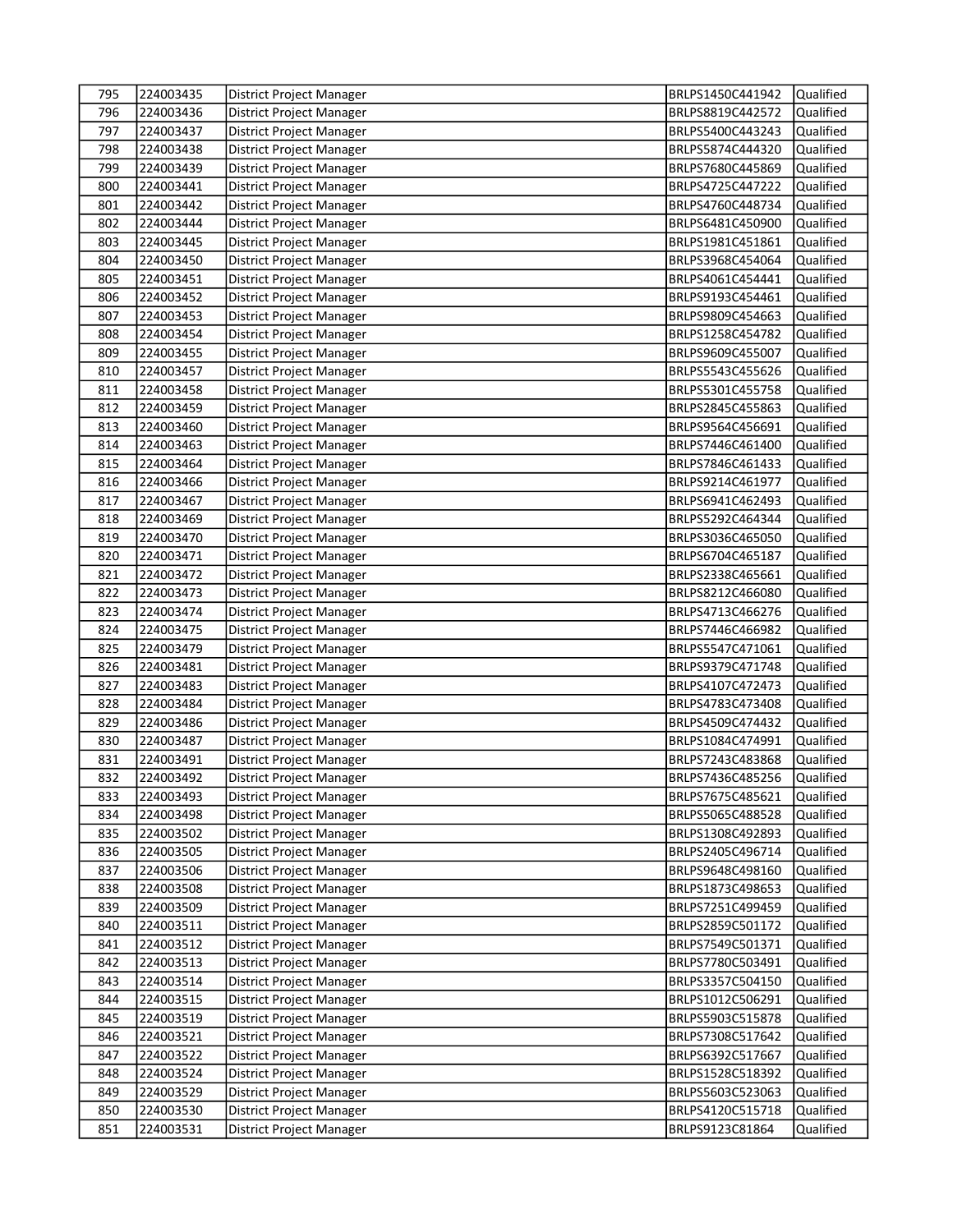| 224003436<br>BRLPS8819C442572<br>Qualified<br>796<br><b>District Project Manager</b><br>Qualified<br>797<br>224003437<br>BRLPS5400C443243<br><b>District Project Manager</b><br>798<br>BRLPS5874C444320<br>Qualified<br>224003438<br>District Project Manager<br>799<br>Qualified<br>224003439<br>District Project Manager<br>BRLPS7680C445869<br>BRLPS4725C447222<br>Qualified<br>800<br>224003441<br>District Project Manager<br>801<br>224003442<br>BRLPS4760C448734<br>Qualified<br>District Project Manager<br>802<br>224003444<br>Qualified<br>District Project Manager<br>BRLPS6481C450900<br>803<br>Qualified<br>224003445<br>District Project Manager<br>BRLPS1981C451861<br>804<br>224003450<br>District Project Manager<br>BRLPS3968C454064<br>Qualified<br>805<br>224003451<br>District Project Manager<br>BRLPS4061C454441<br>Qualified<br>806<br>224003452<br>District Project Manager<br>BRLPS9193C454461<br>Qualified<br>807<br>224003453<br>District Project Manager<br>BRLPS9809C454663<br>Qualified<br>808<br>224003454<br>District Project Manager<br>BRLPS1258C454782<br>Qualified<br>224003455<br>BRLPS9609C455007<br>809<br>District Project Manager<br>Qualified<br>810<br>224003457<br>District Project Manager<br>BRLPS5543C455626<br>Qualified<br>224003458<br>BRLPS5301C455758<br>Qualified<br>811<br>District Project Manager<br>812<br>224003459<br>BRLPS2845C455863<br>Qualified<br>District Project Manager<br>813<br>224003460<br>BRLPS9564C456691<br>Qualified<br>District Project Manager<br>224003463<br>BRLPS7446C461400<br>Qualified<br>814<br>District Project Manager<br>815<br>224003464<br>BRLPS7846C461433<br>Qualified<br>District Project Manager<br>816<br>224003466<br>District Project Manager<br>BRLPS9214C461977<br>Qualified<br>BRLPS6941C462493<br>Qualified<br>817<br>224003467<br>District Project Manager<br>224003469<br>BRLPS5292C464344<br>Qualified<br>818<br>District Project Manager<br>819<br>224003470<br>District Project Manager<br>BRLPS3036C465050<br>Qualified<br>820<br>224003471<br>BRLPS6704C465187<br>Qualified<br>District Project Manager<br>224003472<br>BRLPS2338C465661<br>Qualified<br>821<br>District Project Manager<br>Qualified<br>822<br>224003473<br>BRLPS8212C466080<br>District Project Manager<br>BRLPS4713C466276<br>Qualified<br>823<br>224003474<br>District Project Manager<br>BRLPS7446C466982<br>Qualified<br>824<br>224003475<br>District Project Manager<br>224003479<br>BRLPS5547C471061<br>Qualified<br>825<br>District Project Manager<br>826<br>Qualified<br>224003481<br>District Project Manager<br>BRLPS9379C471748<br>827<br>224003483<br>Qualified<br>District Project Manager<br>BRLPS4107C472473<br>BRLPS4783C473408<br>Qualified<br>828<br>224003484<br>District Project Manager<br>829<br>224003486<br>District Project Manager<br>BRLPS4509C474432<br>Qualified<br>830<br>224003487<br>District Project Manager<br>BRLPS1084C474991<br>Qualified<br>831<br>224003491<br>District Project Manager<br>BRLPS7243C483868<br>Qualified<br>832<br>224003492<br>BRLPS7436C485256<br>Qualified<br>District Project Manager<br>BRLPS7675C485621<br>Qualified<br>833<br>224003493<br>District Project Manager<br>224003498<br><b>District Project Manager</b><br>BRLPS5065C488528<br>Qualified<br>834<br>835<br>224003502<br>District Project Manager<br>BRLPS1308C492893<br>Qualified<br>Qualified<br>836<br>224003505<br>District Project Manager<br>BRLPS2405C496714<br>Qualified<br>837<br>224003506<br>District Project Manager<br>BRLPS9648C498160<br>224003508<br>Qualified<br>838<br>District Project Manager<br>BRLPS1873C498653<br>Qualified<br>839<br>224003509<br>District Project Manager<br>BRLPS7251C499459<br>224003511<br>Qualified<br>840<br>District Project Manager<br>BRLPS2859C501172<br>224003512<br>BRLPS7549C501371<br>Qualified<br>841<br>District Project Manager<br>Qualified<br>842<br>224003513<br>District Project Manager<br>BRLPS7780C503491<br>224003514<br>Qualified<br>843<br>District Project Manager<br>BRLPS3357C504150<br>844<br>224003515<br>BRLPS1012C506291<br>Qualified<br>District Project Manager<br>845<br>224003519<br>Qualified<br>District Project Manager<br>BRLPS5903C515878<br>224003521<br>Qualified<br>846<br>District Project Manager<br>BRLPS7308C517642<br>847<br>224003522<br>Qualified<br>District Project Manager<br>BRLPS6392C517667<br>848<br>Qualified<br>224003524<br>BRLPS1528C518392<br>District Project Manager<br>849<br>224003529<br>BRLPS5603C523063<br>Qualified<br>District Project Manager<br>850<br>224003530<br>Qualified<br>District Project Manager<br>BRLPS4120C515718<br>851<br>224003531<br>Qualified<br>District Project Manager<br>BRLPS9123C81864 | 795 | 224003435 | District Project Manager | BRLPS1450C441942 | Qualified |
|------------------------------------------------------------------------------------------------------------------------------------------------------------------------------------------------------------------------------------------------------------------------------------------------------------------------------------------------------------------------------------------------------------------------------------------------------------------------------------------------------------------------------------------------------------------------------------------------------------------------------------------------------------------------------------------------------------------------------------------------------------------------------------------------------------------------------------------------------------------------------------------------------------------------------------------------------------------------------------------------------------------------------------------------------------------------------------------------------------------------------------------------------------------------------------------------------------------------------------------------------------------------------------------------------------------------------------------------------------------------------------------------------------------------------------------------------------------------------------------------------------------------------------------------------------------------------------------------------------------------------------------------------------------------------------------------------------------------------------------------------------------------------------------------------------------------------------------------------------------------------------------------------------------------------------------------------------------------------------------------------------------------------------------------------------------------------------------------------------------------------------------------------------------------------------------------------------------------------------------------------------------------------------------------------------------------------------------------------------------------------------------------------------------------------------------------------------------------------------------------------------------------------------------------------------------------------------------------------------------------------------------------------------------------------------------------------------------------------------------------------------------------------------------------------------------------------------------------------------------------------------------------------------------------------------------------------------------------------------------------------------------------------------------------------------------------------------------------------------------------------------------------------------------------------------------------------------------------------------------------------------------------------------------------------------------------------------------------------------------------------------------------------------------------------------------------------------------------------------------------------------------------------------------------------------------------------------------------------------------------------------------------------------------------------------------------------------------------------------------------------------------------------------------------------------------------------------------------------------------------------------------------------------------------------------------------------------------------------------------------------------------------------------------------------------------------------------------------------------------------------------------------------------------------------------------------------------------------------------------------------------------------------------------------------------------------------------------------------------------------------------------------------------------------------------------------------------------------------------------------------------------------------------------------------------------------------------------------------------------------------------------------------------------------------------------------------------------------------------------|-----|-----------|--------------------------|------------------|-----------|
|                                                                                                                                                                                                                                                                                                                                                                                                                                                                                                                                                                                                                                                                                                                                                                                                                                                                                                                                                                                                                                                                                                                                                                                                                                                                                                                                                                                                                                                                                                                                                                                                                                                                                                                                                                                                                                                                                                                                                                                                                                                                                                                                                                                                                                                                                                                                                                                                                                                                                                                                                                                                                                                                                                                                                                                                                                                                                                                                                                                                                                                                                                                                                                                                                                                                                                                                                                                                                                                                                                                                                                                                                                                                                                                                                                                                                                                                                                                                                                                                                                                                                                                                                                                                                                                                                                                                                                                                                                                                                                                                                                                                                                                                                                                                          |     |           |                          |                  |           |
|                                                                                                                                                                                                                                                                                                                                                                                                                                                                                                                                                                                                                                                                                                                                                                                                                                                                                                                                                                                                                                                                                                                                                                                                                                                                                                                                                                                                                                                                                                                                                                                                                                                                                                                                                                                                                                                                                                                                                                                                                                                                                                                                                                                                                                                                                                                                                                                                                                                                                                                                                                                                                                                                                                                                                                                                                                                                                                                                                                                                                                                                                                                                                                                                                                                                                                                                                                                                                                                                                                                                                                                                                                                                                                                                                                                                                                                                                                                                                                                                                                                                                                                                                                                                                                                                                                                                                                                                                                                                                                                                                                                                                                                                                                                                          |     |           |                          |                  |           |
|                                                                                                                                                                                                                                                                                                                                                                                                                                                                                                                                                                                                                                                                                                                                                                                                                                                                                                                                                                                                                                                                                                                                                                                                                                                                                                                                                                                                                                                                                                                                                                                                                                                                                                                                                                                                                                                                                                                                                                                                                                                                                                                                                                                                                                                                                                                                                                                                                                                                                                                                                                                                                                                                                                                                                                                                                                                                                                                                                                                                                                                                                                                                                                                                                                                                                                                                                                                                                                                                                                                                                                                                                                                                                                                                                                                                                                                                                                                                                                                                                                                                                                                                                                                                                                                                                                                                                                                                                                                                                                                                                                                                                                                                                                                                          |     |           |                          |                  |           |
|                                                                                                                                                                                                                                                                                                                                                                                                                                                                                                                                                                                                                                                                                                                                                                                                                                                                                                                                                                                                                                                                                                                                                                                                                                                                                                                                                                                                                                                                                                                                                                                                                                                                                                                                                                                                                                                                                                                                                                                                                                                                                                                                                                                                                                                                                                                                                                                                                                                                                                                                                                                                                                                                                                                                                                                                                                                                                                                                                                                                                                                                                                                                                                                                                                                                                                                                                                                                                                                                                                                                                                                                                                                                                                                                                                                                                                                                                                                                                                                                                                                                                                                                                                                                                                                                                                                                                                                                                                                                                                                                                                                                                                                                                                                                          |     |           |                          |                  |           |
|                                                                                                                                                                                                                                                                                                                                                                                                                                                                                                                                                                                                                                                                                                                                                                                                                                                                                                                                                                                                                                                                                                                                                                                                                                                                                                                                                                                                                                                                                                                                                                                                                                                                                                                                                                                                                                                                                                                                                                                                                                                                                                                                                                                                                                                                                                                                                                                                                                                                                                                                                                                                                                                                                                                                                                                                                                                                                                                                                                                                                                                                                                                                                                                                                                                                                                                                                                                                                                                                                                                                                                                                                                                                                                                                                                                                                                                                                                                                                                                                                                                                                                                                                                                                                                                                                                                                                                                                                                                                                                                                                                                                                                                                                                                                          |     |           |                          |                  |           |
|                                                                                                                                                                                                                                                                                                                                                                                                                                                                                                                                                                                                                                                                                                                                                                                                                                                                                                                                                                                                                                                                                                                                                                                                                                                                                                                                                                                                                                                                                                                                                                                                                                                                                                                                                                                                                                                                                                                                                                                                                                                                                                                                                                                                                                                                                                                                                                                                                                                                                                                                                                                                                                                                                                                                                                                                                                                                                                                                                                                                                                                                                                                                                                                                                                                                                                                                                                                                                                                                                                                                                                                                                                                                                                                                                                                                                                                                                                                                                                                                                                                                                                                                                                                                                                                                                                                                                                                                                                                                                                                                                                                                                                                                                                                                          |     |           |                          |                  |           |
|                                                                                                                                                                                                                                                                                                                                                                                                                                                                                                                                                                                                                                                                                                                                                                                                                                                                                                                                                                                                                                                                                                                                                                                                                                                                                                                                                                                                                                                                                                                                                                                                                                                                                                                                                                                                                                                                                                                                                                                                                                                                                                                                                                                                                                                                                                                                                                                                                                                                                                                                                                                                                                                                                                                                                                                                                                                                                                                                                                                                                                                                                                                                                                                                                                                                                                                                                                                                                                                                                                                                                                                                                                                                                                                                                                                                                                                                                                                                                                                                                                                                                                                                                                                                                                                                                                                                                                                                                                                                                                                                                                                                                                                                                                                                          |     |           |                          |                  |           |
|                                                                                                                                                                                                                                                                                                                                                                                                                                                                                                                                                                                                                                                                                                                                                                                                                                                                                                                                                                                                                                                                                                                                                                                                                                                                                                                                                                                                                                                                                                                                                                                                                                                                                                                                                                                                                                                                                                                                                                                                                                                                                                                                                                                                                                                                                                                                                                                                                                                                                                                                                                                                                                                                                                                                                                                                                                                                                                                                                                                                                                                                                                                                                                                                                                                                                                                                                                                                                                                                                                                                                                                                                                                                                                                                                                                                                                                                                                                                                                                                                                                                                                                                                                                                                                                                                                                                                                                                                                                                                                                                                                                                                                                                                                                                          |     |           |                          |                  |           |
|                                                                                                                                                                                                                                                                                                                                                                                                                                                                                                                                                                                                                                                                                                                                                                                                                                                                                                                                                                                                                                                                                                                                                                                                                                                                                                                                                                                                                                                                                                                                                                                                                                                                                                                                                                                                                                                                                                                                                                                                                                                                                                                                                                                                                                                                                                                                                                                                                                                                                                                                                                                                                                                                                                                                                                                                                                                                                                                                                                                                                                                                                                                                                                                                                                                                                                                                                                                                                                                                                                                                                                                                                                                                                                                                                                                                                                                                                                                                                                                                                                                                                                                                                                                                                                                                                                                                                                                                                                                                                                                                                                                                                                                                                                                                          |     |           |                          |                  |           |
|                                                                                                                                                                                                                                                                                                                                                                                                                                                                                                                                                                                                                                                                                                                                                                                                                                                                                                                                                                                                                                                                                                                                                                                                                                                                                                                                                                                                                                                                                                                                                                                                                                                                                                                                                                                                                                                                                                                                                                                                                                                                                                                                                                                                                                                                                                                                                                                                                                                                                                                                                                                                                                                                                                                                                                                                                                                                                                                                                                                                                                                                                                                                                                                                                                                                                                                                                                                                                                                                                                                                                                                                                                                                                                                                                                                                                                                                                                                                                                                                                                                                                                                                                                                                                                                                                                                                                                                                                                                                                                                                                                                                                                                                                                                                          |     |           |                          |                  |           |
|                                                                                                                                                                                                                                                                                                                                                                                                                                                                                                                                                                                                                                                                                                                                                                                                                                                                                                                                                                                                                                                                                                                                                                                                                                                                                                                                                                                                                                                                                                                                                                                                                                                                                                                                                                                                                                                                                                                                                                                                                                                                                                                                                                                                                                                                                                                                                                                                                                                                                                                                                                                                                                                                                                                                                                                                                                                                                                                                                                                                                                                                                                                                                                                                                                                                                                                                                                                                                                                                                                                                                                                                                                                                                                                                                                                                                                                                                                                                                                                                                                                                                                                                                                                                                                                                                                                                                                                                                                                                                                                                                                                                                                                                                                                                          |     |           |                          |                  |           |
|                                                                                                                                                                                                                                                                                                                                                                                                                                                                                                                                                                                                                                                                                                                                                                                                                                                                                                                                                                                                                                                                                                                                                                                                                                                                                                                                                                                                                                                                                                                                                                                                                                                                                                                                                                                                                                                                                                                                                                                                                                                                                                                                                                                                                                                                                                                                                                                                                                                                                                                                                                                                                                                                                                                                                                                                                                                                                                                                                                                                                                                                                                                                                                                                                                                                                                                                                                                                                                                                                                                                                                                                                                                                                                                                                                                                                                                                                                                                                                                                                                                                                                                                                                                                                                                                                                                                                                                                                                                                                                                                                                                                                                                                                                                                          |     |           |                          |                  |           |
|                                                                                                                                                                                                                                                                                                                                                                                                                                                                                                                                                                                                                                                                                                                                                                                                                                                                                                                                                                                                                                                                                                                                                                                                                                                                                                                                                                                                                                                                                                                                                                                                                                                                                                                                                                                                                                                                                                                                                                                                                                                                                                                                                                                                                                                                                                                                                                                                                                                                                                                                                                                                                                                                                                                                                                                                                                                                                                                                                                                                                                                                                                                                                                                                                                                                                                                                                                                                                                                                                                                                                                                                                                                                                                                                                                                                                                                                                                                                                                                                                                                                                                                                                                                                                                                                                                                                                                                                                                                                                                                                                                                                                                                                                                                                          |     |           |                          |                  |           |
|                                                                                                                                                                                                                                                                                                                                                                                                                                                                                                                                                                                                                                                                                                                                                                                                                                                                                                                                                                                                                                                                                                                                                                                                                                                                                                                                                                                                                                                                                                                                                                                                                                                                                                                                                                                                                                                                                                                                                                                                                                                                                                                                                                                                                                                                                                                                                                                                                                                                                                                                                                                                                                                                                                                                                                                                                                                                                                                                                                                                                                                                                                                                                                                                                                                                                                                                                                                                                                                                                                                                                                                                                                                                                                                                                                                                                                                                                                                                                                                                                                                                                                                                                                                                                                                                                                                                                                                                                                                                                                                                                                                                                                                                                                                                          |     |           |                          |                  |           |
|                                                                                                                                                                                                                                                                                                                                                                                                                                                                                                                                                                                                                                                                                                                                                                                                                                                                                                                                                                                                                                                                                                                                                                                                                                                                                                                                                                                                                                                                                                                                                                                                                                                                                                                                                                                                                                                                                                                                                                                                                                                                                                                                                                                                                                                                                                                                                                                                                                                                                                                                                                                                                                                                                                                                                                                                                                                                                                                                                                                                                                                                                                                                                                                                                                                                                                                                                                                                                                                                                                                                                                                                                                                                                                                                                                                                                                                                                                                                                                                                                                                                                                                                                                                                                                                                                                                                                                                                                                                                                                                                                                                                                                                                                                                                          |     |           |                          |                  |           |
|                                                                                                                                                                                                                                                                                                                                                                                                                                                                                                                                                                                                                                                                                                                                                                                                                                                                                                                                                                                                                                                                                                                                                                                                                                                                                                                                                                                                                                                                                                                                                                                                                                                                                                                                                                                                                                                                                                                                                                                                                                                                                                                                                                                                                                                                                                                                                                                                                                                                                                                                                                                                                                                                                                                                                                                                                                                                                                                                                                                                                                                                                                                                                                                                                                                                                                                                                                                                                                                                                                                                                                                                                                                                                                                                                                                                                                                                                                                                                                                                                                                                                                                                                                                                                                                                                                                                                                                                                                                                                                                                                                                                                                                                                                                                          |     |           |                          |                  |           |
|                                                                                                                                                                                                                                                                                                                                                                                                                                                                                                                                                                                                                                                                                                                                                                                                                                                                                                                                                                                                                                                                                                                                                                                                                                                                                                                                                                                                                                                                                                                                                                                                                                                                                                                                                                                                                                                                                                                                                                                                                                                                                                                                                                                                                                                                                                                                                                                                                                                                                                                                                                                                                                                                                                                                                                                                                                                                                                                                                                                                                                                                                                                                                                                                                                                                                                                                                                                                                                                                                                                                                                                                                                                                                                                                                                                                                                                                                                                                                                                                                                                                                                                                                                                                                                                                                                                                                                                                                                                                                                                                                                                                                                                                                                                                          |     |           |                          |                  |           |
|                                                                                                                                                                                                                                                                                                                                                                                                                                                                                                                                                                                                                                                                                                                                                                                                                                                                                                                                                                                                                                                                                                                                                                                                                                                                                                                                                                                                                                                                                                                                                                                                                                                                                                                                                                                                                                                                                                                                                                                                                                                                                                                                                                                                                                                                                                                                                                                                                                                                                                                                                                                                                                                                                                                                                                                                                                                                                                                                                                                                                                                                                                                                                                                                                                                                                                                                                                                                                                                                                                                                                                                                                                                                                                                                                                                                                                                                                                                                                                                                                                                                                                                                                                                                                                                                                                                                                                                                                                                                                                                                                                                                                                                                                                                                          |     |           |                          |                  |           |
|                                                                                                                                                                                                                                                                                                                                                                                                                                                                                                                                                                                                                                                                                                                                                                                                                                                                                                                                                                                                                                                                                                                                                                                                                                                                                                                                                                                                                                                                                                                                                                                                                                                                                                                                                                                                                                                                                                                                                                                                                                                                                                                                                                                                                                                                                                                                                                                                                                                                                                                                                                                                                                                                                                                                                                                                                                                                                                                                                                                                                                                                                                                                                                                                                                                                                                                                                                                                                                                                                                                                                                                                                                                                                                                                                                                                                                                                                                                                                                                                                                                                                                                                                                                                                                                                                                                                                                                                                                                                                                                                                                                                                                                                                                                                          |     |           |                          |                  |           |
|                                                                                                                                                                                                                                                                                                                                                                                                                                                                                                                                                                                                                                                                                                                                                                                                                                                                                                                                                                                                                                                                                                                                                                                                                                                                                                                                                                                                                                                                                                                                                                                                                                                                                                                                                                                                                                                                                                                                                                                                                                                                                                                                                                                                                                                                                                                                                                                                                                                                                                                                                                                                                                                                                                                                                                                                                                                                                                                                                                                                                                                                                                                                                                                                                                                                                                                                                                                                                                                                                                                                                                                                                                                                                                                                                                                                                                                                                                                                                                                                                                                                                                                                                                                                                                                                                                                                                                                                                                                                                                                                                                                                                                                                                                                                          |     |           |                          |                  |           |
|                                                                                                                                                                                                                                                                                                                                                                                                                                                                                                                                                                                                                                                                                                                                                                                                                                                                                                                                                                                                                                                                                                                                                                                                                                                                                                                                                                                                                                                                                                                                                                                                                                                                                                                                                                                                                                                                                                                                                                                                                                                                                                                                                                                                                                                                                                                                                                                                                                                                                                                                                                                                                                                                                                                                                                                                                                                                                                                                                                                                                                                                                                                                                                                                                                                                                                                                                                                                                                                                                                                                                                                                                                                                                                                                                                                                                                                                                                                                                                                                                                                                                                                                                                                                                                                                                                                                                                                                                                                                                                                                                                                                                                                                                                                                          |     |           |                          |                  |           |
|                                                                                                                                                                                                                                                                                                                                                                                                                                                                                                                                                                                                                                                                                                                                                                                                                                                                                                                                                                                                                                                                                                                                                                                                                                                                                                                                                                                                                                                                                                                                                                                                                                                                                                                                                                                                                                                                                                                                                                                                                                                                                                                                                                                                                                                                                                                                                                                                                                                                                                                                                                                                                                                                                                                                                                                                                                                                                                                                                                                                                                                                                                                                                                                                                                                                                                                                                                                                                                                                                                                                                                                                                                                                                                                                                                                                                                                                                                                                                                                                                                                                                                                                                                                                                                                                                                                                                                                                                                                                                                                                                                                                                                                                                                                                          |     |           |                          |                  |           |
|                                                                                                                                                                                                                                                                                                                                                                                                                                                                                                                                                                                                                                                                                                                                                                                                                                                                                                                                                                                                                                                                                                                                                                                                                                                                                                                                                                                                                                                                                                                                                                                                                                                                                                                                                                                                                                                                                                                                                                                                                                                                                                                                                                                                                                                                                                                                                                                                                                                                                                                                                                                                                                                                                                                                                                                                                                                                                                                                                                                                                                                                                                                                                                                                                                                                                                                                                                                                                                                                                                                                                                                                                                                                                                                                                                                                                                                                                                                                                                                                                                                                                                                                                                                                                                                                                                                                                                                                                                                                                                                                                                                                                                                                                                                                          |     |           |                          |                  |           |
|                                                                                                                                                                                                                                                                                                                                                                                                                                                                                                                                                                                                                                                                                                                                                                                                                                                                                                                                                                                                                                                                                                                                                                                                                                                                                                                                                                                                                                                                                                                                                                                                                                                                                                                                                                                                                                                                                                                                                                                                                                                                                                                                                                                                                                                                                                                                                                                                                                                                                                                                                                                                                                                                                                                                                                                                                                                                                                                                                                                                                                                                                                                                                                                                                                                                                                                                                                                                                                                                                                                                                                                                                                                                                                                                                                                                                                                                                                                                                                                                                                                                                                                                                                                                                                                                                                                                                                                                                                                                                                                                                                                                                                                                                                                                          |     |           |                          |                  |           |
|                                                                                                                                                                                                                                                                                                                                                                                                                                                                                                                                                                                                                                                                                                                                                                                                                                                                                                                                                                                                                                                                                                                                                                                                                                                                                                                                                                                                                                                                                                                                                                                                                                                                                                                                                                                                                                                                                                                                                                                                                                                                                                                                                                                                                                                                                                                                                                                                                                                                                                                                                                                                                                                                                                                                                                                                                                                                                                                                                                                                                                                                                                                                                                                                                                                                                                                                                                                                                                                                                                                                                                                                                                                                                                                                                                                                                                                                                                                                                                                                                                                                                                                                                                                                                                                                                                                                                                                                                                                                                                                                                                                                                                                                                                                                          |     |           |                          |                  |           |
|                                                                                                                                                                                                                                                                                                                                                                                                                                                                                                                                                                                                                                                                                                                                                                                                                                                                                                                                                                                                                                                                                                                                                                                                                                                                                                                                                                                                                                                                                                                                                                                                                                                                                                                                                                                                                                                                                                                                                                                                                                                                                                                                                                                                                                                                                                                                                                                                                                                                                                                                                                                                                                                                                                                                                                                                                                                                                                                                                                                                                                                                                                                                                                                                                                                                                                                                                                                                                                                                                                                                                                                                                                                                                                                                                                                                                                                                                                                                                                                                                                                                                                                                                                                                                                                                                                                                                                                                                                                                                                                                                                                                                                                                                                                                          |     |           |                          |                  |           |
|                                                                                                                                                                                                                                                                                                                                                                                                                                                                                                                                                                                                                                                                                                                                                                                                                                                                                                                                                                                                                                                                                                                                                                                                                                                                                                                                                                                                                                                                                                                                                                                                                                                                                                                                                                                                                                                                                                                                                                                                                                                                                                                                                                                                                                                                                                                                                                                                                                                                                                                                                                                                                                                                                                                                                                                                                                                                                                                                                                                                                                                                                                                                                                                                                                                                                                                                                                                                                                                                                                                                                                                                                                                                                                                                                                                                                                                                                                                                                                                                                                                                                                                                                                                                                                                                                                                                                                                                                                                                                                                                                                                                                                                                                                                                          |     |           |                          |                  |           |
|                                                                                                                                                                                                                                                                                                                                                                                                                                                                                                                                                                                                                                                                                                                                                                                                                                                                                                                                                                                                                                                                                                                                                                                                                                                                                                                                                                                                                                                                                                                                                                                                                                                                                                                                                                                                                                                                                                                                                                                                                                                                                                                                                                                                                                                                                                                                                                                                                                                                                                                                                                                                                                                                                                                                                                                                                                                                                                                                                                                                                                                                                                                                                                                                                                                                                                                                                                                                                                                                                                                                                                                                                                                                                                                                                                                                                                                                                                                                                                                                                                                                                                                                                                                                                                                                                                                                                                                                                                                                                                                                                                                                                                                                                                                                          |     |           |                          |                  |           |
|                                                                                                                                                                                                                                                                                                                                                                                                                                                                                                                                                                                                                                                                                                                                                                                                                                                                                                                                                                                                                                                                                                                                                                                                                                                                                                                                                                                                                                                                                                                                                                                                                                                                                                                                                                                                                                                                                                                                                                                                                                                                                                                                                                                                                                                                                                                                                                                                                                                                                                                                                                                                                                                                                                                                                                                                                                                                                                                                                                                                                                                                                                                                                                                                                                                                                                                                                                                                                                                                                                                                                                                                                                                                                                                                                                                                                                                                                                                                                                                                                                                                                                                                                                                                                                                                                                                                                                                                                                                                                                                                                                                                                                                                                                                                          |     |           |                          |                  |           |
|                                                                                                                                                                                                                                                                                                                                                                                                                                                                                                                                                                                                                                                                                                                                                                                                                                                                                                                                                                                                                                                                                                                                                                                                                                                                                                                                                                                                                                                                                                                                                                                                                                                                                                                                                                                                                                                                                                                                                                                                                                                                                                                                                                                                                                                                                                                                                                                                                                                                                                                                                                                                                                                                                                                                                                                                                                                                                                                                                                                                                                                                                                                                                                                                                                                                                                                                                                                                                                                                                                                                                                                                                                                                                                                                                                                                                                                                                                                                                                                                                                                                                                                                                                                                                                                                                                                                                                                                                                                                                                                                                                                                                                                                                                                                          |     |           |                          |                  |           |
|                                                                                                                                                                                                                                                                                                                                                                                                                                                                                                                                                                                                                                                                                                                                                                                                                                                                                                                                                                                                                                                                                                                                                                                                                                                                                                                                                                                                                                                                                                                                                                                                                                                                                                                                                                                                                                                                                                                                                                                                                                                                                                                                                                                                                                                                                                                                                                                                                                                                                                                                                                                                                                                                                                                                                                                                                                                                                                                                                                                                                                                                                                                                                                                                                                                                                                                                                                                                                                                                                                                                                                                                                                                                                                                                                                                                                                                                                                                                                                                                                                                                                                                                                                                                                                                                                                                                                                                                                                                                                                                                                                                                                                                                                                                                          |     |           |                          |                  |           |
|                                                                                                                                                                                                                                                                                                                                                                                                                                                                                                                                                                                                                                                                                                                                                                                                                                                                                                                                                                                                                                                                                                                                                                                                                                                                                                                                                                                                                                                                                                                                                                                                                                                                                                                                                                                                                                                                                                                                                                                                                                                                                                                                                                                                                                                                                                                                                                                                                                                                                                                                                                                                                                                                                                                                                                                                                                                                                                                                                                                                                                                                                                                                                                                                                                                                                                                                                                                                                                                                                                                                                                                                                                                                                                                                                                                                                                                                                                                                                                                                                                                                                                                                                                                                                                                                                                                                                                                                                                                                                                                                                                                                                                                                                                                                          |     |           |                          |                  |           |
|                                                                                                                                                                                                                                                                                                                                                                                                                                                                                                                                                                                                                                                                                                                                                                                                                                                                                                                                                                                                                                                                                                                                                                                                                                                                                                                                                                                                                                                                                                                                                                                                                                                                                                                                                                                                                                                                                                                                                                                                                                                                                                                                                                                                                                                                                                                                                                                                                                                                                                                                                                                                                                                                                                                                                                                                                                                                                                                                                                                                                                                                                                                                                                                                                                                                                                                                                                                                                                                                                                                                                                                                                                                                                                                                                                                                                                                                                                                                                                                                                                                                                                                                                                                                                                                                                                                                                                                                                                                                                                                                                                                                                                                                                                                                          |     |           |                          |                  |           |
|                                                                                                                                                                                                                                                                                                                                                                                                                                                                                                                                                                                                                                                                                                                                                                                                                                                                                                                                                                                                                                                                                                                                                                                                                                                                                                                                                                                                                                                                                                                                                                                                                                                                                                                                                                                                                                                                                                                                                                                                                                                                                                                                                                                                                                                                                                                                                                                                                                                                                                                                                                                                                                                                                                                                                                                                                                                                                                                                                                                                                                                                                                                                                                                                                                                                                                                                                                                                                                                                                                                                                                                                                                                                                                                                                                                                                                                                                                                                                                                                                                                                                                                                                                                                                                                                                                                                                                                                                                                                                                                                                                                                                                                                                                                                          |     |           |                          |                  |           |
|                                                                                                                                                                                                                                                                                                                                                                                                                                                                                                                                                                                                                                                                                                                                                                                                                                                                                                                                                                                                                                                                                                                                                                                                                                                                                                                                                                                                                                                                                                                                                                                                                                                                                                                                                                                                                                                                                                                                                                                                                                                                                                                                                                                                                                                                                                                                                                                                                                                                                                                                                                                                                                                                                                                                                                                                                                                                                                                                                                                                                                                                                                                                                                                                                                                                                                                                                                                                                                                                                                                                                                                                                                                                                                                                                                                                                                                                                                                                                                                                                                                                                                                                                                                                                                                                                                                                                                                                                                                                                                                                                                                                                                                                                                                                          |     |           |                          |                  |           |
|                                                                                                                                                                                                                                                                                                                                                                                                                                                                                                                                                                                                                                                                                                                                                                                                                                                                                                                                                                                                                                                                                                                                                                                                                                                                                                                                                                                                                                                                                                                                                                                                                                                                                                                                                                                                                                                                                                                                                                                                                                                                                                                                                                                                                                                                                                                                                                                                                                                                                                                                                                                                                                                                                                                                                                                                                                                                                                                                                                                                                                                                                                                                                                                                                                                                                                                                                                                                                                                                                                                                                                                                                                                                                                                                                                                                                                                                                                                                                                                                                                                                                                                                                                                                                                                                                                                                                                                                                                                                                                                                                                                                                                                                                                                                          |     |           |                          |                  |           |
|                                                                                                                                                                                                                                                                                                                                                                                                                                                                                                                                                                                                                                                                                                                                                                                                                                                                                                                                                                                                                                                                                                                                                                                                                                                                                                                                                                                                                                                                                                                                                                                                                                                                                                                                                                                                                                                                                                                                                                                                                                                                                                                                                                                                                                                                                                                                                                                                                                                                                                                                                                                                                                                                                                                                                                                                                                                                                                                                                                                                                                                                                                                                                                                                                                                                                                                                                                                                                                                                                                                                                                                                                                                                                                                                                                                                                                                                                                                                                                                                                                                                                                                                                                                                                                                                                                                                                                                                                                                                                                                                                                                                                                                                                                                                          |     |           |                          |                  |           |
|                                                                                                                                                                                                                                                                                                                                                                                                                                                                                                                                                                                                                                                                                                                                                                                                                                                                                                                                                                                                                                                                                                                                                                                                                                                                                                                                                                                                                                                                                                                                                                                                                                                                                                                                                                                                                                                                                                                                                                                                                                                                                                                                                                                                                                                                                                                                                                                                                                                                                                                                                                                                                                                                                                                                                                                                                                                                                                                                                                                                                                                                                                                                                                                                                                                                                                                                                                                                                                                                                                                                                                                                                                                                                                                                                                                                                                                                                                                                                                                                                                                                                                                                                                                                                                                                                                                                                                                                                                                                                                                                                                                                                                                                                                                                          |     |           |                          |                  |           |
|                                                                                                                                                                                                                                                                                                                                                                                                                                                                                                                                                                                                                                                                                                                                                                                                                                                                                                                                                                                                                                                                                                                                                                                                                                                                                                                                                                                                                                                                                                                                                                                                                                                                                                                                                                                                                                                                                                                                                                                                                                                                                                                                                                                                                                                                                                                                                                                                                                                                                                                                                                                                                                                                                                                                                                                                                                                                                                                                                                                                                                                                                                                                                                                                                                                                                                                                                                                                                                                                                                                                                                                                                                                                                                                                                                                                                                                                                                                                                                                                                                                                                                                                                                                                                                                                                                                                                                                                                                                                                                                                                                                                                                                                                                                                          |     |           |                          |                  |           |
|                                                                                                                                                                                                                                                                                                                                                                                                                                                                                                                                                                                                                                                                                                                                                                                                                                                                                                                                                                                                                                                                                                                                                                                                                                                                                                                                                                                                                                                                                                                                                                                                                                                                                                                                                                                                                                                                                                                                                                                                                                                                                                                                                                                                                                                                                                                                                                                                                                                                                                                                                                                                                                                                                                                                                                                                                                                                                                                                                                                                                                                                                                                                                                                                                                                                                                                                                                                                                                                                                                                                                                                                                                                                                                                                                                                                                                                                                                                                                                                                                                                                                                                                                                                                                                                                                                                                                                                                                                                                                                                                                                                                                                                                                                                                          |     |           |                          |                  |           |
|                                                                                                                                                                                                                                                                                                                                                                                                                                                                                                                                                                                                                                                                                                                                                                                                                                                                                                                                                                                                                                                                                                                                                                                                                                                                                                                                                                                                                                                                                                                                                                                                                                                                                                                                                                                                                                                                                                                                                                                                                                                                                                                                                                                                                                                                                                                                                                                                                                                                                                                                                                                                                                                                                                                                                                                                                                                                                                                                                                                                                                                                                                                                                                                                                                                                                                                                                                                                                                                                                                                                                                                                                                                                                                                                                                                                                                                                                                                                                                                                                                                                                                                                                                                                                                                                                                                                                                                                                                                                                                                                                                                                                                                                                                                                          |     |           |                          |                  |           |
|                                                                                                                                                                                                                                                                                                                                                                                                                                                                                                                                                                                                                                                                                                                                                                                                                                                                                                                                                                                                                                                                                                                                                                                                                                                                                                                                                                                                                                                                                                                                                                                                                                                                                                                                                                                                                                                                                                                                                                                                                                                                                                                                                                                                                                                                                                                                                                                                                                                                                                                                                                                                                                                                                                                                                                                                                                                                                                                                                                                                                                                                                                                                                                                                                                                                                                                                                                                                                                                                                                                                                                                                                                                                                                                                                                                                                                                                                                                                                                                                                                                                                                                                                                                                                                                                                                                                                                                                                                                                                                                                                                                                                                                                                                                                          |     |           |                          |                  |           |
|                                                                                                                                                                                                                                                                                                                                                                                                                                                                                                                                                                                                                                                                                                                                                                                                                                                                                                                                                                                                                                                                                                                                                                                                                                                                                                                                                                                                                                                                                                                                                                                                                                                                                                                                                                                                                                                                                                                                                                                                                                                                                                                                                                                                                                                                                                                                                                                                                                                                                                                                                                                                                                                                                                                                                                                                                                                                                                                                                                                                                                                                                                                                                                                                                                                                                                                                                                                                                                                                                                                                                                                                                                                                                                                                                                                                                                                                                                                                                                                                                                                                                                                                                                                                                                                                                                                                                                                                                                                                                                                                                                                                                                                                                                                                          |     |           |                          |                  |           |
|                                                                                                                                                                                                                                                                                                                                                                                                                                                                                                                                                                                                                                                                                                                                                                                                                                                                                                                                                                                                                                                                                                                                                                                                                                                                                                                                                                                                                                                                                                                                                                                                                                                                                                                                                                                                                                                                                                                                                                                                                                                                                                                                                                                                                                                                                                                                                                                                                                                                                                                                                                                                                                                                                                                                                                                                                                                                                                                                                                                                                                                                                                                                                                                                                                                                                                                                                                                                                                                                                                                                                                                                                                                                                                                                                                                                                                                                                                                                                                                                                                                                                                                                                                                                                                                                                                                                                                                                                                                                                                                                                                                                                                                                                                                                          |     |           |                          |                  |           |
|                                                                                                                                                                                                                                                                                                                                                                                                                                                                                                                                                                                                                                                                                                                                                                                                                                                                                                                                                                                                                                                                                                                                                                                                                                                                                                                                                                                                                                                                                                                                                                                                                                                                                                                                                                                                                                                                                                                                                                                                                                                                                                                                                                                                                                                                                                                                                                                                                                                                                                                                                                                                                                                                                                                                                                                                                                                                                                                                                                                                                                                                                                                                                                                                                                                                                                                                                                                                                                                                                                                                                                                                                                                                                                                                                                                                                                                                                                                                                                                                                                                                                                                                                                                                                                                                                                                                                                                                                                                                                                                                                                                                                                                                                                                                          |     |           |                          |                  |           |
|                                                                                                                                                                                                                                                                                                                                                                                                                                                                                                                                                                                                                                                                                                                                                                                                                                                                                                                                                                                                                                                                                                                                                                                                                                                                                                                                                                                                                                                                                                                                                                                                                                                                                                                                                                                                                                                                                                                                                                                                                                                                                                                                                                                                                                                                                                                                                                                                                                                                                                                                                                                                                                                                                                                                                                                                                                                                                                                                                                                                                                                                                                                                                                                                                                                                                                                                                                                                                                                                                                                                                                                                                                                                                                                                                                                                                                                                                                                                                                                                                                                                                                                                                                                                                                                                                                                                                                                                                                                                                                                                                                                                                                                                                                                                          |     |           |                          |                  |           |
|                                                                                                                                                                                                                                                                                                                                                                                                                                                                                                                                                                                                                                                                                                                                                                                                                                                                                                                                                                                                                                                                                                                                                                                                                                                                                                                                                                                                                                                                                                                                                                                                                                                                                                                                                                                                                                                                                                                                                                                                                                                                                                                                                                                                                                                                                                                                                                                                                                                                                                                                                                                                                                                                                                                                                                                                                                                                                                                                                                                                                                                                                                                                                                                                                                                                                                                                                                                                                                                                                                                                                                                                                                                                                                                                                                                                                                                                                                                                                                                                                                                                                                                                                                                                                                                                                                                                                                                                                                                                                                                                                                                                                                                                                                                                          |     |           |                          |                  |           |
|                                                                                                                                                                                                                                                                                                                                                                                                                                                                                                                                                                                                                                                                                                                                                                                                                                                                                                                                                                                                                                                                                                                                                                                                                                                                                                                                                                                                                                                                                                                                                                                                                                                                                                                                                                                                                                                                                                                                                                                                                                                                                                                                                                                                                                                                                                                                                                                                                                                                                                                                                                                                                                                                                                                                                                                                                                                                                                                                                                                                                                                                                                                                                                                                                                                                                                                                                                                                                                                                                                                                                                                                                                                                                                                                                                                                                                                                                                                                                                                                                                                                                                                                                                                                                                                                                                                                                                                                                                                                                                                                                                                                                                                                                                                                          |     |           |                          |                  |           |
|                                                                                                                                                                                                                                                                                                                                                                                                                                                                                                                                                                                                                                                                                                                                                                                                                                                                                                                                                                                                                                                                                                                                                                                                                                                                                                                                                                                                                                                                                                                                                                                                                                                                                                                                                                                                                                                                                                                                                                                                                                                                                                                                                                                                                                                                                                                                                                                                                                                                                                                                                                                                                                                                                                                                                                                                                                                                                                                                                                                                                                                                                                                                                                                                                                                                                                                                                                                                                                                                                                                                                                                                                                                                                                                                                                                                                                                                                                                                                                                                                                                                                                                                                                                                                                                                                                                                                                                                                                                                                                                                                                                                                                                                                                                                          |     |           |                          |                  |           |
|                                                                                                                                                                                                                                                                                                                                                                                                                                                                                                                                                                                                                                                                                                                                                                                                                                                                                                                                                                                                                                                                                                                                                                                                                                                                                                                                                                                                                                                                                                                                                                                                                                                                                                                                                                                                                                                                                                                                                                                                                                                                                                                                                                                                                                                                                                                                                                                                                                                                                                                                                                                                                                                                                                                                                                                                                                                                                                                                                                                                                                                                                                                                                                                                                                                                                                                                                                                                                                                                                                                                                                                                                                                                                                                                                                                                                                                                                                                                                                                                                                                                                                                                                                                                                                                                                                                                                                                                                                                                                                                                                                                                                                                                                                                                          |     |           |                          |                  |           |
|                                                                                                                                                                                                                                                                                                                                                                                                                                                                                                                                                                                                                                                                                                                                                                                                                                                                                                                                                                                                                                                                                                                                                                                                                                                                                                                                                                                                                                                                                                                                                                                                                                                                                                                                                                                                                                                                                                                                                                                                                                                                                                                                                                                                                                                                                                                                                                                                                                                                                                                                                                                                                                                                                                                                                                                                                                                                                                                                                                                                                                                                                                                                                                                                                                                                                                                                                                                                                                                                                                                                                                                                                                                                                                                                                                                                                                                                                                                                                                                                                                                                                                                                                                                                                                                                                                                                                                                                                                                                                                                                                                                                                                                                                                                                          |     |           |                          |                  |           |
|                                                                                                                                                                                                                                                                                                                                                                                                                                                                                                                                                                                                                                                                                                                                                                                                                                                                                                                                                                                                                                                                                                                                                                                                                                                                                                                                                                                                                                                                                                                                                                                                                                                                                                                                                                                                                                                                                                                                                                                                                                                                                                                                                                                                                                                                                                                                                                                                                                                                                                                                                                                                                                                                                                                                                                                                                                                                                                                                                                                                                                                                                                                                                                                                                                                                                                                                                                                                                                                                                                                                                                                                                                                                                                                                                                                                                                                                                                                                                                                                                                                                                                                                                                                                                                                                                                                                                                                                                                                                                                                                                                                                                                                                                                                                          |     |           |                          |                  |           |
|                                                                                                                                                                                                                                                                                                                                                                                                                                                                                                                                                                                                                                                                                                                                                                                                                                                                                                                                                                                                                                                                                                                                                                                                                                                                                                                                                                                                                                                                                                                                                                                                                                                                                                                                                                                                                                                                                                                                                                                                                                                                                                                                                                                                                                                                                                                                                                                                                                                                                                                                                                                                                                                                                                                                                                                                                                                                                                                                                                                                                                                                                                                                                                                                                                                                                                                                                                                                                                                                                                                                                                                                                                                                                                                                                                                                                                                                                                                                                                                                                                                                                                                                                                                                                                                                                                                                                                                                                                                                                                                                                                                                                                                                                                                                          |     |           |                          |                  |           |
|                                                                                                                                                                                                                                                                                                                                                                                                                                                                                                                                                                                                                                                                                                                                                                                                                                                                                                                                                                                                                                                                                                                                                                                                                                                                                                                                                                                                                                                                                                                                                                                                                                                                                                                                                                                                                                                                                                                                                                                                                                                                                                                                                                                                                                                                                                                                                                                                                                                                                                                                                                                                                                                                                                                                                                                                                                                                                                                                                                                                                                                                                                                                                                                                                                                                                                                                                                                                                                                                                                                                                                                                                                                                                                                                                                                                                                                                                                                                                                                                                                                                                                                                                                                                                                                                                                                                                                                                                                                                                                                                                                                                                                                                                                                                          |     |           |                          |                  |           |
|                                                                                                                                                                                                                                                                                                                                                                                                                                                                                                                                                                                                                                                                                                                                                                                                                                                                                                                                                                                                                                                                                                                                                                                                                                                                                                                                                                                                                                                                                                                                                                                                                                                                                                                                                                                                                                                                                                                                                                                                                                                                                                                                                                                                                                                                                                                                                                                                                                                                                                                                                                                                                                                                                                                                                                                                                                                                                                                                                                                                                                                                                                                                                                                                                                                                                                                                                                                                                                                                                                                                                                                                                                                                                                                                                                                                                                                                                                                                                                                                                                                                                                                                                                                                                                                                                                                                                                                                                                                                                                                                                                                                                                                                                                                                          |     |           |                          |                  |           |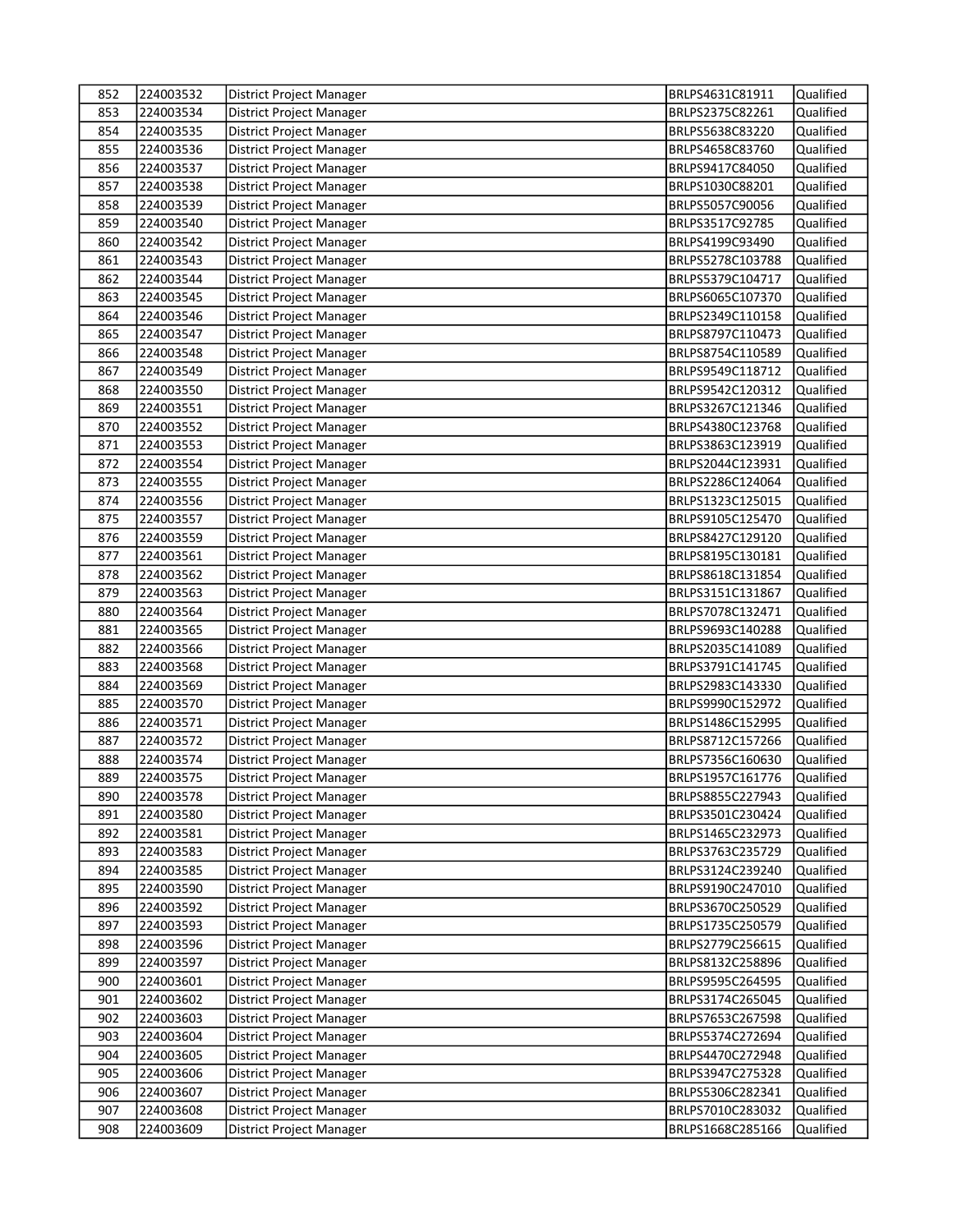| 853<br>224003534<br>Qualified<br><b>District Project Manager</b><br>BRLPS2375C82261<br>Qualified<br>854<br>224003535<br>District Project Manager<br>BRLPS5638C83220<br>855<br>Qualified<br>224003536<br>District Project Manager<br>BRLPS4658C83760<br>856<br>Qualified<br>224003537<br>District Project Manager<br>BRLPS9417C84050<br>857<br>Qualified<br>224003538<br>District Project Manager<br>BRLPS1030C88201<br>858<br>224003539<br>BRLPS5057C90056<br>Qualified<br>District Project Manager<br>859<br>Qualified<br>224003540<br>District Project Manager<br>BRLPS3517C92785<br>860<br>BRLPS4199C93490<br>Qualified<br>224003542<br>District Project Manager<br>861<br>224003543<br>District Project Manager<br>BRLPS5278C103788<br>Qualified<br>862<br>224003544<br>District Project Manager<br>BRLPS5379C104717<br>Qualified<br>863<br>224003545<br>District Project Manager<br>BRLPS6065C107370<br>Qualified<br>BRLPS2349C110158<br>864<br>224003546<br>District Project Manager<br>Qualified<br>BRLPS8797C110473<br>865<br>224003547<br>District Project Manager<br>Qualified<br>224003548<br>BRLPS8754C110589<br>866<br>District Project Manager<br>Qualified<br>BRLPS9549C118712<br>Qualified<br>867<br>224003549<br>District Project Manager<br>868<br>224003550<br>BRLPS9542C120312<br>Qualified<br>District Project Manager<br>869<br>224003551<br>BRLPS3267C121346<br>Qualified<br>District Project Manager<br>870<br>224003552<br>BRLPS4380C123768<br>Qualified<br>District Project Manager<br>224003553<br>BRLPS3863C123919<br>Qualified<br>871<br>District Project Manager<br>872<br>224003554<br>BRLPS2044C123931<br>Qualified<br>District Project Manager<br>873<br>224003555<br>District Project Manager<br>BRLPS2286C124064<br>Qualified<br>224003556<br>BRLPS1323C125015<br>Qualified<br>874<br>District Project Manager<br>224003557<br>BRLPS9105C125470<br>Qualified<br>875<br>District Project Manager<br>BRLPS8427C129120<br>Qualified<br>876<br>224003559<br>District Project Manager<br>877<br>224003561<br>BRLPS8195C130181<br>Qualified<br>District Project Manager<br>224003562<br>BRLPS8618C131854<br>Qualified<br>878<br>District Project Manager<br>Qualified<br>879<br>224003563<br>BRLPS3151C131867<br>District Project Manager<br>224003564<br>BRLPS7078C132471<br>Qualified<br>880<br>District Project Manager<br>BRLPS9693C140288<br>Qualified<br>881<br>224003565<br>District Project Manager<br>224003566<br>BRLPS2035C141089<br>Qualified<br>882<br>District Project Manager<br>883<br>224003568<br>BRLPS3791C141745<br>Qualified<br>District Project Manager<br>224003569<br>BRLPS2983C143330<br>Qualified<br>884<br>District Project Manager<br>224003570<br>BRLPS9990C152972<br>Qualified<br>885<br>District Project Manager<br>886<br>224003571<br>District Project Manager<br>BRLPS1486C152995<br>Qualified<br>887<br>224003572<br>District Project Manager<br>BRLPS8712C157266<br>Qualified<br>888<br>224003574<br>District Project Manager<br>BRLPS7356C160630<br>Qualified<br>889<br>224003575<br>BRLPS1957C161776<br>Qualified<br>District Project Manager<br>BRLPS8855C227943<br>Qualified<br>890<br>224003578<br>District Project Manager<br>224003580<br><b>District Project Manager</b><br>BRLPS3501C230424<br>Qualified<br>891<br>892<br>224003581<br>District Project Manager<br>BRLPS1465C232973<br>Qualified<br>893<br>Qualified<br>224003583<br>BRLPS3763C235729<br>District Project Manager<br>224003585<br>Qualified<br>894<br>District Project Manager<br>BRLPS3124C239240<br>895<br>224003590<br>Qualified<br>District Project Manager<br>BRLPS9190C247010<br>Qualified<br>896<br>224003592<br>District Project Manager<br>BRLPS3670C250529<br>897<br>Qualified<br>224003593<br>District Project Manager<br>BRLPS1735C250579<br>898<br>224003596<br>BRLPS2779C256615<br>Qualified<br>District Project Manager<br>899<br>Qualified<br>224003597<br>District Project Manager<br>BRLPS8132C258896<br>900<br>224003601<br>Qualified<br>District Project Manager<br>BRLPS9595C264595<br>901<br>224003602<br>BRLPS3174C265045<br>Qualified<br>District Project Manager<br>902<br>224003603<br>Qualified<br>District Project Manager<br>BRLPS7653C267598<br>903<br>224003604<br>Qualified<br>District Project Manager<br>BRLPS5374C272694<br>Qualified<br>904<br>224003605<br>BRLPS4470C272948<br>District Project Manager<br>905<br>224003606<br>Qualified<br>BRLPS3947C275328<br>District Project Manager<br>906<br>224003607<br>BRLPS5306C282341<br>Qualified<br>District Project Manager<br>907<br>224003608<br>BRLPS7010C283032<br>Qualified<br>District Project Manager<br>908<br>224003609<br>BRLPS1668C285166<br>Qualified<br>District Project Manager | 852 | 224003532 | District Project Manager | BRLPS4631C81911 | Qualified |
|----------------------------------------------------------------------------------------------------------------------------------------------------------------------------------------------------------------------------------------------------------------------------------------------------------------------------------------------------------------------------------------------------------------------------------------------------------------------------------------------------------------------------------------------------------------------------------------------------------------------------------------------------------------------------------------------------------------------------------------------------------------------------------------------------------------------------------------------------------------------------------------------------------------------------------------------------------------------------------------------------------------------------------------------------------------------------------------------------------------------------------------------------------------------------------------------------------------------------------------------------------------------------------------------------------------------------------------------------------------------------------------------------------------------------------------------------------------------------------------------------------------------------------------------------------------------------------------------------------------------------------------------------------------------------------------------------------------------------------------------------------------------------------------------------------------------------------------------------------------------------------------------------------------------------------------------------------------------------------------------------------------------------------------------------------------------------------------------------------------------------------------------------------------------------------------------------------------------------------------------------------------------------------------------------------------------------------------------------------------------------------------------------------------------------------------------------------------------------------------------------------------------------------------------------------------------------------------------------------------------------------------------------------------------------------------------------------------------------------------------------------------------------------------------------------------------------------------------------------------------------------------------------------------------------------------------------------------------------------------------------------------------------------------------------------------------------------------------------------------------------------------------------------------------------------------------------------------------------------------------------------------------------------------------------------------------------------------------------------------------------------------------------------------------------------------------------------------------------------------------------------------------------------------------------------------------------------------------------------------------------------------------------------------------------------------------------------------------------------------------------------------------------------------------------------------------------------------------------------------------------------------------------------------------------------------------------------------------------------------------------------------------------------------------------------------------------------------------------------------------------------------------------------------------------------------------------------------------------------------------------------------------------------------------------------------------------------------------------------------------------------------------------------------------------------------------------------------------------------------------------------------------------------------------------------------------------------------------------------------------------------------------------------------------------------------------------------------------------|-----|-----------|--------------------------|-----------------|-----------|
|                                                                                                                                                                                                                                                                                                                                                                                                                                                                                                                                                                                                                                                                                                                                                                                                                                                                                                                                                                                                                                                                                                                                                                                                                                                                                                                                                                                                                                                                                                                                                                                                                                                                                                                                                                                                                                                                                                                                                                                                                                                                                                                                                                                                                                                                                                                                                                                                                                                                                                                                                                                                                                                                                                                                                                                                                                                                                                                                                                                                                                                                                                                                                                                                                                                                                                                                                                                                                                                                                                                                                                                                                                                                                                                                                                                                                                                                                                                                                                                                                                                                                                                                                                                                                                                                                                                                                                                                                                                                                                                                                                                                                                                                                                                            |     |           |                          |                 |           |
|                                                                                                                                                                                                                                                                                                                                                                                                                                                                                                                                                                                                                                                                                                                                                                                                                                                                                                                                                                                                                                                                                                                                                                                                                                                                                                                                                                                                                                                                                                                                                                                                                                                                                                                                                                                                                                                                                                                                                                                                                                                                                                                                                                                                                                                                                                                                                                                                                                                                                                                                                                                                                                                                                                                                                                                                                                                                                                                                                                                                                                                                                                                                                                                                                                                                                                                                                                                                                                                                                                                                                                                                                                                                                                                                                                                                                                                                                                                                                                                                                                                                                                                                                                                                                                                                                                                                                                                                                                                                                                                                                                                                                                                                                                                            |     |           |                          |                 |           |
|                                                                                                                                                                                                                                                                                                                                                                                                                                                                                                                                                                                                                                                                                                                                                                                                                                                                                                                                                                                                                                                                                                                                                                                                                                                                                                                                                                                                                                                                                                                                                                                                                                                                                                                                                                                                                                                                                                                                                                                                                                                                                                                                                                                                                                                                                                                                                                                                                                                                                                                                                                                                                                                                                                                                                                                                                                                                                                                                                                                                                                                                                                                                                                                                                                                                                                                                                                                                                                                                                                                                                                                                                                                                                                                                                                                                                                                                                                                                                                                                                                                                                                                                                                                                                                                                                                                                                                                                                                                                                                                                                                                                                                                                                                                            |     |           |                          |                 |           |
|                                                                                                                                                                                                                                                                                                                                                                                                                                                                                                                                                                                                                                                                                                                                                                                                                                                                                                                                                                                                                                                                                                                                                                                                                                                                                                                                                                                                                                                                                                                                                                                                                                                                                                                                                                                                                                                                                                                                                                                                                                                                                                                                                                                                                                                                                                                                                                                                                                                                                                                                                                                                                                                                                                                                                                                                                                                                                                                                                                                                                                                                                                                                                                                                                                                                                                                                                                                                                                                                                                                                                                                                                                                                                                                                                                                                                                                                                                                                                                                                                                                                                                                                                                                                                                                                                                                                                                                                                                                                                                                                                                                                                                                                                                                            |     |           |                          |                 |           |
|                                                                                                                                                                                                                                                                                                                                                                                                                                                                                                                                                                                                                                                                                                                                                                                                                                                                                                                                                                                                                                                                                                                                                                                                                                                                                                                                                                                                                                                                                                                                                                                                                                                                                                                                                                                                                                                                                                                                                                                                                                                                                                                                                                                                                                                                                                                                                                                                                                                                                                                                                                                                                                                                                                                                                                                                                                                                                                                                                                                                                                                                                                                                                                                                                                                                                                                                                                                                                                                                                                                                                                                                                                                                                                                                                                                                                                                                                                                                                                                                                                                                                                                                                                                                                                                                                                                                                                                                                                                                                                                                                                                                                                                                                                                            |     |           |                          |                 |           |
|                                                                                                                                                                                                                                                                                                                                                                                                                                                                                                                                                                                                                                                                                                                                                                                                                                                                                                                                                                                                                                                                                                                                                                                                                                                                                                                                                                                                                                                                                                                                                                                                                                                                                                                                                                                                                                                                                                                                                                                                                                                                                                                                                                                                                                                                                                                                                                                                                                                                                                                                                                                                                                                                                                                                                                                                                                                                                                                                                                                                                                                                                                                                                                                                                                                                                                                                                                                                                                                                                                                                                                                                                                                                                                                                                                                                                                                                                                                                                                                                                                                                                                                                                                                                                                                                                                                                                                                                                                                                                                                                                                                                                                                                                                                            |     |           |                          |                 |           |
|                                                                                                                                                                                                                                                                                                                                                                                                                                                                                                                                                                                                                                                                                                                                                                                                                                                                                                                                                                                                                                                                                                                                                                                                                                                                                                                                                                                                                                                                                                                                                                                                                                                                                                                                                                                                                                                                                                                                                                                                                                                                                                                                                                                                                                                                                                                                                                                                                                                                                                                                                                                                                                                                                                                                                                                                                                                                                                                                                                                                                                                                                                                                                                                                                                                                                                                                                                                                                                                                                                                                                                                                                                                                                                                                                                                                                                                                                                                                                                                                                                                                                                                                                                                                                                                                                                                                                                                                                                                                                                                                                                                                                                                                                                                            |     |           |                          |                 |           |
|                                                                                                                                                                                                                                                                                                                                                                                                                                                                                                                                                                                                                                                                                                                                                                                                                                                                                                                                                                                                                                                                                                                                                                                                                                                                                                                                                                                                                                                                                                                                                                                                                                                                                                                                                                                                                                                                                                                                                                                                                                                                                                                                                                                                                                                                                                                                                                                                                                                                                                                                                                                                                                                                                                                                                                                                                                                                                                                                                                                                                                                                                                                                                                                                                                                                                                                                                                                                                                                                                                                                                                                                                                                                                                                                                                                                                                                                                                                                                                                                                                                                                                                                                                                                                                                                                                                                                                                                                                                                                                                                                                                                                                                                                                                            |     |           |                          |                 |           |
|                                                                                                                                                                                                                                                                                                                                                                                                                                                                                                                                                                                                                                                                                                                                                                                                                                                                                                                                                                                                                                                                                                                                                                                                                                                                                                                                                                                                                                                                                                                                                                                                                                                                                                                                                                                                                                                                                                                                                                                                                                                                                                                                                                                                                                                                                                                                                                                                                                                                                                                                                                                                                                                                                                                                                                                                                                                                                                                                                                                                                                                                                                                                                                                                                                                                                                                                                                                                                                                                                                                                                                                                                                                                                                                                                                                                                                                                                                                                                                                                                                                                                                                                                                                                                                                                                                                                                                                                                                                                                                                                                                                                                                                                                                                            |     |           |                          |                 |           |
|                                                                                                                                                                                                                                                                                                                                                                                                                                                                                                                                                                                                                                                                                                                                                                                                                                                                                                                                                                                                                                                                                                                                                                                                                                                                                                                                                                                                                                                                                                                                                                                                                                                                                                                                                                                                                                                                                                                                                                                                                                                                                                                                                                                                                                                                                                                                                                                                                                                                                                                                                                                                                                                                                                                                                                                                                                                                                                                                                                                                                                                                                                                                                                                                                                                                                                                                                                                                                                                                                                                                                                                                                                                                                                                                                                                                                                                                                                                                                                                                                                                                                                                                                                                                                                                                                                                                                                                                                                                                                                                                                                                                                                                                                                                            |     |           |                          |                 |           |
|                                                                                                                                                                                                                                                                                                                                                                                                                                                                                                                                                                                                                                                                                                                                                                                                                                                                                                                                                                                                                                                                                                                                                                                                                                                                                                                                                                                                                                                                                                                                                                                                                                                                                                                                                                                                                                                                                                                                                                                                                                                                                                                                                                                                                                                                                                                                                                                                                                                                                                                                                                                                                                                                                                                                                                                                                                                                                                                                                                                                                                                                                                                                                                                                                                                                                                                                                                                                                                                                                                                                                                                                                                                                                                                                                                                                                                                                                                                                                                                                                                                                                                                                                                                                                                                                                                                                                                                                                                                                                                                                                                                                                                                                                                                            |     |           |                          |                 |           |
|                                                                                                                                                                                                                                                                                                                                                                                                                                                                                                                                                                                                                                                                                                                                                                                                                                                                                                                                                                                                                                                                                                                                                                                                                                                                                                                                                                                                                                                                                                                                                                                                                                                                                                                                                                                                                                                                                                                                                                                                                                                                                                                                                                                                                                                                                                                                                                                                                                                                                                                                                                                                                                                                                                                                                                                                                                                                                                                                                                                                                                                                                                                                                                                                                                                                                                                                                                                                                                                                                                                                                                                                                                                                                                                                                                                                                                                                                                                                                                                                                                                                                                                                                                                                                                                                                                                                                                                                                                                                                                                                                                                                                                                                                                                            |     |           |                          |                 |           |
|                                                                                                                                                                                                                                                                                                                                                                                                                                                                                                                                                                                                                                                                                                                                                                                                                                                                                                                                                                                                                                                                                                                                                                                                                                                                                                                                                                                                                                                                                                                                                                                                                                                                                                                                                                                                                                                                                                                                                                                                                                                                                                                                                                                                                                                                                                                                                                                                                                                                                                                                                                                                                                                                                                                                                                                                                                                                                                                                                                                                                                                                                                                                                                                                                                                                                                                                                                                                                                                                                                                                                                                                                                                                                                                                                                                                                                                                                                                                                                                                                                                                                                                                                                                                                                                                                                                                                                                                                                                                                                                                                                                                                                                                                                                            |     |           |                          |                 |           |
|                                                                                                                                                                                                                                                                                                                                                                                                                                                                                                                                                                                                                                                                                                                                                                                                                                                                                                                                                                                                                                                                                                                                                                                                                                                                                                                                                                                                                                                                                                                                                                                                                                                                                                                                                                                                                                                                                                                                                                                                                                                                                                                                                                                                                                                                                                                                                                                                                                                                                                                                                                                                                                                                                                                                                                                                                                                                                                                                                                                                                                                                                                                                                                                                                                                                                                                                                                                                                                                                                                                                                                                                                                                                                                                                                                                                                                                                                                                                                                                                                                                                                                                                                                                                                                                                                                                                                                                                                                                                                                                                                                                                                                                                                                                            |     |           |                          |                 |           |
|                                                                                                                                                                                                                                                                                                                                                                                                                                                                                                                                                                                                                                                                                                                                                                                                                                                                                                                                                                                                                                                                                                                                                                                                                                                                                                                                                                                                                                                                                                                                                                                                                                                                                                                                                                                                                                                                                                                                                                                                                                                                                                                                                                                                                                                                                                                                                                                                                                                                                                                                                                                                                                                                                                                                                                                                                                                                                                                                                                                                                                                                                                                                                                                                                                                                                                                                                                                                                                                                                                                                                                                                                                                                                                                                                                                                                                                                                                                                                                                                                                                                                                                                                                                                                                                                                                                                                                                                                                                                                                                                                                                                                                                                                                                            |     |           |                          |                 |           |
|                                                                                                                                                                                                                                                                                                                                                                                                                                                                                                                                                                                                                                                                                                                                                                                                                                                                                                                                                                                                                                                                                                                                                                                                                                                                                                                                                                                                                                                                                                                                                                                                                                                                                                                                                                                                                                                                                                                                                                                                                                                                                                                                                                                                                                                                                                                                                                                                                                                                                                                                                                                                                                                                                                                                                                                                                                                                                                                                                                                                                                                                                                                                                                                                                                                                                                                                                                                                                                                                                                                                                                                                                                                                                                                                                                                                                                                                                                                                                                                                                                                                                                                                                                                                                                                                                                                                                                                                                                                                                                                                                                                                                                                                                                                            |     |           |                          |                 |           |
|                                                                                                                                                                                                                                                                                                                                                                                                                                                                                                                                                                                                                                                                                                                                                                                                                                                                                                                                                                                                                                                                                                                                                                                                                                                                                                                                                                                                                                                                                                                                                                                                                                                                                                                                                                                                                                                                                                                                                                                                                                                                                                                                                                                                                                                                                                                                                                                                                                                                                                                                                                                                                                                                                                                                                                                                                                                                                                                                                                                                                                                                                                                                                                                                                                                                                                                                                                                                                                                                                                                                                                                                                                                                                                                                                                                                                                                                                                                                                                                                                                                                                                                                                                                                                                                                                                                                                                                                                                                                                                                                                                                                                                                                                                                            |     |           |                          |                 |           |
|                                                                                                                                                                                                                                                                                                                                                                                                                                                                                                                                                                                                                                                                                                                                                                                                                                                                                                                                                                                                                                                                                                                                                                                                                                                                                                                                                                                                                                                                                                                                                                                                                                                                                                                                                                                                                                                                                                                                                                                                                                                                                                                                                                                                                                                                                                                                                                                                                                                                                                                                                                                                                                                                                                                                                                                                                                                                                                                                                                                                                                                                                                                                                                                                                                                                                                                                                                                                                                                                                                                                                                                                                                                                                                                                                                                                                                                                                                                                                                                                                                                                                                                                                                                                                                                                                                                                                                                                                                                                                                                                                                                                                                                                                                                            |     |           |                          |                 |           |
|                                                                                                                                                                                                                                                                                                                                                                                                                                                                                                                                                                                                                                                                                                                                                                                                                                                                                                                                                                                                                                                                                                                                                                                                                                                                                                                                                                                                                                                                                                                                                                                                                                                                                                                                                                                                                                                                                                                                                                                                                                                                                                                                                                                                                                                                                                                                                                                                                                                                                                                                                                                                                                                                                                                                                                                                                                                                                                                                                                                                                                                                                                                                                                                                                                                                                                                                                                                                                                                                                                                                                                                                                                                                                                                                                                                                                                                                                                                                                                                                                                                                                                                                                                                                                                                                                                                                                                                                                                                                                                                                                                                                                                                                                                                            |     |           |                          |                 |           |
|                                                                                                                                                                                                                                                                                                                                                                                                                                                                                                                                                                                                                                                                                                                                                                                                                                                                                                                                                                                                                                                                                                                                                                                                                                                                                                                                                                                                                                                                                                                                                                                                                                                                                                                                                                                                                                                                                                                                                                                                                                                                                                                                                                                                                                                                                                                                                                                                                                                                                                                                                                                                                                                                                                                                                                                                                                                                                                                                                                                                                                                                                                                                                                                                                                                                                                                                                                                                                                                                                                                                                                                                                                                                                                                                                                                                                                                                                                                                                                                                                                                                                                                                                                                                                                                                                                                                                                                                                                                                                                                                                                                                                                                                                                                            |     |           |                          |                 |           |
|                                                                                                                                                                                                                                                                                                                                                                                                                                                                                                                                                                                                                                                                                                                                                                                                                                                                                                                                                                                                                                                                                                                                                                                                                                                                                                                                                                                                                                                                                                                                                                                                                                                                                                                                                                                                                                                                                                                                                                                                                                                                                                                                                                                                                                                                                                                                                                                                                                                                                                                                                                                                                                                                                                                                                                                                                                                                                                                                                                                                                                                                                                                                                                                                                                                                                                                                                                                                                                                                                                                                                                                                                                                                                                                                                                                                                                                                                                                                                                                                                                                                                                                                                                                                                                                                                                                                                                                                                                                                                                                                                                                                                                                                                                                            |     |           |                          |                 |           |
|                                                                                                                                                                                                                                                                                                                                                                                                                                                                                                                                                                                                                                                                                                                                                                                                                                                                                                                                                                                                                                                                                                                                                                                                                                                                                                                                                                                                                                                                                                                                                                                                                                                                                                                                                                                                                                                                                                                                                                                                                                                                                                                                                                                                                                                                                                                                                                                                                                                                                                                                                                                                                                                                                                                                                                                                                                                                                                                                                                                                                                                                                                                                                                                                                                                                                                                                                                                                                                                                                                                                                                                                                                                                                                                                                                                                                                                                                                                                                                                                                                                                                                                                                                                                                                                                                                                                                                                                                                                                                                                                                                                                                                                                                                                            |     |           |                          |                 |           |
|                                                                                                                                                                                                                                                                                                                                                                                                                                                                                                                                                                                                                                                                                                                                                                                                                                                                                                                                                                                                                                                                                                                                                                                                                                                                                                                                                                                                                                                                                                                                                                                                                                                                                                                                                                                                                                                                                                                                                                                                                                                                                                                                                                                                                                                                                                                                                                                                                                                                                                                                                                                                                                                                                                                                                                                                                                                                                                                                                                                                                                                                                                                                                                                                                                                                                                                                                                                                                                                                                                                                                                                                                                                                                                                                                                                                                                                                                                                                                                                                                                                                                                                                                                                                                                                                                                                                                                                                                                                                                                                                                                                                                                                                                                                            |     |           |                          |                 |           |
|                                                                                                                                                                                                                                                                                                                                                                                                                                                                                                                                                                                                                                                                                                                                                                                                                                                                                                                                                                                                                                                                                                                                                                                                                                                                                                                                                                                                                                                                                                                                                                                                                                                                                                                                                                                                                                                                                                                                                                                                                                                                                                                                                                                                                                                                                                                                                                                                                                                                                                                                                                                                                                                                                                                                                                                                                                                                                                                                                                                                                                                                                                                                                                                                                                                                                                                                                                                                                                                                                                                                                                                                                                                                                                                                                                                                                                                                                                                                                                                                                                                                                                                                                                                                                                                                                                                                                                                                                                                                                                                                                                                                                                                                                                                            |     |           |                          |                 |           |
|                                                                                                                                                                                                                                                                                                                                                                                                                                                                                                                                                                                                                                                                                                                                                                                                                                                                                                                                                                                                                                                                                                                                                                                                                                                                                                                                                                                                                                                                                                                                                                                                                                                                                                                                                                                                                                                                                                                                                                                                                                                                                                                                                                                                                                                                                                                                                                                                                                                                                                                                                                                                                                                                                                                                                                                                                                                                                                                                                                                                                                                                                                                                                                                                                                                                                                                                                                                                                                                                                                                                                                                                                                                                                                                                                                                                                                                                                                                                                                                                                                                                                                                                                                                                                                                                                                                                                                                                                                                                                                                                                                                                                                                                                                                            |     |           |                          |                 |           |
|                                                                                                                                                                                                                                                                                                                                                                                                                                                                                                                                                                                                                                                                                                                                                                                                                                                                                                                                                                                                                                                                                                                                                                                                                                                                                                                                                                                                                                                                                                                                                                                                                                                                                                                                                                                                                                                                                                                                                                                                                                                                                                                                                                                                                                                                                                                                                                                                                                                                                                                                                                                                                                                                                                                                                                                                                                                                                                                                                                                                                                                                                                                                                                                                                                                                                                                                                                                                                                                                                                                                                                                                                                                                                                                                                                                                                                                                                                                                                                                                                                                                                                                                                                                                                                                                                                                                                                                                                                                                                                                                                                                                                                                                                                                            |     |           |                          |                 |           |
|                                                                                                                                                                                                                                                                                                                                                                                                                                                                                                                                                                                                                                                                                                                                                                                                                                                                                                                                                                                                                                                                                                                                                                                                                                                                                                                                                                                                                                                                                                                                                                                                                                                                                                                                                                                                                                                                                                                                                                                                                                                                                                                                                                                                                                                                                                                                                                                                                                                                                                                                                                                                                                                                                                                                                                                                                                                                                                                                                                                                                                                                                                                                                                                                                                                                                                                                                                                                                                                                                                                                                                                                                                                                                                                                                                                                                                                                                                                                                                                                                                                                                                                                                                                                                                                                                                                                                                                                                                                                                                                                                                                                                                                                                                                            |     |           |                          |                 |           |
|                                                                                                                                                                                                                                                                                                                                                                                                                                                                                                                                                                                                                                                                                                                                                                                                                                                                                                                                                                                                                                                                                                                                                                                                                                                                                                                                                                                                                                                                                                                                                                                                                                                                                                                                                                                                                                                                                                                                                                                                                                                                                                                                                                                                                                                                                                                                                                                                                                                                                                                                                                                                                                                                                                                                                                                                                                                                                                                                                                                                                                                                                                                                                                                                                                                                                                                                                                                                                                                                                                                                                                                                                                                                                                                                                                                                                                                                                                                                                                                                                                                                                                                                                                                                                                                                                                                                                                                                                                                                                                                                                                                                                                                                                                                            |     |           |                          |                 |           |
|                                                                                                                                                                                                                                                                                                                                                                                                                                                                                                                                                                                                                                                                                                                                                                                                                                                                                                                                                                                                                                                                                                                                                                                                                                                                                                                                                                                                                                                                                                                                                                                                                                                                                                                                                                                                                                                                                                                                                                                                                                                                                                                                                                                                                                                                                                                                                                                                                                                                                                                                                                                                                                                                                                                                                                                                                                                                                                                                                                                                                                                                                                                                                                                                                                                                                                                                                                                                                                                                                                                                                                                                                                                                                                                                                                                                                                                                                                                                                                                                                                                                                                                                                                                                                                                                                                                                                                                                                                                                                                                                                                                                                                                                                                                            |     |           |                          |                 |           |
|                                                                                                                                                                                                                                                                                                                                                                                                                                                                                                                                                                                                                                                                                                                                                                                                                                                                                                                                                                                                                                                                                                                                                                                                                                                                                                                                                                                                                                                                                                                                                                                                                                                                                                                                                                                                                                                                                                                                                                                                                                                                                                                                                                                                                                                                                                                                                                                                                                                                                                                                                                                                                                                                                                                                                                                                                                                                                                                                                                                                                                                                                                                                                                                                                                                                                                                                                                                                                                                                                                                                                                                                                                                                                                                                                                                                                                                                                                                                                                                                                                                                                                                                                                                                                                                                                                                                                                                                                                                                                                                                                                                                                                                                                                                            |     |           |                          |                 |           |
|                                                                                                                                                                                                                                                                                                                                                                                                                                                                                                                                                                                                                                                                                                                                                                                                                                                                                                                                                                                                                                                                                                                                                                                                                                                                                                                                                                                                                                                                                                                                                                                                                                                                                                                                                                                                                                                                                                                                                                                                                                                                                                                                                                                                                                                                                                                                                                                                                                                                                                                                                                                                                                                                                                                                                                                                                                                                                                                                                                                                                                                                                                                                                                                                                                                                                                                                                                                                                                                                                                                                                                                                                                                                                                                                                                                                                                                                                                                                                                                                                                                                                                                                                                                                                                                                                                                                                                                                                                                                                                                                                                                                                                                                                                                            |     |           |                          |                 |           |
|                                                                                                                                                                                                                                                                                                                                                                                                                                                                                                                                                                                                                                                                                                                                                                                                                                                                                                                                                                                                                                                                                                                                                                                                                                                                                                                                                                                                                                                                                                                                                                                                                                                                                                                                                                                                                                                                                                                                                                                                                                                                                                                                                                                                                                                                                                                                                                                                                                                                                                                                                                                                                                                                                                                                                                                                                                                                                                                                                                                                                                                                                                                                                                                                                                                                                                                                                                                                                                                                                                                                                                                                                                                                                                                                                                                                                                                                                                                                                                                                                                                                                                                                                                                                                                                                                                                                                                                                                                                                                                                                                                                                                                                                                                                            |     |           |                          |                 |           |
|                                                                                                                                                                                                                                                                                                                                                                                                                                                                                                                                                                                                                                                                                                                                                                                                                                                                                                                                                                                                                                                                                                                                                                                                                                                                                                                                                                                                                                                                                                                                                                                                                                                                                                                                                                                                                                                                                                                                                                                                                                                                                                                                                                                                                                                                                                                                                                                                                                                                                                                                                                                                                                                                                                                                                                                                                                                                                                                                                                                                                                                                                                                                                                                                                                                                                                                                                                                                                                                                                                                                                                                                                                                                                                                                                                                                                                                                                                                                                                                                                                                                                                                                                                                                                                                                                                                                                                                                                                                                                                                                                                                                                                                                                                                            |     |           |                          |                 |           |
|                                                                                                                                                                                                                                                                                                                                                                                                                                                                                                                                                                                                                                                                                                                                                                                                                                                                                                                                                                                                                                                                                                                                                                                                                                                                                                                                                                                                                                                                                                                                                                                                                                                                                                                                                                                                                                                                                                                                                                                                                                                                                                                                                                                                                                                                                                                                                                                                                                                                                                                                                                                                                                                                                                                                                                                                                                                                                                                                                                                                                                                                                                                                                                                                                                                                                                                                                                                                                                                                                                                                                                                                                                                                                                                                                                                                                                                                                                                                                                                                                                                                                                                                                                                                                                                                                                                                                                                                                                                                                                                                                                                                                                                                                                                            |     |           |                          |                 |           |
|                                                                                                                                                                                                                                                                                                                                                                                                                                                                                                                                                                                                                                                                                                                                                                                                                                                                                                                                                                                                                                                                                                                                                                                                                                                                                                                                                                                                                                                                                                                                                                                                                                                                                                                                                                                                                                                                                                                                                                                                                                                                                                                                                                                                                                                                                                                                                                                                                                                                                                                                                                                                                                                                                                                                                                                                                                                                                                                                                                                                                                                                                                                                                                                                                                                                                                                                                                                                                                                                                                                                                                                                                                                                                                                                                                                                                                                                                                                                                                                                                                                                                                                                                                                                                                                                                                                                                                                                                                                                                                                                                                                                                                                                                                                            |     |           |                          |                 |           |
|                                                                                                                                                                                                                                                                                                                                                                                                                                                                                                                                                                                                                                                                                                                                                                                                                                                                                                                                                                                                                                                                                                                                                                                                                                                                                                                                                                                                                                                                                                                                                                                                                                                                                                                                                                                                                                                                                                                                                                                                                                                                                                                                                                                                                                                                                                                                                                                                                                                                                                                                                                                                                                                                                                                                                                                                                                                                                                                                                                                                                                                                                                                                                                                                                                                                                                                                                                                                                                                                                                                                                                                                                                                                                                                                                                                                                                                                                                                                                                                                                                                                                                                                                                                                                                                                                                                                                                                                                                                                                                                                                                                                                                                                                                                            |     |           |                          |                 |           |
|                                                                                                                                                                                                                                                                                                                                                                                                                                                                                                                                                                                                                                                                                                                                                                                                                                                                                                                                                                                                                                                                                                                                                                                                                                                                                                                                                                                                                                                                                                                                                                                                                                                                                                                                                                                                                                                                                                                                                                                                                                                                                                                                                                                                                                                                                                                                                                                                                                                                                                                                                                                                                                                                                                                                                                                                                                                                                                                                                                                                                                                                                                                                                                                                                                                                                                                                                                                                                                                                                                                                                                                                                                                                                                                                                                                                                                                                                                                                                                                                                                                                                                                                                                                                                                                                                                                                                                                                                                                                                                                                                                                                                                                                                                                            |     |           |                          |                 |           |
|                                                                                                                                                                                                                                                                                                                                                                                                                                                                                                                                                                                                                                                                                                                                                                                                                                                                                                                                                                                                                                                                                                                                                                                                                                                                                                                                                                                                                                                                                                                                                                                                                                                                                                                                                                                                                                                                                                                                                                                                                                                                                                                                                                                                                                                                                                                                                                                                                                                                                                                                                                                                                                                                                                                                                                                                                                                                                                                                                                                                                                                                                                                                                                                                                                                                                                                                                                                                                                                                                                                                                                                                                                                                                                                                                                                                                                                                                                                                                                                                                                                                                                                                                                                                                                                                                                                                                                                                                                                                                                                                                                                                                                                                                                                            |     |           |                          |                 |           |
|                                                                                                                                                                                                                                                                                                                                                                                                                                                                                                                                                                                                                                                                                                                                                                                                                                                                                                                                                                                                                                                                                                                                                                                                                                                                                                                                                                                                                                                                                                                                                                                                                                                                                                                                                                                                                                                                                                                                                                                                                                                                                                                                                                                                                                                                                                                                                                                                                                                                                                                                                                                                                                                                                                                                                                                                                                                                                                                                                                                                                                                                                                                                                                                                                                                                                                                                                                                                                                                                                                                                                                                                                                                                                                                                                                                                                                                                                                                                                                                                                                                                                                                                                                                                                                                                                                                                                                                                                                                                                                                                                                                                                                                                                                                            |     |           |                          |                 |           |
|                                                                                                                                                                                                                                                                                                                                                                                                                                                                                                                                                                                                                                                                                                                                                                                                                                                                                                                                                                                                                                                                                                                                                                                                                                                                                                                                                                                                                                                                                                                                                                                                                                                                                                                                                                                                                                                                                                                                                                                                                                                                                                                                                                                                                                                                                                                                                                                                                                                                                                                                                                                                                                                                                                                                                                                                                                                                                                                                                                                                                                                                                                                                                                                                                                                                                                                                                                                                                                                                                                                                                                                                                                                                                                                                                                                                                                                                                                                                                                                                                                                                                                                                                                                                                                                                                                                                                                                                                                                                                                                                                                                                                                                                                                                            |     |           |                          |                 |           |
|                                                                                                                                                                                                                                                                                                                                                                                                                                                                                                                                                                                                                                                                                                                                                                                                                                                                                                                                                                                                                                                                                                                                                                                                                                                                                                                                                                                                                                                                                                                                                                                                                                                                                                                                                                                                                                                                                                                                                                                                                                                                                                                                                                                                                                                                                                                                                                                                                                                                                                                                                                                                                                                                                                                                                                                                                                                                                                                                                                                                                                                                                                                                                                                                                                                                                                                                                                                                                                                                                                                                                                                                                                                                                                                                                                                                                                                                                                                                                                                                                                                                                                                                                                                                                                                                                                                                                                                                                                                                                                                                                                                                                                                                                                                            |     |           |                          |                 |           |
|                                                                                                                                                                                                                                                                                                                                                                                                                                                                                                                                                                                                                                                                                                                                                                                                                                                                                                                                                                                                                                                                                                                                                                                                                                                                                                                                                                                                                                                                                                                                                                                                                                                                                                                                                                                                                                                                                                                                                                                                                                                                                                                                                                                                                                                                                                                                                                                                                                                                                                                                                                                                                                                                                                                                                                                                                                                                                                                                                                                                                                                                                                                                                                                                                                                                                                                                                                                                                                                                                                                                                                                                                                                                                                                                                                                                                                                                                                                                                                                                                                                                                                                                                                                                                                                                                                                                                                                                                                                                                                                                                                                                                                                                                                                            |     |           |                          |                 |           |
|                                                                                                                                                                                                                                                                                                                                                                                                                                                                                                                                                                                                                                                                                                                                                                                                                                                                                                                                                                                                                                                                                                                                                                                                                                                                                                                                                                                                                                                                                                                                                                                                                                                                                                                                                                                                                                                                                                                                                                                                                                                                                                                                                                                                                                                                                                                                                                                                                                                                                                                                                                                                                                                                                                                                                                                                                                                                                                                                                                                                                                                                                                                                                                                                                                                                                                                                                                                                                                                                                                                                                                                                                                                                                                                                                                                                                                                                                                                                                                                                                                                                                                                                                                                                                                                                                                                                                                                                                                                                                                                                                                                                                                                                                                                            |     |           |                          |                 |           |
|                                                                                                                                                                                                                                                                                                                                                                                                                                                                                                                                                                                                                                                                                                                                                                                                                                                                                                                                                                                                                                                                                                                                                                                                                                                                                                                                                                                                                                                                                                                                                                                                                                                                                                                                                                                                                                                                                                                                                                                                                                                                                                                                                                                                                                                                                                                                                                                                                                                                                                                                                                                                                                                                                                                                                                                                                                                                                                                                                                                                                                                                                                                                                                                                                                                                                                                                                                                                                                                                                                                                                                                                                                                                                                                                                                                                                                                                                                                                                                                                                                                                                                                                                                                                                                                                                                                                                                                                                                                                                                                                                                                                                                                                                                                            |     |           |                          |                 |           |
|                                                                                                                                                                                                                                                                                                                                                                                                                                                                                                                                                                                                                                                                                                                                                                                                                                                                                                                                                                                                                                                                                                                                                                                                                                                                                                                                                                                                                                                                                                                                                                                                                                                                                                                                                                                                                                                                                                                                                                                                                                                                                                                                                                                                                                                                                                                                                                                                                                                                                                                                                                                                                                                                                                                                                                                                                                                                                                                                                                                                                                                                                                                                                                                                                                                                                                                                                                                                                                                                                                                                                                                                                                                                                                                                                                                                                                                                                                                                                                                                                                                                                                                                                                                                                                                                                                                                                                                                                                                                                                                                                                                                                                                                                                                            |     |           |                          |                 |           |
|                                                                                                                                                                                                                                                                                                                                                                                                                                                                                                                                                                                                                                                                                                                                                                                                                                                                                                                                                                                                                                                                                                                                                                                                                                                                                                                                                                                                                                                                                                                                                                                                                                                                                                                                                                                                                                                                                                                                                                                                                                                                                                                                                                                                                                                                                                                                                                                                                                                                                                                                                                                                                                                                                                                                                                                                                                                                                                                                                                                                                                                                                                                                                                                                                                                                                                                                                                                                                                                                                                                                                                                                                                                                                                                                                                                                                                                                                                                                                                                                                                                                                                                                                                                                                                                                                                                                                                                                                                                                                                                                                                                                                                                                                                                            |     |           |                          |                 |           |
|                                                                                                                                                                                                                                                                                                                                                                                                                                                                                                                                                                                                                                                                                                                                                                                                                                                                                                                                                                                                                                                                                                                                                                                                                                                                                                                                                                                                                                                                                                                                                                                                                                                                                                                                                                                                                                                                                                                                                                                                                                                                                                                                                                                                                                                                                                                                                                                                                                                                                                                                                                                                                                                                                                                                                                                                                                                                                                                                                                                                                                                                                                                                                                                                                                                                                                                                                                                                                                                                                                                                                                                                                                                                                                                                                                                                                                                                                                                                                                                                                                                                                                                                                                                                                                                                                                                                                                                                                                                                                                                                                                                                                                                                                                                            |     |           |                          |                 |           |
|                                                                                                                                                                                                                                                                                                                                                                                                                                                                                                                                                                                                                                                                                                                                                                                                                                                                                                                                                                                                                                                                                                                                                                                                                                                                                                                                                                                                                                                                                                                                                                                                                                                                                                                                                                                                                                                                                                                                                                                                                                                                                                                                                                                                                                                                                                                                                                                                                                                                                                                                                                                                                                                                                                                                                                                                                                                                                                                                                                                                                                                                                                                                                                                                                                                                                                                                                                                                                                                                                                                                                                                                                                                                                                                                                                                                                                                                                                                                                                                                                                                                                                                                                                                                                                                                                                                                                                                                                                                                                                                                                                                                                                                                                                                            |     |           |                          |                 |           |
|                                                                                                                                                                                                                                                                                                                                                                                                                                                                                                                                                                                                                                                                                                                                                                                                                                                                                                                                                                                                                                                                                                                                                                                                                                                                                                                                                                                                                                                                                                                                                                                                                                                                                                                                                                                                                                                                                                                                                                                                                                                                                                                                                                                                                                                                                                                                                                                                                                                                                                                                                                                                                                                                                                                                                                                                                                                                                                                                                                                                                                                                                                                                                                                                                                                                                                                                                                                                                                                                                                                                                                                                                                                                                                                                                                                                                                                                                                                                                                                                                                                                                                                                                                                                                                                                                                                                                                                                                                                                                                                                                                                                                                                                                                                            |     |           |                          |                 |           |
|                                                                                                                                                                                                                                                                                                                                                                                                                                                                                                                                                                                                                                                                                                                                                                                                                                                                                                                                                                                                                                                                                                                                                                                                                                                                                                                                                                                                                                                                                                                                                                                                                                                                                                                                                                                                                                                                                                                                                                                                                                                                                                                                                                                                                                                                                                                                                                                                                                                                                                                                                                                                                                                                                                                                                                                                                                                                                                                                                                                                                                                                                                                                                                                                                                                                                                                                                                                                                                                                                                                                                                                                                                                                                                                                                                                                                                                                                                                                                                                                                                                                                                                                                                                                                                                                                                                                                                                                                                                                                                                                                                                                                                                                                                                            |     |           |                          |                 |           |
|                                                                                                                                                                                                                                                                                                                                                                                                                                                                                                                                                                                                                                                                                                                                                                                                                                                                                                                                                                                                                                                                                                                                                                                                                                                                                                                                                                                                                                                                                                                                                                                                                                                                                                                                                                                                                                                                                                                                                                                                                                                                                                                                                                                                                                                                                                                                                                                                                                                                                                                                                                                                                                                                                                                                                                                                                                                                                                                                                                                                                                                                                                                                                                                                                                                                                                                                                                                                                                                                                                                                                                                                                                                                                                                                                                                                                                                                                                                                                                                                                                                                                                                                                                                                                                                                                                                                                                                                                                                                                                                                                                                                                                                                                                                            |     |           |                          |                 |           |
|                                                                                                                                                                                                                                                                                                                                                                                                                                                                                                                                                                                                                                                                                                                                                                                                                                                                                                                                                                                                                                                                                                                                                                                                                                                                                                                                                                                                                                                                                                                                                                                                                                                                                                                                                                                                                                                                                                                                                                                                                                                                                                                                                                                                                                                                                                                                                                                                                                                                                                                                                                                                                                                                                                                                                                                                                                                                                                                                                                                                                                                                                                                                                                                                                                                                                                                                                                                                                                                                                                                                                                                                                                                                                                                                                                                                                                                                                                                                                                                                                                                                                                                                                                                                                                                                                                                                                                                                                                                                                                                                                                                                                                                                                                                            |     |           |                          |                 |           |
|                                                                                                                                                                                                                                                                                                                                                                                                                                                                                                                                                                                                                                                                                                                                                                                                                                                                                                                                                                                                                                                                                                                                                                                                                                                                                                                                                                                                                                                                                                                                                                                                                                                                                                                                                                                                                                                                                                                                                                                                                                                                                                                                                                                                                                                                                                                                                                                                                                                                                                                                                                                                                                                                                                                                                                                                                                                                                                                                                                                                                                                                                                                                                                                                                                                                                                                                                                                                                                                                                                                                                                                                                                                                                                                                                                                                                                                                                                                                                                                                                                                                                                                                                                                                                                                                                                                                                                                                                                                                                                                                                                                                                                                                                                                            |     |           |                          |                 |           |
|                                                                                                                                                                                                                                                                                                                                                                                                                                                                                                                                                                                                                                                                                                                                                                                                                                                                                                                                                                                                                                                                                                                                                                                                                                                                                                                                                                                                                                                                                                                                                                                                                                                                                                                                                                                                                                                                                                                                                                                                                                                                                                                                                                                                                                                                                                                                                                                                                                                                                                                                                                                                                                                                                                                                                                                                                                                                                                                                                                                                                                                                                                                                                                                                                                                                                                                                                                                                                                                                                                                                                                                                                                                                                                                                                                                                                                                                                                                                                                                                                                                                                                                                                                                                                                                                                                                                                                                                                                                                                                                                                                                                                                                                                                                            |     |           |                          |                 |           |
|                                                                                                                                                                                                                                                                                                                                                                                                                                                                                                                                                                                                                                                                                                                                                                                                                                                                                                                                                                                                                                                                                                                                                                                                                                                                                                                                                                                                                                                                                                                                                                                                                                                                                                                                                                                                                                                                                                                                                                                                                                                                                                                                                                                                                                                                                                                                                                                                                                                                                                                                                                                                                                                                                                                                                                                                                                                                                                                                                                                                                                                                                                                                                                                                                                                                                                                                                                                                                                                                                                                                                                                                                                                                                                                                                                                                                                                                                                                                                                                                                                                                                                                                                                                                                                                                                                                                                                                                                                                                                                                                                                                                                                                                                                                            |     |           |                          |                 |           |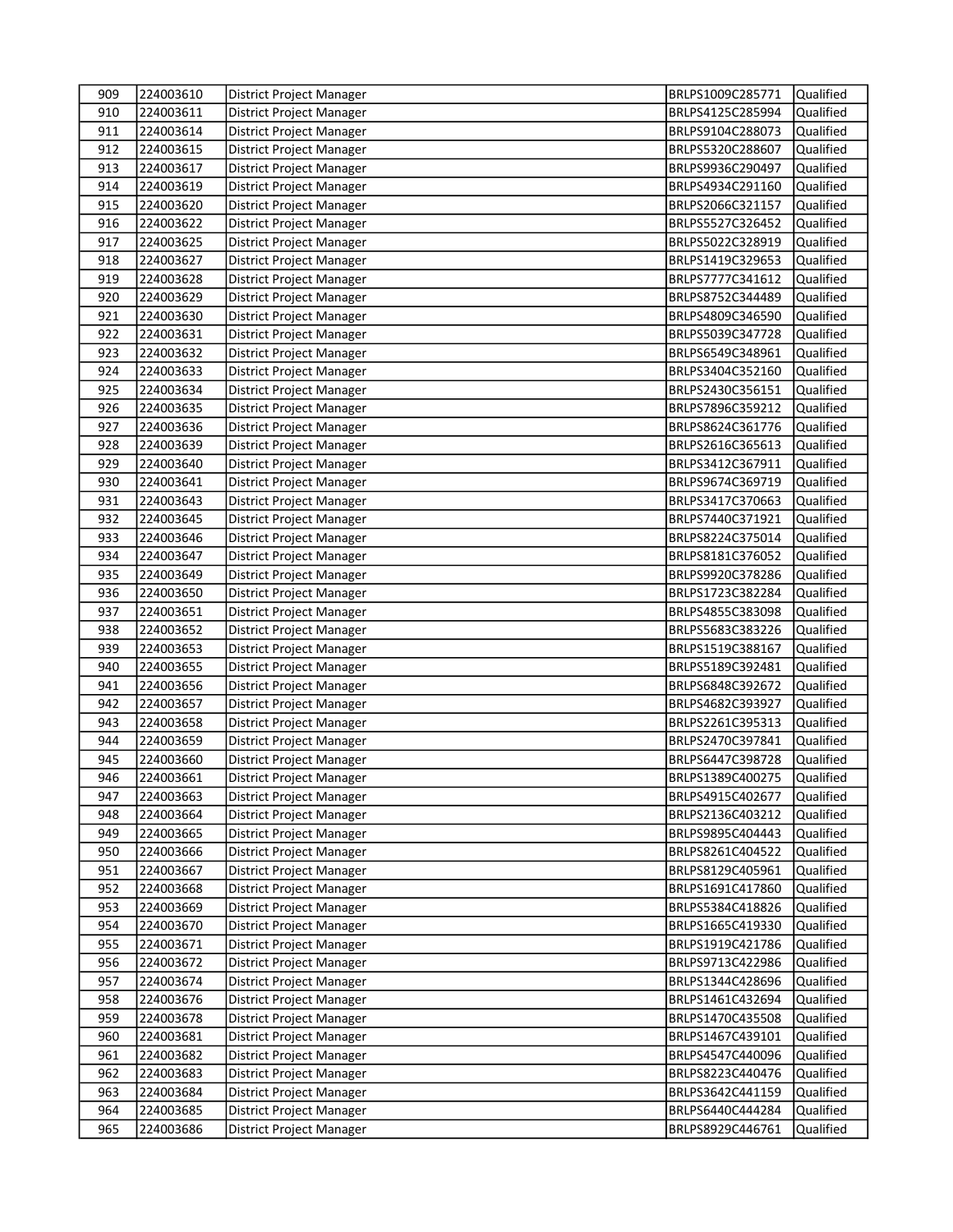| 224003611<br>BRLPS4125C285994<br>Qualified<br>910<br><b>District Project Manager</b><br>Qualified<br>911<br>224003614<br>BRLPS9104C288073<br><b>District Project Manager</b><br>912<br>224003615<br>BRLPS5320C288607<br>Qualified<br>District Project Manager<br>913<br>Qualified<br>224003617<br>District Project Manager<br>BRLPS9936C290497<br>914<br>224003619<br>Qualified<br>District Project Manager<br>BRLPS4934C291160<br>915<br>224003620<br>BRLPS2066C321157<br>Qualified<br>District Project Manager<br>916<br>224003622<br>Qualified<br>District Project Manager<br>BRLPS5527C326452<br>917<br>224003625<br>Qualified<br>District Project Manager<br>BRLPS5022C328919<br>918<br>224003627<br>District Project Manager<br>BRLPS1419C329653<br>Qualified<br>919<br>224003628<br>District Project Manager<br>BRLPS7777C341612<br>Qualified<br>920<br>224003629<br>District Project Manager<br>BRLPS8752C344489<br>Qualified<br>921<br>224003630<br>District Project Manager<br>BRLPS4809C346590<br>Qualified<br>922<br>BRLPS5039C347728<br>224003631<br>District Project Manager<br>Qualified<br>923<br>224003632<br>BRLPS6549C348961<br>District Project Manager<br>Qualified<br>924<br>224003633<br>BRLPS3404C352160<br>District Project Manager<br>Qualified<br>925<br>224003634<br>Qualified<br>District Project Manager<br>BRLPS2430C356151<br>926<br>224003635<br>BRLPS7896C359212<br>Qualified<br>District Project Manager<br>927<br>224003636<br>BRLPS8624C361776<br>Qualified<br>District Project Manager<br>928<br>224003639<br>BRLPS2616C365613<br>Qualified<br>District Project Manager<br>929<br>224003640<br>BRLPS3412C367911<br>Qualified<br>District Project Manager<br>930<br>224003641<br>District Project Manager<br>BRLPS9674C369719<br>Qualified<br>931<br>224003643<br>BRLPS3417C370663<br>Qualified<br>District Project Manager<br>932<br>224003645<br>BRLPS7440C371921<br>Qualified<br>District Project Manager<br>933<br>224003646<br>District Project Manager<br>BRLPS8224C375014<br>Qualified<br>934<br>224003647<br>BRLPS8181C376052<br>Qualified<br>District Project Manager<br>935<br>224003649<br>BRLPS9920C378286<br>Qualified<br>District Project Manager<br>Qualified<br>936<br>224003650<br>BRLPS1723C382284<br>District Project Manager<br>937<br>224003651<br>BRLPS4855C383098<br>Qualified<br>District Project Manager<br>938<br>BRLPS5683C383226<br>Qualified<br>224003652<br>District Project Manager<br>BRLPS1519C388167<br>Qualified<br>939<br>224003653<br>District Project Manager<br>224003655<br>Qualified<br>940<br>District Project Manager<br>BRLPS5189C392481<br>224003656<br>BRLPS6848C392672<br>Qualified<br>941<br>District Project Manager<br>942<br>Qualified<br>224003657<br>District Project Manager<br>BRLPS4682C393927<br>943<br>224003658<br>District Project Manager<br>BRLPS2261C395313<br>Qualified<br>944<br>224003659<br>District Project Manager<br>BRLPS2470C397841<br>Qualified<br>945<br>224003660<br>District Project Manager<br>BRLPS6447C398728<br>Qualified<br>946<br>BRLPS1389C400275<br>Qualified<br>224003661<br>District Project Manager<br>BRLPS4915C402677<br>Qualified<br>947<br>224003663<br>District Project Manager<br>District Project Manager<br>948<br>224003664<br>BRLPS2136C403212<br>Qualified<br>949<br>224003665<br>District Project Manager<br>BRLPS9895C404443<br>Qualified<br>Qualified<br>950<br>224003666<br>BRLPS8261C404522<br>District Project Manager<br>951<br>224003667<br>Qualified<br>District Project Manager<br>BRLPS8129C405961<br>952<br>224003668<br>Qualified<br>District Project Manager<br>BRLPS1691C417860<br>953<br>224003669<br>Qualified<br>District Project Manager<br>BRLPS5384C418826<br>954<br>224003670<br>Qualified<br>District Project Manager<br>BRLPS1665C419330<br>955<br>224003671<br>BRLPS1919C421786<br>Qualified<br>District Project Manager<br>956<br>224003672<br>Qualified<br>District Project Manager<br>BRLPS9713C422986<br>957<br>224003674<br>Qualified<br>District Project Manager<br>BRLPS1344C428696<br>958<br>224003676<br>BRLPS1461C432694<br>Qualified<br>District Project Manager<br>959<br>224003678<br>Qualified<br>District Project Manager<br>BRLPS1470C435508<br>960<br>224003681<br>Qualified<br>District Project Manager<br>BRLPS1467C439101<br>Qualified<br>961<br>224003682<br>BRLPS4547C440096<br>District Project Manager<br>962<br>224003683<br>Qualified<br>BRLPS8223C440476<br>District Project Manager<br>963<br>224003684<br>BRLPS3642C441159<br>Qualified<br>District Project Manager<br>964<br>224003685<br>BRLPS6440C444284<br>Qualified<br>District Project Manager<br>965<br>224003686<br>BRLPS8929C446761<br>Qualified<br>District Project Manager | 909 | 224003610 | District Project Manager | BRLPS1009C285771 | Qualified |
|------------------------------------------------------------------------------------------------------------------------------------------------------------------------------------------------------------------------------------------------------------------------------------------------------------------------------------------------------------------------------------------------------------------------------------------------------------------------------------------------------------------------------------------------------------------------------------------------------------------------------------------------------------------------------------------------------------------------------------------------------------------------------------------------------------------------------------------------------------------------------------------------------------------------------------------------------------------------------------------------------------------------------------------------------------------------------------------------------------------------------------------------------------------------------------------------------------------------------------------------------------------------------------------------------------------------------------------------------------------------------------------------------------------------------------------------------------------------------------------------------------------------------------------------------------------------------------------------------------------------------------------------------------------------------------------------------------------------------------------------------------------------------------------------------------------------------------------------------------------------------------------------------------------------------------------------------------------------------------------------------------------------------------------------------------------------------------------------------------------------------------------------------------------------------------------------------------------------------------------------------------------------------------------------------------------------------------------------------------------------------------------------------------------------------------------------------------------------------------------------------------------------------------------------------------------------------------------------------------------------------------------------------------------------------------------------------------------------------------------------------------------------------------------------------------------------------------------------------------------------------------------------------------------------------------------------------------------------------------------------------------------------------------------------------------------------------------------------------------------------------------------------------------------------------------------------------------------------------------------------------------------------------------------------------------------------------------------------------------------------------------------------------------------------------------------------------------------------------------------------------------------------------------------------------------------------------------------------------------------------------------------------------------------------------------------------------------------------------------------------------------------------------------------------------------------------------------------------------------------------------------------------------------------------------------------------------------------------------------------------------------------------------------------------------------------------------------------------------------------------------------------------------------------------------------------------------------------------------------------------------------------------------------------------------------------------------------------------------------------------------------------------------------------------------------------------------------------------------------------------------------------------------------------------------------------------------------------------------------------------------------------------------------------------------------------------------------------------------------|-----|-----------|--------------------------|------------------|-----------|
|                                                                                                                                                                                                                                                                                                                                                                                                                                                                                                                                                                                                                                                                                                                                                                                                                                                                                                                                                                                                                                                                                                                                                                                                                                                                                                                                                                                                                                                                                                                                                                                                                                                                                                                                                                                                                                                                                                                                                                                                                                                                                                                                                                                                                                                                                                                                                                                                                                                                                                                                                                                                                                                                                                                                                                                                                                                                                                                                                                                                                                                                                                                                                                                                                                                                                                                                                                                                                                                                                                                                                                                                                                                                                                                                                                                                                                                                                                                                                                                                                                                                                                                                                                                                                                                                                                                                                                                                                                                                                                                                                                                                                                                                                                                                    |     |           |                          |                  |           |
|                                                                                                                                                                                                                                                                                                                                                                                                                                                                                                                                                                                                                                                                                                                                                                                                                                                                                                                                                                                                                                                                                                                                                                                                                                                                                                                                                                                                                                                                                                                                                                                                                                                                                                                                                                                                                                                                                                                                                                                                                                                                                                                                                                                                                                                                                                                                                                                                                                                                                                                                                                                                                                                                                                                                                                                                                                                                                                                                                                                                                                                                                                                                                                                                                                                                                                                                                                                                                                                                                                                                                                                                                                                                                                                                                                                                                                                                                                                                                                                                                                                                                                                                                                                                                                                                                                                                                                                                                                                                                                                                                                                                                                                                                                                                    |     |           |                          |                  |           |
|                                                                                                                                                                                                                                                                                                                                                                                                                                                                                                                                                                                                                                                                                                                                                                                                                                                                                                                                                                                                                                                                                                                                                                                                                                                                                                                                                                                                                                                                                                                                                                                                                                                                                                                                                                                                                                                                                                                                                                                                                                                                                                                                                                                                                                                                                                                                                                                                                                                                                                                                                                                                                                                                                                                                                                                                                                                                                                                                                                                                                                                                                                                                                                                                                                                                                                                                                                                                                                                                                                                                                                                                                                                                                                                                                                                                                                                                                                                                                                                                                                                                                                                                                                                                                                                                                                                                                                                                                                                                                                                                                                                                                                                                                                                                    |     |           |                          |                  |           |
|                                                                                                                                                                                                                                                                                                                                                                                                                                                                                                                                                                                                                                                                                                                                                                                                                                                                                                                                                                                                                                                                                                                                                                                                                                                                                                                                                                                                                                                                                                                                                                                                                                                                                                                                                                                                                                                                                                                                                                                                                                                                                                                                                                                                                                                                                                                                                                                                                                                                                                                                                                                                                                                                                                                                                                                                                                                                                                                                                                                                                                                                                                                                                                                                                                                                                                                                                                                                                                                                                                                                                                                                                                                                                                                                                                                                                                                                                                                                                                                                                                                                                                                                                                                                                                                                                                                                                                                                                                                                                                                                                                                                                                                                                                                                    |     |           |                          |                  |           |
|                                                                                                                                                                                                                                                                                                                                                                                                                                                                                                                                                                                                                                                                                                                                                                                                                                                                                                                                                                                                                                                                                                                                                                                                                                                                                                                                                                                                                                                                                                                                                                                                                                                                                                                                                                                                                                                                                                                                                                                                                                                                                                                                                                                                                                                                                                                                                                                                                                                                                                                                                                                                                                                                                                                                                                                                                                                                                                                                                                                                                                                                                                                                                                                                                                                                                                                                                                                                                                                                                                                                                                                                                                                                                                                                                                                                                                                                                                                                                                                                                                                                                                                                                                                                                                                                                                                                                                                                                                                                                                                                                                                                                                                                                                                                    |     |           |                          |                  |           |
|                                                                                                                                                                                                                                                                                                                                                                                                                                                                                                                                                                                                                                                                                                                                                                                                                                                                                                                                                                                                                                                                                                                                                                                                                                                                                                                                                                                                                                                                                                                                                                                                                                                                                                                                                                                                                                                                                                                                                                                                                                                                                                                                                                                                                                                                                                                                                                                                                                                                                                                                                                                                                                                                                                                                                                                                                                                                                                                                                                                                                                                                                                                                                                                                                                                                                                                                                                                                                                                                                                                                                                                                                                                                                                                                                                                                                                                                                                                                                                                                                                                                                                                                                                                                                                                                                                                                                                                                                                                                                                                                                                                                                                                                                                                                    |     |           |                          |                  |           |
|                                                                                                                                                                                                                                                                                                                                                                                                                                                                                                                                                                                                                                                                                                                                                                                                                                                                                                                                                                                                                                                                                                                                                                                                                                                                                                                                                                                                                                                                                                                                                                                                                                                                                                                                                                                                                                                                                                                                                                                                                                                                                                                                                                                                                                                                                                                                                                                                                                                                                                                                                                                                                                                                                                                                                                                                                                                                                                                                                                                                                                                                                                                                                                                                                                                                                                                                                                                                                                                                                                                                                                                                                                                                                                                                                                                                                                                                                                                                                                                                                                                                                                                                                                                                                                                                                                                                                                                                                                                                                                                                                                                                                                                                                                                                    |     |           |                          |                  |           |
|                                                                                                                                                                                                                                                                                                                                                                                                                                                                                                                                                                                                                                                                                                                                                                                                                                                                                                                                                                                                                                                                                                                                                                                                                                                                                                                                                                                                                                                                                                                                                                                                                                                                                                                                                                                                                                                                                                                                                                                                                                                                                                                                                                                                                                                                                                                                                                                                                                                                                                                                                                                                                                                                                                                                                                                                                                                                                                                                                                                                                                                                                                                                                                                                                                                                                                                                                                                                                                                                                                                                                                                                                                                                                                                                                                                                                                                                                                                                                                                                                                                                                                                                                                                                                                                                                                                                                                                                                                                                                                                                                                                                                                                                                                                                    |     |           |                          |                  |           |
|                                                                                                                                                                                                                                                                                                                                                                                                                                                                                                                                                                                                                                                                                                                                                                                                                                                                                                                                                                                                                                                                                                                                                                                                                                                                                                                                                                                                                                                                                                                                                                                                                                                                                                                                                                                                                                                                                                                                                                                                                                                                                                                                                                                                                                                                                                                                                                                                                                                                                                                                                                                                                                                                                                                                                                                                                                                                                                                                                                                                                                                                                                                                                                                                                                                                                                                                                                                                                                                                                                                                                                                                                                                                                                                                                                                                                                                                                                                                                                                                                                                                                                                                                                                                                                                                                                                                                                                                                                                                                                                                                                                                                                                                                                                                    |     |           |                          |                  |           |
|                                                                                                                                                                                                                                                                                                                                                                                                                                                                                                                                                                                                                                                                                                                                                                                                                                                                                                                                                                                                                                                                                                                                                                                                                                                                                                                                                                                                                                                                                                                                                                                                                                                                                                                                                                                                                                                                                                                                                                                                                                                                                                                                                                                                                                                                                                                                                                                                                                                                                                                                                                                                                                                                                                                                                                                                                                                                                                                                                                                                                                                                                                                                                                                                                                                                                                                                                                                                                                                                                                                                                                                                                                                                                                                                                                                                                                                                                                                                                                                                                                                                                                                                                                                                                                                                                                                                                                                                                                                                                                                                                                                                                                                                                                                                    |     |           |                          |                  |           |
|                                                                                                                                                                                                                                                                                                                                                                                                                                                                                                                                                                                                                                                                                                                                                                                                                                                                                                                                                                                                                                                                                                                                                                                                                                                                                                                                                                                                                                                                                                                                                                                                                                                                                                                                                                                                                                                                                                                                                                                                                                                                                                                                                                                                                                                                                                                                                                                                                                                                                                                                                                                                                                                                                                                                                                                                                                                                                                                                                                                                                                                                                                                                                                                                                                                                                                                                                                                                                                                                                                                                                                                                                                                                                                                                                                                                                                                                                                                                                                                                                                                                                                                                                                                                                                                                                                                                                                                                                                                                                                                                                                                                                                                                                                                                    |     |           |                          |                  |           |
|                                                                                                                                                                                                                                                                                                                                                                                                                                                                                                                                                                                                                                                                                                                                                                                                                                                                                                                                                                                                                                                                                                                                                                                                                                                                                                                                                                                                                                                                                                                                                                                                                                                                                                                                                                                                                                                                                                                                                                                                                                                                                                                                                                                                                                                                                                                                                                                                                                                                                                                                                                                                                                                                                                                                                                                                                                                                                                                                                                                                                                                                                                                                                                                                                                                                                                                                                                                                                                                                                                                                                                                                                                                                                                                                                                                                                                                                                                                                                                                                                                                                                                                                                                                                                                                                                                                                                                                                                                                                                                                                                                                                                                                                                                                                    |     |           |                          |                  |           |
|                                                                                                                                                                                                                                                                                                                                                                                                                                                                                                                                                                                                                                                                                                                                                                                                                                                                                                                                                                                                                                                                                                                                                                                                                                                                                                                                                                                                                                                                                                                                                                                                                                                                                                                                                                                                                                                                                                                                                                                                                                                                                                                                                                                                                                                                                                                                                                                                                                                                                                                                                                                                                                                                                                                                                                                                                                                                                                                                                                                                                                                                                                                                                                                                                                                                                                                                                                                                                                                                                                                                                                                                                                                                                                                                                                                                                                                                                                                                                                                                                                                                                                                                                                                                                                                                                                                                                                                                                                                                                                                                                                                                                                                                                                                                    |     |           |                          |                  |           |
|                                                                                                                                                                                                                                                                                                                                                                                                                                                                                                                                                                                                                                                                                                                                                                                                                                                                                                                                                                                                                                                                                                                                                                                                                                                                                                                                                                                                                                                                                                                                                                                                                                                                                                                                                                                                                                                                                                                                                                                                                                                                                                                                                                                                                                                                                                                                                                                                                                                                                                                                                                                                                                                                                                                                                                                                                                                                                                                                                                                                                                                                                                                                                                                                                                                                                                                                                                                                                                                                                                                                                                                                                                                                                                                                                                                                                                                                                                                                                                                                                                                                                                                                                                                                                                                                                                                                                                                                                                                                                                                                                                                                                                                                                                                                    |     |           |                          |                  |           |
|                                                                                                                                                                                                                                                                                                                                                                                                                                                                                                                                                                                                                                                                                                                                                                                                                                                                                                                                                                                                                                                                                                                                                                                                                                                                                                                                                                                                                                                                                                                                                                                                                                                                                                                                                                                                                                                                                                                                                                                                                                                                                                                                                                                                                                                                                                                                                                                                                                                                                                                                                                                                                                                                                                                                                                                                                                                                                                                                                                                                                                                                                                                                                                                                                                                                                                                                                                                                                                                                                                                                                                                                                                                                                                                                                                                                                                                                                                                                                                                                                                                                                                                                                                                                                                                                                                                                                                                                                                                                                                                                                                                                                                                                                                                                    |     |           |                          |                  |           |
|                                                                                                                                                                                                                                                                                                                                                                                                                                                                                                                                                                                                                                                                                                                                                                                                                                                                                                                                                                                                                                                                                                                                                                                                                                                                                                                                                                                                                                                                                                                                                                                                                                                                                                                                                                                                                                                                                                                                                                                                                                                                                                                                                                                                                                                                                                                                                                                                                                                                                                                                                                                                                                                                                                                                                                                                                                                                                                                                                                                                                                                                                                                                                                                                                                                                                                                                                                                                                                                                                                                                                                                                                                                                                                                                                                                                                                                                                                                                                                                                                                                                                                                                                                                                                                                                                                                                                                                                                                                                                                                                                                                                                                                                                                                                    |     |           |                          |                  |           |
|                                                                                                                                                                                                                                                                                                                                                                                                                                                                                                                                                                                                                                                                                                                                                                                                                                                                                                                                                                                                                                                                                                                                                                                                                                                                                                                                                                                                                                                                                                                                                                                                                                                                                                                                                                                                                                                                                                                                                                                                                                                                                                                                                                                                                                                                                                                                                                                                                                                                                                                                                                                                                                                                                                                                                                                                                                                                                                                                                                                                                                                                                                                                                                                                                                                                                                                                                                                                                                                                                                                                                                                                                                                                                                                                                                                                                                                                                                                                                                                                                                                                                                                                                                                                                                                                                                                                                                                                                                                                                                                                                                                                                                                                                                                                    |     |           |                          |                  |           |
|                                                                                                                                                                                                                                                                                                                                                                                                                                                                                                                                                                                                                                                                                                                                                                                                                                                                                                                                                                                                                                                                                                                                                                                                                                                                                                                                                                                                                                                                                                                                                                                                                                                                                                                                                                                                                                                                                                                                                                                                                                                                                                                                                                                                                                                                                                                                                                                                                                                                                                                                                                                                                                                                                                                                                                                                                                                                                                                                                                                                                                                                                                                                                                                                                                                                                                                                                                                                                                                                                                                                                                                                                                                                                                                                                                                                                                                                                                                                                                                                                                                                                                                                                                                                                                                                                                                                                                                                                                                                                                                                                                                                                                                                                                                                    |     |           |                          |                  |           |
|                                                                                                                                                                                                                                                                                                                                                                                                                                                                                                                                                                                                                                                                                                                                                                                                                                                                                                                                                                                                                                                                                                                                                                                                                                                                                                                                                                                                                                                                                                                                                                                                                                                                                                                                                                                                                                                                                                                                                                                                                                                                                                                                                                                                                                                                                                                                                                                                                                                                                                                                                                                                                                                                                                                                                                                                                                                                                                                                                                                                                                                                                                                                                                                                                                                                                                                                                                                                                                                                                                                                                                                                                                                                                                                                                                                                                                                                                                                                                                                                                                                                                                                                                                                                                                                                                                                                                                                                                                                                                                                                                                                                                                                                                                                                    |     |           |                          |                  |           |
|                                                                                                                                                                                                                                                                                                                                                                                                                                                                                                                                                                                                                                                                                                                                                                                                                                                                                                                                                                                                                                                                                                                                                                                                                                                                                                                                                                                                                                                                                                                                                                                                                                                                                                                                                                                                                                                                                                                                                                                                                                                                                                                                                                                                                                                                                                                                                                                                                                                                                                                                                                                                                                                                                                                                                                                                                                                                                                                                                                                                                                                                                                                                                                                                                                                                                                                                                                                                                                                                                                                                                                                                                                                                                                                                                                                                                                                                                                                                                                                                                                                                                                                                                                                                                                                                                                                                                                                                                                                                                                                                                                                                                                                                                                                                    |     |           |                          |                  |           |
|                                                                                                                                                                                                                                                                                                                                                                                                                                                                                                                                                                                                                                                                                                                                                                                                                                                                                                                                                                                                                                                                                                                                                                                                                                                                                                                                                                                                                                                                                                                                                                                                                                                                                                                                                                                                                                                                                                                                                                                                                                                                                                                                                                                                                                                                                                                                                                                                                                                                                                                                                                                                                                                                                                                                                                                                                                                                                                                                                                                                                                                                                                                                                                                                                                                                                                                                                                                                                                                                                                                                                                                                                                                                                                                                                                                                                                                                                                                                                                                                                                                                                                                                                                                                                                                                                                                                                                                                                                                                                                                                                                                                                                                                                                                                    |     |           |                          |                  |           |
|                                                                                                                                                                                                                                                                                                                                                                                                                                                                                                                                                                                                                                                                                                                                                                                                                                                                                                                                                                                                                                                                                                                                                                                                                                                                                                                                                                                                                                                                                                                                                                                                                                                                                                                                                                                                                                                                                                                                                                                                                                                                                                                                                                                                                                                                                                                                                                                                                                                                                                                                                                                                                                                                                                                                                                                                                                                                                                                                                                                                                                                                                                                                                                                                                                                                                                                                                                                                                                                                                                                                                                                                                                                                                                                                                                                                                                                                                                                                                                                                                                                                                                                                                                                                                                                                                                                                                                                                                                                                                                                                                                                                                                                                                                                                    |     |           |                          |                  |           |
|                                                                                                                                                                                                                                                                                                                                                                                                                                                                                                                                                                                                                                                                                                                                                                                                                                                                                                                                                                                                                                                                                                                                                                                                                                                                                                                                                                                                                                                                                                                                                                                                                                                                                                                                                                                                                                                                                                                                                                                                                                                                                                                                                                                                                                                                                                                                                                                                                                                                                                                                                                                                                                                                                                                                                                                                                                                                                                                                                                                                                                                                                                                                                                                                                                                                                                                                                                                                                                                                                                                                                                                                                                                                                                                                                                                                                                                                                                                                                                                                                                                                                                                                                                                                                                                                                                                                                                                                                                                                                                                                                                                                                                                                                                                                    |     |           |                          |                  |           |
|                                                                                                                                                                                                                                                                                                                                                                                                                                                                                                                                                                                                                                                                                                                                                                                                                                                                                                                                                                                                                                                                                                                                                                                                                                                                                                                                                                                                                                                                                                                                                                                                                                                                                                                                                                                                                                                                                                                                                                                                                                                                                                                                                                                                                                                                                                                                                                                                                                                                                                                                                                                                                                                                                                                                                                                                                                                                                                                                                                                                                                                                                                                                                                                                                                                                                                                                                                                                                                                                                                                                                                                                                                                                                                                                                                                                                                                                                                                                                                                                                                                                                                                                                                                                                                                                                                                                                                                                                                                                                                                                                                                                                                                                                                                                    |     |           |                          |                  |           |
|                                                                                                                                                                                                                                                                                                                                                                                                                                                                                                                                                                                                                                                                                                                                                                                                                                                                                                                                                                                                                                                                                                                                                                                                                                                                                                                                                                                                                                                                                                                                                                                                                                                                                                                                                                                                                                                                                                                                                                                                                                                                                                                                                                                                                                                                                                                                                                                                                                                                                                                                                                                                                                                                                                                                                                                                                                                                                                                                                                                                                                                                                                                                                                                                                                                                                                                                                                                                                                                                                                                                                                                                                                                                                                                                                                                                                                                                                                                                                                                                                                                                                                                                                                                                                                                                                                                                                                                                                                                                                                                                                                                                                                                                                                                                    |     |           |                          |                  |           |
|                                                                                                                                                                                                                                                                                                                                                                                                                                                                                                                                                                                                                                                                                                                                                                                                                                                                                                                                                                                                                                                                                                                                                                                                                                                                                                                                                                                                                                                                                                                                                                                                                                                                                                                                                                                                                                                                                                                                                                                                                                                                                                                                                                                                                                                                                                                                                                                                                                                                                                                                                                                                                                                                                                                                                                                                                                                                                                                                                                                                                                                                                                                                                                                                                                                                                                                                                                                                                                                                                                                                                                                                                                                                                                                                                                                                                                                                                                                                                                                                                                                                                                                                                                                                                                                                                                                                                                                                                                                                                                                                                                                                                                                                                                                                    |     |           |                          |                  |           |
|                                                                                                                                                                                                                                                                                                                                                                                                                                                                                                                                                                                                                                                                                                                                                                                                                                                                                                                                                                                                                                                                                                                                                                                                                                                                                                                                                                                                                                                                                                                                                                                                                                                                                                                                                                                                                                                                                                                                                                                                                                                                                                                                                                                                                                                                                                                                                                                                                                                                                                                                                                                                                                                                                                                                                                                                                                                                                                                                                                                                                                                                                                                                                                                                                                                                                                                                                                                                                                                                                                                                                                                                                                                                                                                                                                                                                                                                                                                                                                                                                                                                                                                                                                                                                                                                                                                                                                                                                                                                                                                                                                                                                                                                                                                                    |     |           |                          |                  |           |
|                                                                                                                                                                                                                                                                                                                                                                                                                                                                                                                                                                                                                                                                                                                                                                                                                                                                                                                                                                                                                                                                                                                                                                                                                                                                                                                                                                                                                                                                                                                                                                                                                                                                                                                                                                                                                                                                                                                                                                                                                                                                                                                                                                                                                                                                                                                                                                                                                                                                                                                                                                                                                                                                                                                                                                                                                                                                                                                                                                                                                                                                                                                                                                                                                                                                                                                                                                                                                                                                                                                                                                                                                                                                                                                                                                                                                                                                                                                                                                                                                                                                                                                                                                                                                                                                                                                                                                                                                                                                                                                                                                                                                                                                                                                                    |     |           |                          |                  |           |
|                                                                                                                                                                                                                                                                                                                                                                                                                                                                                                                                                                                                                                                                                                                                                                                                                                                                                                                                                                                                                                                                                                                                                                                                                                                                                                                                                                                                                                                                                                                                                                                                                                                                                                                                                                                                                                                                                                                                                                                                                                                                                                                                                                                                                                                                                                                                                                                                                                                                                                                                                                                                                                                                                                                                                                                                                                                                                                                                                                                                                                                                                                                                                                                                                                                                                                                                                                                                                                                                                                                                                                                                                                                                                                                                                                                                                                                                                                                                                                                                                                                                                                                                                                                                                                                                                                                                                                                                                                                                                                                                                                                                                                                                                                                                    |     |           |                          |                  |           |
|                                                                                                                                                                                                                                                                                                                                                                                                                                                                                                                                                                                                                                                                                                                                                                                                                                                                                                                                                                                                                                                                                                                                                                                                                                                                                                                                                                                                                                                                                                                                                                                                                                                                                                                                                                                                                                                                                                                                                                                                                                                                                                                                                                                                                                                                                                                                                                                                                                                                                                                                                                                                                                                                                                                                                                                                                                                                                                                                                                                                                                                                                                                                                                                                                                                                                                                                                                                                                                                                                                                                                                                                                                                                                                                                                                                                                                                                                                                                                                                                                                                                                                                                                                                                                                                                                                                                                                                                                                                                                                                                                                                                                                                                                                                                    |     |           |                          |                  |           |
|                                                                                                                                                                                                                                                                                                                                                                                                                                                                                                                                                                                                                                                                                                                                                                                                                                                                                                                                                                                                                                                                                                                                                                                                                                                                                                                                                                                                                                                                                                                                                                                                                                                                                                                                                                                                                                                                                                                                                                                                                                                                                                                                                                                                                                                                                                                                                                                                                                                                                                                                                                                                                                                                                                                                                                                                                                                                                                                                                                                                                                                                                                                                                                                                                                                                                                                                                                                                                                                                                                                                                                                                                                                                                                                                                                                                                                                                                                                                                                                                                                                                                                                                                                                                                                                                                                                                                                                                                                                                                                                                                                                                                                                                                                                                    |     |           |                          |                  |           |
|                                                                                                                                                                                                                                                                                                                                                                                                                                                                                                                                                                                                                                                                                                                                                                                                                                                                                                                                                                                                                                                                                                                                                                                                                                                                                                                                                                                                                                                                                                                                                                                                                                                                                                                                                                                                                                                                                                                                                                                                                                                                                                                                                                                                                                                                                                                                                                                                                                                                                                                                                                                                                                                                                                                                                                                                                                                                                                                                                                                                                                                                                                                                                                                                                                                                                                                                                                                                                                                                                                                                                                                                                                                                                                                                                                                                                                                                                                                                                                                                                                                                                                                                                                                                                                                                                                                                                                                                                                                                                                                                                                                                                                                                                                                                    |     |           |                          |                  |           |
|                                                                                                                                                                                                                                                                                                                                                                                                                                                                                                                                                                                                                                                                                                                                                                                                                                                                                                                                                                                                                                                                                                                                                                                                                                                                                                                                                                                                                                                                                                                                                                                                                                                                                                                                                                                                                                                                                                                                                                                                                                                                                                                                                                                                                                                                                                                                                                                                                                                                                                                                                                                                                                                                                                                                                                                                                                                                                                                                                                                                                                                                                                                                                                                                                                                                                                                                                                                                                                                                                                                                                                                                                                                                                                                                                                                                                                                                                                                                                                                                                                                                                                                                                                                                                                                                                                                                                                                                                                                                                                                                                                                                                                                                                                                                    |     |           |                          |                  |           |
|                                                                                                                                                                                                                                                                                                                                                                                                                                                                                                                                                                                                                                                                                                                                                                                                                                                                                                                                                                                                                                                                                                                                                                                                                                                                                                                                                                                                                                                                                                                                                                                                                                                                                                                                                                                                                                                                                                                                                                                                                                                                                                                                                                                                                                                                                                                                                                                                                                                                                                                                                                                                                                                                                                                                                                                                                                                                                                                                                                                                                                                                                                                                                                                                                                                                                                                                                                                                                                                                                                                                                                                                                                                                                                                                                                                                                                                                                                                                                                                                                                                                                                                                                                                                                                                                                                                                                                                                                                                                                                                                                                                                                                                                                                                                    |     |           |                          |                  |           |
|                                                                                                                                                                                                                                                                                                                                                                                                                                                                                                                                                                                                                                                                                                                                                                                                                                                                                                                                                                                                                                                                                                                                                                                                                                                                                                                                                                                                                                                                                                                                                                                                                                                                                                                                                                                                                                                                                                                                                                                                                                                                                                                                                                                                                                                                                                                                                                                                                                                                                                                                                                                                                                                                                                                                                                                                                                                                                                                                                                                                                                                                                                                                                                                                                                                                                                                                                                                                                                                                                                                                                                                                                                                                                                                                                                                                                                                                                                                                                                                                                                                                                                                                                                                                                                                                                                                                                                                                                                                                                                                                                                                                                                                                                                                                    |     |           |                          |                  |           |
|                                                                                                                                                                                                                                                                                                                                                                                                                                                                                                                                                                                                                                                                                                                                                                                                                                                                                                                                                                                                                                                                                                                                                                                                                                                                                                                                                                                                                                                                                                                                                                                                                                                                                                                                                                                                                                                                                                                                                                                                                                                                                                                                                                                                                                                                                                                                                                                                                                                                                                                                                                                                                                                                                                                                                                                                                                                                                                                                                                                                                                                                                                                                                                                                                                                                                                                                                                                                                                                                                                                                                                                                                                                                                                                                                                                                                                                                                                                                                                                                                                                                                                                                                                                                                                                                                                                                                                                                                                                                                                                                                                                                                                                                                                                                    |     |           |                          |                  |           |
|                                                                                                                                                                                                                                                                                                                                                                                                                                                                                                                                                                                                                                                                                                                                                                                                                                                                                                                                                                                                                                                                                                                                                                                                                                                                                                                                                                                                                                                                                                                                                                                                                                                                                                                                                                                                                                                                                                                                                                                                                                                                                                                                                                                                                                                                                                                                                                                                                                                                                                                                                                                                                                                                                                                                                                                                                                                                                                                                                                                                                                                                                                                                                                                                                                                                                                                                                                                                                                                                                                                                                                                                                                                                                                                                                                                                                                                                                                                                                                                                                                                                                                                                                                                                                                                                                                                                                                                                                                                                                                                                                                                                                                                                                                                                    |     |           |                          |                  |           |
|                                                                                                                                                                                                                                                                                                                                                                                                                                                                                                                                                                                                                                                                                                                                                                                                                                                                                                                                                                                                                                                                                                                                                                                                                                                                                                                                                                                                                                                                                                                                                                                                                                                                                                                                                                                                                                                                                                                                                                                                                                                                                                                                                                                                                                                                                                                                                                                                                                                                                                                                                                                                                                                                                                                                                                                                                                                                                                                                                                                                                                                                                                                                                                                                                                                                                                                                                                                                                                                                                                                                                                                                                                                                                                                                                                                                                                                                                                                                                                                                                                                                                                                                                                                                                                                                                                                                                                                                                                                                                                                                                                                                                                                                                                                                    |     |           |                          |                  |           |
|                                                                                                                                                                                                                                                                                                                                                                                                                                                                                                                                                                                                                                                                                                                                                                                                                                                                                                                                                                                                                                                                                                                                                                                                                                                                                                                                                                                                                                                                                                                                                                                                                                                                                                                                                                                                                                                                                                                                                                                                                                                                                                                                                                                                                                                                                                                                                                                                                                                                                                                                                                                                                                                                                                                                                                                                                                                                                                                                                                                                                                                                                                                                                                                                                                                                                                                                                                                                                                                                                                                                                                                                                                                                                                                                                                                                                                                                                                                                                                                                                                                                                                                                                                                                                                                                                                                                                                                                                                                                                                                                                                                                                                                                                                                                    |     |           |                          |                  |           |
|                                                                                                                                                                                                                                                                                                                                                                                                                                                                                                                                                                                                                                                                                                                                                                                                                                                                                                                                                                                                                                                                                                                                                                                                                                                                                                                                                                                                                                                                                                                                                                                                                                                                                                                                                                                                                                                                                                                                                                                                                                                                                                                                                                                                                                                                                                                                                                                                                                                                                                                                                                                                                                                                                                                                                                                                                                                                                                                                                                                                                                                                                                                                                                                                                                                                                                                                                                                                                                                                                                                                                                                                                                                                                                                                                                                                                                                                                                                                                                                                                                                                                                                                                                                                                                                                                                                                                                                                                                                                                                                                                                                                                                                                                                                                    |     |           |                          |                  |           |
|                                                                                                                                                                                                                                                                                                                                                                                                                                                                                                                                                                                                                                                                                                                                                                                                                                                                                                                                                                                                                                                                                                                                                                                                                                                                                                                                                                                                                                                                                                                                                                                                                                                                                                                                                                                                                                                                                                                                                                                                                                                                                                                                                                                                                                                                                                                                                                                                                                                                                                                                                                                                                                                                                                                                                                                                                                                                                                                                                                                                                                                                                                                                                                                                                                                                                                                                                                                                                                                                                                                                                                                                                                                                                                                                                                                                                                                                                                                                                                                                                                                                                                                                                                                                                                                                                                                                                                                                                                                                                                                                                                                                                                                                                                                                    |     |           |                          |                  |           |
|                                                                                                                                                                                                                                                                                                                                                                                                                                                                                                                                                                                                                                                                                                                                                                                                                                                                                                                                                                                                                                                                                                                                                                                                                                                                                                                                                                                                                                                                                                                                                                                                                                                                                                                                                                                                                                                                                                                                                                                                                                                                                                                                                                                                                                                                                                                                                                                                                                                                                                                                                                                                                                                                                                                                                                                                                                                                                                                                                                                                                                                                                                                                                                                                                                                                                                                                                                                                                                                                                                                                                                                                                                                                                                                                                                                                                                                                                                                                                                                                                                                                                                                                                                                                                                                                                                                                                                                                                                                                                                                                                                                                                                                                                                                                    |     |           |                          |                  |           |
|                                                                                                                                                                                                                                                                                                                                                                                                                                                                                                                                                                                                                                                                                                                                                                                                                                                                                                                                                                                                                                                                                                                                                                                                                                                                                                                                                                                                                                                                                                                                                                                                                                                                                                                                                                                                                                                                                                                                                                                                                                                                                                                                                                                                                                                                                                                                                                                                                                                                                                                                                                                                                                                                                                                                                                                                                                                                                                                                                                                                                                                                                                                                                                                                                                                                                                                                                                                                                                                                                                                                                                                                                                                                                                                                                                                                                                                                                                                                                                                                                                                                                                                                                                                                                                                                                                                                                                                                                                                                                                                                                                                                                                                                                                                                    |     |           |                          |                  |           |
|                                                                                                                                                                                                                                                                                                                                                                                                                                                                                                                                                                                                                                                                                                                                                                                                                                                                                                                                                                                                                                                                                                                                                                                                                                                                                                                                                                                                                                                                                                                                                                                                                                                                                                                                                                                                                                                                                                                                                                                                                                                                                                                                                                                                                                                                                                                                                                                                                                                                                                                                                                                                                                                                                                                                                                                                                                                                                                                                                                                                                                                                                                                                                                                                                                                                                                                                                                                                                                                                                                                                                                                                                                                                                                                                                                                                                                                                                                                                                                                                                                                                                                                                                                                                                                                                                                                                                                                                                                                                                                                                                                                                                                                                                                                                    |     |           |                          |                  |           |
|                                                                                                                                                                                                                                                                                                                                                                                                                                                                                                                                                                                                                                                                                                                                                                                                                                                                                                                                                                                                                                                                                                                                                                                                                                                                                                                                                                                                                                                                                                                                                                                                                                                                                                                                                                                                                                                                                                                                                                                                                                                                                                                                                                                                                                                                                                                                                                                                                                                                                                                                                                                                                                                                                                                                                                                                                                                                                                                                                                                                                                                                                                                                                                                                                                                                                                                                                                                                                                                                                                                                                                                                                                                                                                                                                                                                                                                                                                                                                                                                                                                                                                                                                                                                                                                                                                                                                                                                                                                                                                                                                                                                                                                                                                                                    |     |           |                          |                  |           |
|                                                                                                                                                                                                                                                                                                                                                                                                                                                                                                                                                                                                                                                                                                                                                                                                                                                                                                                                                                                                                                                                                                                                                                                                                                                                                                                                                                                                                                                                                                                                                                                                                                                                                                                                                                                                                                                                                                                                                                                                                                                                                                                                                                                                                                                                                                                                                                                                                                                                                                                                                                                                                                                                                                                                                                                                                                                                                                                                                                                                                                                                                                                                                                                                                                                                                                                                                                                                                                                                                                                                                                                                                                                                                                                                                                                                                                                                                                                                                                                                                                                                                                                                                                                                                                                                                                                                                                                                                                                                                                                                                                                                                                                                                                                                    |     |           |                          |                  |           |
|                                                                                                                                                                                                                                                                                                                                                                                                                                                                                                                                                                                                                                                                                                                                                                                                                                                                                                                                                                                                                                                                                                                                                                                                                                                                                                                                                                                                                                                                                                                                                                                                                                                                                                                                                                                                                                                                                                                                                                                                                                                                                                                                                                                                                                                                                                                                                                                                                                                                                                                                                                                                                                                                                                                                                                                                                                                                                                                                                                                                                                                                                                                                                                                                                                                                                                                                                                                                                                                                                                                                                                                                                                                                                                                                                                                                                                                                                                                                                                                                                                                                                                                                                                                                                                                                                                                                                                                                                                                                                                                                                                                                                                                                                                                                    |     |           |                          |                  |           |
|                                                                                                                                                                                                                                                                                                                                                                                                                                                                                                                                                                                                                                                                                                                                                                                                                                                                                                                                                                                                                                                                                                                                                                                                                                                                                                                                                                                                                                                                                                                                                                                                                                                                                                                                                                                                                                                                                                                                                                                                                                                                                                                                                                                                                                                                                                                                                                                                                                                                                                                                                                                                                                                                                                                                                                                                                                                                                                                                                                                                                                                                                                                                                                                                                                                                                                                                                                                                                                                                                                                                                                                                                                                                                                                                                                                                                                                                                                                                                                                                                                                                                                                                                                                                                                                                                                                                                                                                                                                                                                                                                                                                                                                                                                                                    |     |           |                          |                  |           |
|                                                                                                                                                                                                                                                                                                                                                                                                                                                                                                                                                                                                                                                                                                                                                                                                                                                                                                                                                                                                                                                                                                                                                                                                                                                                                                                                                                                                                                                                                                                                                                                                                                                                                                                                                                                                                                                                                                                                                                                                                                                                                                                                                                                                                                                                                                                                                                                                                                                                                                                                                                                                                                                                                                                                                                                                                                                                                                                                                                                                                                                                                                                                                                                                                                                                                                                                                                                                                                                                                                                                                                                                                                                                                                                                                                                                                                                                                                                                                                                                                                                                                                                                                                                                                                                                                                                                                                                                                                                                                                                                                                                                                                                                                                                                    |     |           |                          |                  |           |
|                                                                                                                                                                                                                                                                                                                                                                                                                                                                                                                                                                                                                                                                                                                                                                                                                                                                                                                                                                                                                                                                                                                                                                                                                                                                                                                                                                                                                                                                                                                                                                                                                                                                                                                                                                                                                                                                                                                                                                                                                                                                                                                                                                                                                                                                                                                                                                                                                                                                                                                                                                                                                                                                                                                                                                                                                                                                                                                                                                                                                                                                                                                                                                                                                                                                                                                                                                                                                                                                                                                                                                                                                                                                                                                                                                                                                                                                                                                                                                                                                                                                                                                                                                                                                                                                                                                                                                                                                                                                                                                                                                                                                                                                                                                                    |     |           |                          |                  |           |
|                                                                                                                                                                                                                                                                                                                                                                                                                                                                                                                                                                                                                                                                                                                                                                                                                                                                                                                                                                                                                                                                                                                                                                                                                                                                                                                                                                                                                                                                                                                                                                                                                                                                                                                                                                                                                                                                                                                                                                                                                                                                                                                                                                                                                                                                                                                                                                                                                                                                                                                                                                                                                                                                                                                                                                                                                                                                                                                                                                                                                                                                                                                                                                                                                                                                                                                                                                                                                                                                                                                                                                                                                                                                                                                                                                                                                                                                                                                                                                                                                                                                                                                                                                                                                                                                                                                                                                                                                                                                                                                                                                                                                                                                                                                                    |     |           |                          |                  |           |
|                                                                                                                                                                                                                                                                                                                                                                                                                                                                                                                                                                                                                                                                                                                                                                                                                                                                                                                                                                                                                                                                                                                                                                                                                                                                                                                                                                                                                                                                                                                                                                                                                                                                                                                                                                                                                                                                                                                                                                                                                                                                                                                                                                                                                                                                                                                                                                                                                                                                                                                                                                                                                                                                                                                                                                                                                                                                                                                                                                                                                                                                                                                                                                                                                                                                                                                                                                                                                                                                                                                                                                                                                                                                                                                                                                                                                                                                                                                                                                                                                                                                                                                                                                                                                                                                                                                                                                                                                                                                                                                                                                                                                                                                                                                                    |     |           |                          |                  |           |
|                                                                                                                                                                                                                                                                                                                                                                                                                                                                                                                                                                                                                                                                                                                                                                                                                                                                                                                                                                                                                                                                                                                                                                                                                                                                                                                                                                                                                                                                                                                                                                                                                                                                                                                                                                                                                                                                                                                                                                                                                                                                                                                                                                                                                                                                                                                                                                                                                                                                                                                                                                                                                                                                                                                                                                                                                                                                                                                                                                                                                                                                                                                                                                                                                                                                                                                                                                                                                                                                                                                                                                                                                                                                                                                                                                                                                                                                                                                                                                                                                                                                                                                                                                                                                                                                                                                                                                                                                                                                                                                                                                                                                                                                                                                                    |     |           |                          |                  |           |
|                                                                                                                                                                                                                                                                                                                                                                                                                                                                                                                                                                                                                                                                                                                                                                                                                                                                                                                                                                                                                                                                                                                                                                                                                                                                                                                                                                                                                                                                                                                                                                                                                                                                                                                                                                                                                                                                                                                                                                                                                                                                                                                                                                                                                                                                                                                                                                                                                                                                                                                                                                                                                                                                                                                                                                                                                                                                                                                                                                                                                                                                                                                                                                                                                                                                                                                                                                                                                                                                                                                                                                                                                                                                                                                                                                                                                                                                                                                                                                                                                                                                                                                                                                                                                                                                                                                                                                                                                                                                                                                                                                                                                                                                                                                                    |     |           |                          |                  |           |
|                                                                                                                                                                                                                                                                                                                                                                                                                                                                                                                                                                                                                                                                                                                                                                                                                                                                                                                                                                                                                                                                                                                                                                                                                                                                                                                                                                                                                                                                                                                                                                                                                                                                                                                                                                                                                                                                                                                                                                                                                                                                                                                                                                                                                                                                                                                                                                                                                                                                                                                                                                                                                                                                                                                                                                                                                                                                                                                                                                                                                                                                                                                                                                                                                                                                                                                                                                                                                                                                                                                                                                                                                                                                                                                                                                                                                                                                                                                                                                                                                                                                                                                                                                                                                                                                                                                                                                                                                                                                                                                                                                                                                                                                                                                                    |     |           |                          |                  |           |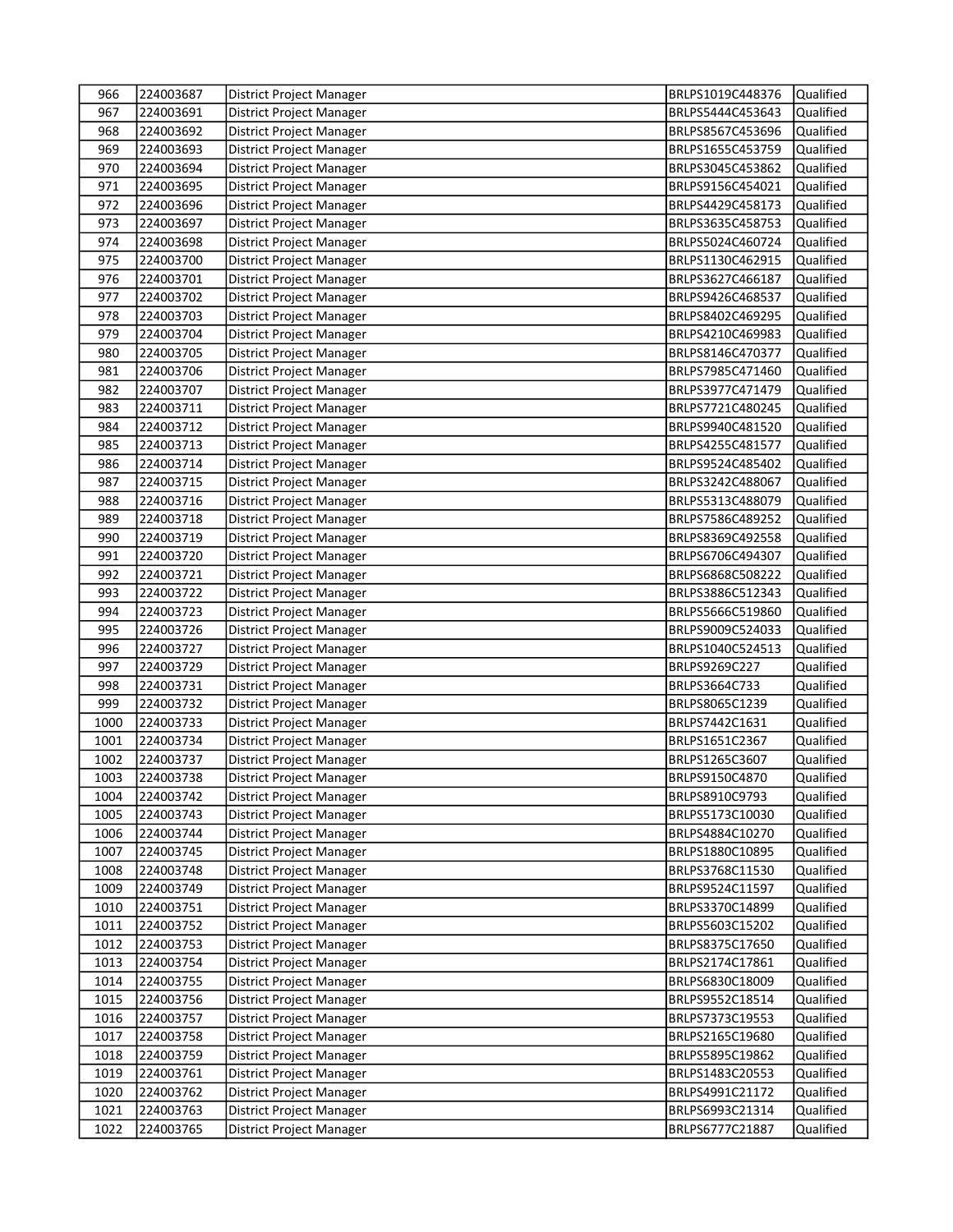| 966          | 224003687              | District Project Manager                             | BRLPS1019C448376                   | Qualified              |
|--------------|------------------------|------------------------------------------------------|------------------------------------|------------------------|
| 967          | 224003691              | <b>District Project Manager</b>                      | BRLPS5444C453643                   | Qualified              |
| 968          | 224003692              | <b>District Project Manager</b>                      | BRLPS8567C453696                   | Qualified              |
| 969          | 224003693              | District Project Manager                             | BRLPS1655C453759                   | Qualified              |
| 970          | 224003694              | District Project Manager                             | BRLPS3045C453862                   | Qualified              |
| 971          | 224003695              | District Project Manager                             | BRLPS9156C454021                   | Qualified              |
| 972          | 224003696              | District Project Manager                             | BRLPS4429C458173                   | Qualified              |
| 973          | 224003697              | District Project Manager                             | BRLPS3635C458753                   | Qualified              |
| 974          | 224003698              | District Project Manager                             | BRLPS5024C460724                   | Qualified              |
| 975          | 224003700              | District Project Manager                             | BRLPS1130C462915                   | Qualified              |
| 976          | 224003701              | District Project Manager                             | BRLPS3627C466187                   | Qualified              |
| 977          | 224003702              | District Project Manager                             | BRLPS9426C468537                   | Qualified              |
| 978          | 224003703              | District Project Manager                             | BRLPS8402C469295                   | Qualified              |
| 979          | 224003704              | District Project Manager                             | BRLPS4210C469983                   | Qualified              |
| 980          | 224003705              | District Project Manager                             | BRLPS8146C470377                   | Qualified              |
| 981          | 224003706              | District Project Manager                             | BRLPS7985C471460                   | Qualified              |
| 982          | 224003707              | District Project Manager                             | BRLPS3977C471479                   | Qualified              |
| 983          | 224003711              | District Project Manager                             | BRLPS7721C480245                   | Qualified              |
| 984          | 224003712              | District Project Manager                             | BRLPS9940C481520                   | Qualified              |
| 985          | 224003713              | District Project Manager                             | BRLPS4255C481577                   | Qualified              |
| 986          | 224003714              | District Project Manager                             | BRLPS9524C485402                   | Qualified              |
| 987          | 224003715              | District Project Manager                             | BRLPS3242C488067                   | Qualified              |
| 988          | 224003716              | District Project Manager                             | BRLPS5313C488079                   | Qualified              |
| 989          | 224003718              | District Project Manager                             | BRLPS7586C489252                   | Qualified              |
| 990          | 224003719              | District Project Manager                             | BRLPS8369C492558                   | Qualified              |
| 991          | 224003720              | District Project Manager                             | BRLPS6706C494307                   | Qualified              |
| 992          | 224003721              | District Project Manager                             | BRLPS6868C508222                   | Qualified              |
| 993          | 224003722              | District Project Manager                             | BRLPS3886C512343                   | Qualified              |
| 994          | 224003723              | District Project Manager                             | BRLPS5666C519860                   | Qualified              |
| 995          | 224003726              | District Project Manager                             | BRLPS9009C524033                   | Qualified              |
| 996          | 224003727              | District Project Manager                             | BRLPS1040C524513                   | Qualified              |
| 997          | 224003729              | District Project Manager                             | BRLPS9269C227                      | Qualified              |
| 998          | 224003731              | District Project Manager                             | BRLPS3664C733                      | Qualified              |
| 999          | 224003732              | District Project Manager                             | BRLPS8065C1239                     | Qualified              |
| 1000         | 224003733              | District Project Manager                             | BRLPS7442C1631                     | Qualified              |
| 1001         | 224003734              | District Project Manager                             | BRLPS1651C2367                     | Qualified              |
| 1002         | 224003737              | District Project Manager                             | BRLPS1265C3607                     | Qualified              |
| 1003         | 224003738              | <b>District Project Manager</b>                      | BRLPS9150C4870                     | Qualified              |
| 1004         | 224003742              | District Project Manager                             | BRLPS8910C9793                     | Qualified              |
| 1005         | 224003743              | <b>District Project Manager</b>                      | BRLPS5173C10030                    | Qualified              |
| 1006<br>1007 | 224003744              | <b>District Project Manager</b>                      | BRLPS4884C10270<br>BRLPS1880C10895 | Qualified<br>Qualified |
| 1008         | 224003745<br>224003748 | District Project Manager                             | BRLPS3768C11530                    | Qualified              |
| 1009         | 224003749              | District Project Manager                             | BRLPS9524C11597                    | Qualified              |
| 1010         | 224003751              | District Project Manager<br>District Project Manager | BRLPS3370C14899                    | Qualified              |
| 1011         | 224003752              | District Project Manager                             | BRLPS5603C15202                    | Qualified              |
| 1012         | 224003753              | District Project Manager                             | BRLPS8375C17650                    | Qualified              |
| 1013         | 224003754              | District Project Manager                             | BRLPS2174C17861                    | Qualified              |
| 1014         | 224003755              | District Project Manager                             | BRLPS6830C18009                    | Qualified              |
| 1015         | 224003756              | District Project Manager                             | BRLPS9552C18514                    | Qualified              |
| 1016         | 224003757              | District Project Manager                             | BRLPS7373C19553                    | Qualified              |
| 1017         | 224003758              | District Project Manager                             | BRLPS2165C19680                    | Qualified              |
| 1018         | 224003759              | District Project Manager                             | BRLPS5895C19862                    | Qualified              |
| 1019         | 224003761              | District Project Manager                             | BRLPS1483C20553                    | Qualified              |
| 1020         | 224003762              | District Project Manager                             | BRLPS4991C21172                    | Qualified              |
| 1021         | 224003763              | District Project Manager                             | BRLPS6993C21314                    | Qualified              |
| 1022         | 224003765              | District Project Manager                             | BRLPS6777C21887                    | Qualified              |
|              |                        |                                                      |                                    |                        |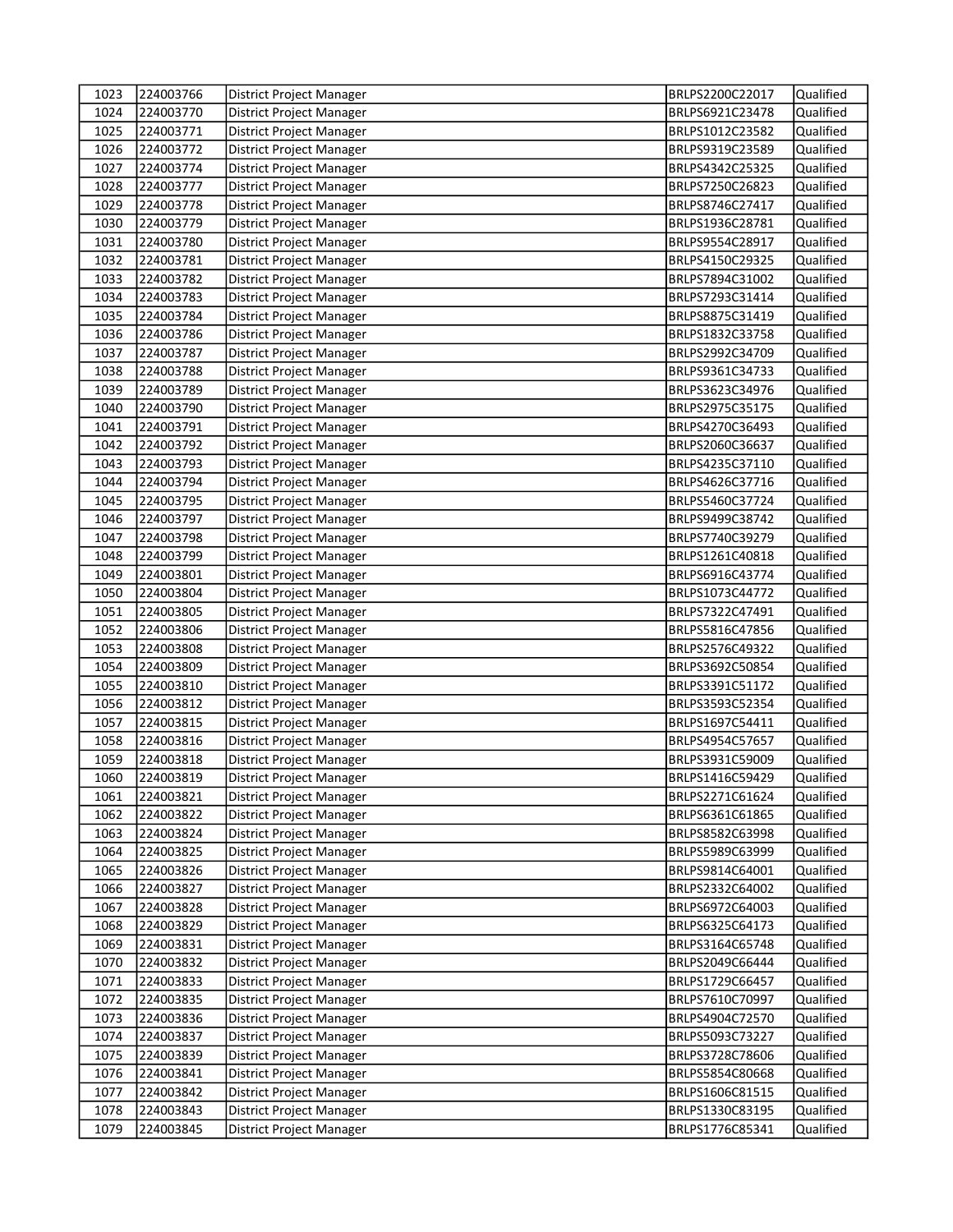| 1023 | 224003766 | <b>District Project Manager</b> | BRLPS2200C22017 | Qualified |
|------|-----------|---------------------------------|-----------------|-----------|
| 1024 | 224003770 | District Project Manager        | BRLPS6921C23478 | Qualified |
| 1025 | 224003771 | District Project Manager        | BRLPS1012C23582 | Qualified |
| 1026 | 224003772 | District Project Manager        | BRLPS9319C23589 | Qualified |
| 1027 | 224003774 | District Project Manager        | BRLPS4342C25325 | Qualified |
| 1028 | 224003777 | District Project Manager        | BRLPS7250C26823 | Qualified |
| 1029 | 224003778 | District Project Manager        | BRLPS8746C27417 | Qualified |
| 1030 | 224003779 | District Project Manager        | BRLPS1936C28781 | Qualified |
| 1031 | 224003780 | District Project Manager        | BRLPS9554C28917 | Qualified |
| 1032 | 224003781 | District Project Manager        | BRLPS4150C29325 | Qualified |
| 1033 | 224003782 | District Project Manager        | BRLPS7894C31002 | Qualified |
| 1034 | 224003783 | District Project Manager        | BRLPS7293C31414 | Qualified |
| 1035 | 224003784 | District Project Manager        | BRLPS8875C31419 | Qualified |
| 1036 | 224003786 | District Project Manager        | BRLPS1832C33758 | Qualified |
| 1037 | 224003787 | District Project Manager        | BRLPS2992C34709 | Qualified |
| 1038 | 224003788 | District Project Manager        | BRLPS9361C34733 | Qualified |
| 1039 | 224003789 | District Project Manager        | BRLPS3623C34976 | Qualified |
| 1040 | 224003790 | <b>District Project Manager</b> | BRLPS2975C35175 | Qualified |
| 1041 | 224003791 | District Project Manager        | BRLPS4270C36493 | Qualified |
| 1042 | 224003792 | District Project Manager        | BRLPS2060C36637 | Qualified |
| 1043 | 224003793 | District Project Manager        | BRLPS4235C37110 | Qualified |
| 1044 | 224003794 | District Project Manager        | BRLPS4626C37716 | Qualified |
| 1045 | 224003795 | District Project Manager        | BRLPS5460C37724 | Qualified |
| 1046 | 224003797 | District Project Manager        | BRLPS9499C38742 | Qualified |
| 1047 | 224003798 | District Project Manager        | BRLPS7740C39279 | Qualified |
| 1048 | 224003799 | District Project Manager        | BRLPS1261C40818 | Qualified |
| 1049 | 224003801 | District Project Manager        | BRLPS6916C43774 | Qualified |
| 1050 | 224003804 | District Project Manager        | BRLPS1073C44772 | Qualified |
| 1051 | 224003805 | District Project Manager        | BRLPS7322C47491 | Qualified |
| 1052 | 224003806 | District Project Manager        | BRLPS5816C47856 | Qualified |
| 1053 | 224003808 | District Project Manager        | BRLPS2576C49322 | Qualified |
| 1054 | 224003809 | District Project Manager        | BRLPS3692C50854 | Qualified |
| 1055 | 224003810 | District Project Manager        | BRLPS3391C51172 | Qualified |
| 1056 | 224003812 | District Project Manager        | BRLPS3593C52354 | Qualified |
| 1057 | 224003815 | District Project Manager        | BRLPS1697C54411 | Qualified |
| 1058 | 224003816 | District Project Manager        | BRLPS4954C57657 | Qualified |
| 1059 | 224003818 | District Project Manager        | BRLPS3931C59009 | Qualified |
| 1060 | 224003819 | District Project Manager        | BRLPS1416C59429 | Qualified |
| 1061 | 224003821 | District Project Manager        | BRLPS2271C61624 | Qualified |
| 1062 | 224003822 | District Project Manager        | BRLPS6361C61865 | Qualified |
| 1063 | 224003824 | District Project Manager        | BRLPS8582C63998 | Qualified |
| 1064 | 224003825 | District Project Manager        | BRLPS5989C63999 | Qualified |
| 1065 | 224003826 | District Project Manager        | BRLPS9814C64001 | Qualified |
| 1066 | 224003827 | District Project Manager        | BRLPS2332C64002 | Qualified |
| 1067 | 224003828 | District Project Manager        | BRLPS6972C64003 | Qualified |
| 1068 | 224003829 | District Project Manager        | BRLPS6325C64173 | Qualified |
| 1069 | 224003831 | District Project Manager        | BRLPS3164C65748 | Qualified |
| 1070 | 224003832 | District Project Manager        | BRLPS2049C66444 | Qualified |
| 1071 | 224003833 | District Project Manager        | BRLPS1729C66457 | Qualified |
| 1072 | 224003835 | District Project Manager        | BRLPS7610C70997 | Qualified |
| 1073 | 224003836 | District Project Manager        | BRLPS4904C72570 | Qualified |
| 1074 | 224003837 | District Project Manager        | BRLPS5093C73227 | Qualified |
| 1075 | 224003839 | District Project Manager        | BRLPS3728C78606 | Qualified |
| 1076 | 224003841 | District Project Manager        | BRLPS5854C80668 | Qualified |
| 1077 | 224003842 | District Project Manager        | BRLPS1606C81515 | Qualified |
| 1078 | 224003843 | District Project Manager        | BRLPS1330C83195 | Qualified |
| 1079 | 224003845 | District Project Manager        | BRLPS1776C85341 | Qualified |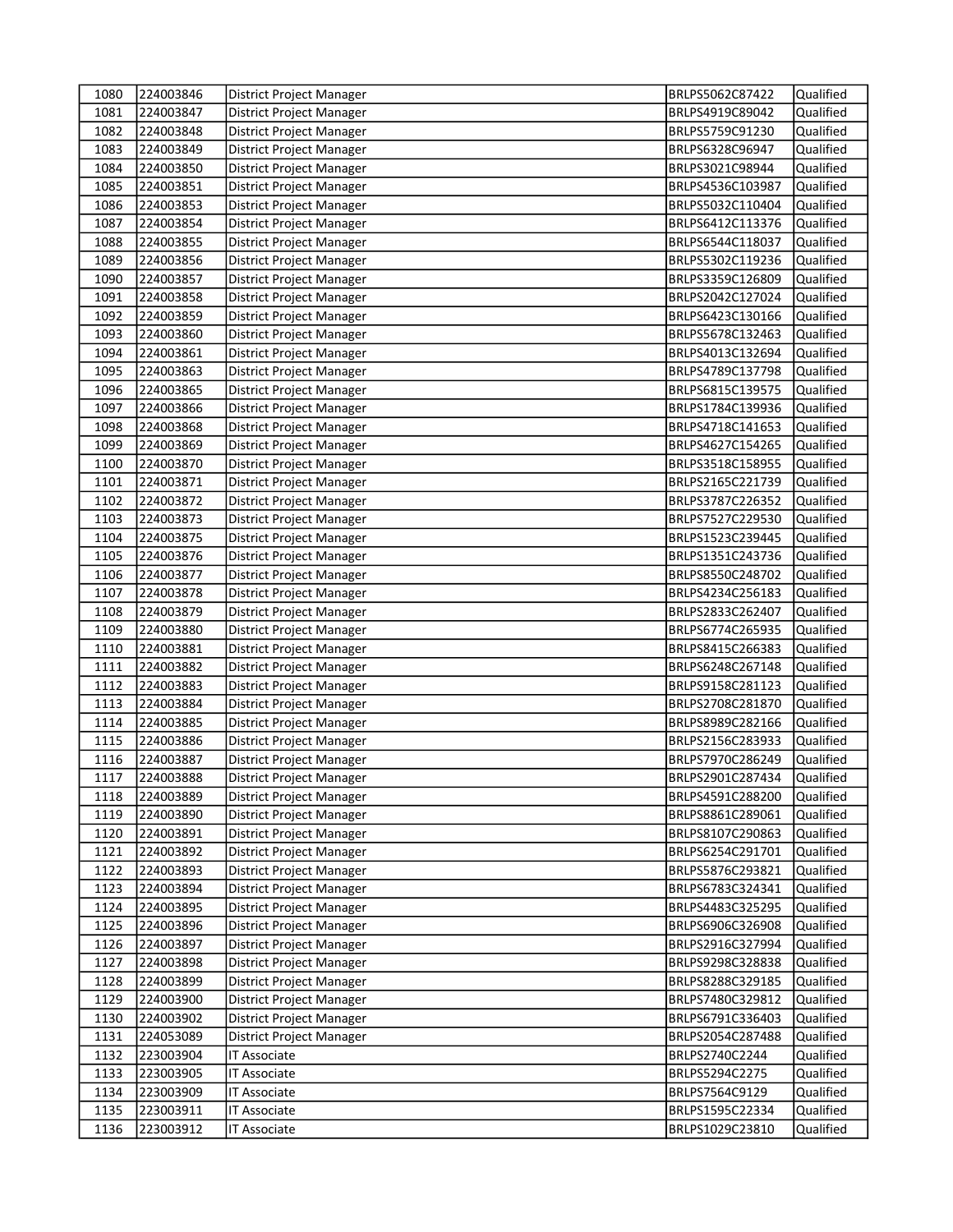| 1080 | 224003846 | <b>District Project Manager</b> | BRLPS5062C87422  | Qualified  |
|------|-----------|---------------------------------|------------------|------------|
| 1081 | 224003847 | District Project Manager        | BRLPS4919C89042  | Qualified  |
| 1082 | 224003848 | District Project Manager        | BRLPS5759C91230  | Qualified  |
| 1083 | 224003849 | District Project Manager        | BRLPS6328C96947  | Qualified  |
| 1084 | 224003850 | District Project Manager        | BRLPS3021C98944  | Qualified  |
| 1085 | 224003851 | District Project Manager        | BRLPS4536C103987 | Qualified  |
| 1086 | 224003853 | District Project Manager        | BRLPS5032C110404 | Qualified  |
| 1087 | 224003854 | District Project Manager        | BRLPS6412C113376 | Qualified  |
| 1088 | 224003855 | District Project Manager        | BRLPS6544C118037 | Qualified  |
| 1089 | 224003856 | District Project Manager        | BRLPS5302C119236 | Qualified  |
| 1090 | 224003857 | District Project Manager        | BRLPS3359C126809 | Qualified  |
| 1091 | 224003858 | District Project Manager        | BRLPS2042C127024 | Qualified  |
| 1092 | 224003859 | District Project Manager        | BRLPS6423C130166 | Qualified  |
| 1093 | 224003860 | District Project Manager        | BRLPS5678C132463 | Qualified  |
| 1094 | 224003861 | District Project Manager        | BRLPS4013C132694 | Qualified  |
| 1095 | 224003863 | District Project Manager        | BRLPS4789C137798 | Qualified  |
| 1096 | 224003865 | District Project Manager        | BRLPS6815C139575 | Qualified  |
| 1097 | 224003866 | <b>District Project Manager</b> | BRLPS1784C139936 | Qualified  |
| 1098 | 224003868 | District Project Manager        | BRLPS4718C141653 | Qualified  |
| 1099 | 224003869 | District Project Manager        | BRLPS4627C154265 | Qualified  |
| 1100 | 224003870 | District Project Manager        | BRLPS3518C158955 | Qualified  |
| 1101 | 224003871 | District Project Manager        | BRLPS2165C221739 | Qualified  |
| 1102 | 224003872 | District Project Manager        | BRLPS3787C226352 | Qualified  |
| 1103 | 224003873 | District Project Manager        | BRLPS7527C229530 | Qualified  |
| 1104 | 224003875 | District Project Manager        | BRLPS1523C239445 | Qualified  |
| 1105 | 224003876 | District Project Manager        | BRLPS1351C243736 | Qualified  |
| 1106 | 224003877 | District Project Manager        | BRLPS8550C248702 | Qualified  |
| 1107 | 224003878 | District Project Manager        | BRLPS4234C256183 | Qualified  |
| 1108 | 224003879 | District Project Manager        | BRLPS2833C262407 | Qualified  |
| 1109 | 224003880 | District Project Manager        | BRLPS6774C265935 | Qualified  |
| 1110 | 224003881 | District Project Manager        | BRLPS8415C266383 | Qualified  |
| 1111 | 224003882 | District Project Manager        | BRLPS6248C267148 | Qualified  |
| 1112 | 224003883 | District Project Manager        | BRLPS9158C281123 | Qualified  |
| 1113 | 224003884 | District Project Manager        | BRLPS2708C281870 | Qualified  |
| 1114 | 224003885 | District Project Manager        | BRLPS8989C282166 | Qualified  |
| 1115 | 224003886 | District Project Manager        | BRLPS2156C283933 | Qualified  |
| 1116 | 224003887 | District Project Manager        | BRLPS7970C286249 | Qualified  |
| 1117 | 224003888 | District Project Manager        | BRLPS2901C287434 | lQualified |
| 1118 | 224003889 | District Project Manager        | BRLPS4591C288200 | Qualified  |
| 1119 | 224003890 | District Project Manager        | BRLPS8861C289061 | Qualified  |
| 1120 | 224003891 | District Project Manager        | BRLPS8107C290863 | Qualified  |
| 1121 | 224003892 | District Project Manager        | BRLPS6254C291701 | Qualified  |
| 1122 | 224003893 | District Project Manager        | BRLPS5876C293821 | Qualified  |
| 1123 | 224003894 | District Project Manager        | BRLPS6783C324341 | Qualified  |
| 1124 | 224003895 | District Project Manager        | BRLPS4483C325295 | Qualified  |
| 1125 | 224003896 | District Project Manager        | BRLPS6906C326908 | Qualified  |
| 1126 | 224003897 | District Project Manager        | BRLPS2916C327994 | Qualified  |
| 1127 | 224003898 | District Project Manager        | BRLPS9298C328838 | Qualified  |
| 1128 | 224003899 | District Project Manager        | BRLPS8288C329185 | Qualified  |
| 1129 | 224003900 | <b>District Project Manager</b> | BRLPS7480C329812 | Qualified  |
| 1130 | 224003902 | District Project Manager        | BRLPS6791C336403 | Qualified  |
| 1131 | 224053089 | District Project Manager        | BRLPS2054C287488 | Qualified  |
| 1132 | 223003904 | IT Associate                    | BRLPS2740C2244   | Qualified  |
| 1133 | 223003905 | <b>IT Associate</b>             | BRLPS5294C2275   | Qualified  |
| 1134 | 223003909 | <b>IT Associate</b>             | BRLPS7564C9129   | Qualified  |
| 1135 | 223003911 | <b>IT Associate</b>             | BRLPS1595C22334  | Qualified  |
| 1136 | 223003912 | IT Associate                    | BRLPS1029C23810  | Qualified  |